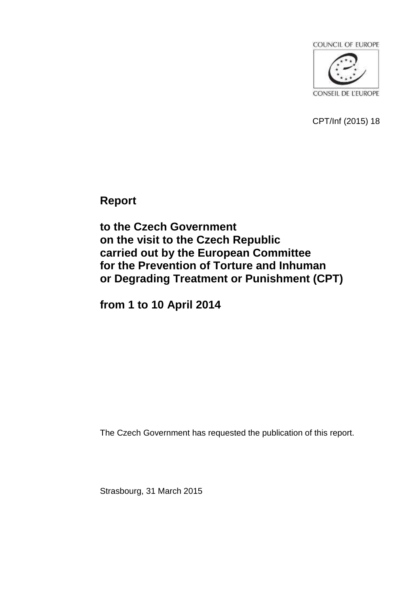

CPT/Inf (2015) 18

**Report** 

**to the Czech Government on the visit to the Czech Republic carried out by the European Committee for the Prevention of Torture and Inhuman or Degrading Treatment or Punishment (CPT)**

**from 1 to 10 April 2014**

The Czech Government has requested the publication of this report.

Strasbourg, 31 March 2015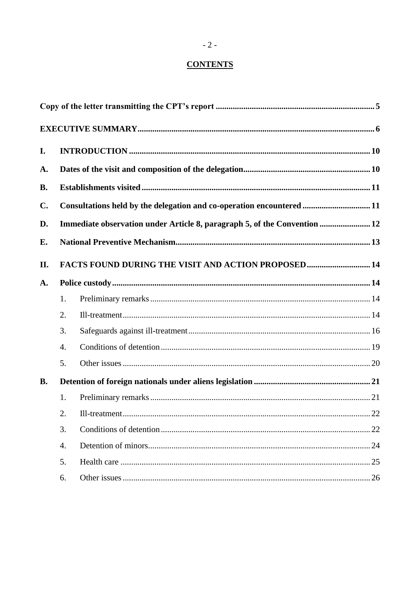# **CONTENTS**

| I.             |                  |                                                                           |  |  |  |
|----------------|------------------|---------------------------------------------------------------------------|--|--|--|
| A.             |                  |                                                                           |  |  |  |
| <b>B.</b>      |                  |                                                                           |  |  |  |
| $\mathbf{C}$ . |                  | Consultations held by the delegation and co-operation encountered 11      |  |  |  |
| D.             |                  | Immediate observation under Article 8, paragraph 5, of the Convention  12 |  |  |  |
| Е.             |                  |                                                                           |  |  |  |
| II.            |                  | FACTS FOUND DURING THE VISIT AND ACTION PROPOSED 14                       |  |  |  |
| A.             |                  |                                                                           |  |  |  |
|                | 1.               |                                                                           |  |  |  |
|                | 2.               |                                                                           |  |  |  |
|                | 3.               |                                                                           |  |  |  |
|                | $\overline{4}$ . |                                                                           |  |  |  |
|                | 5.               |                                                                           |  |  |  |
| <b>B.</b>      |                  |                                                                           |  |  |  |
|                | 1.               |                                                                           |  |  |  |
|                | 2.               |                                                                           |  |  |  |
|                | 3.               |                                                                           |  |  |  |
|                | 4.               |                                                                           |  |  |  |
|                | 5.               |                                                                           |  |  |  |
|                | 6.               |                                                                           |  |  |  |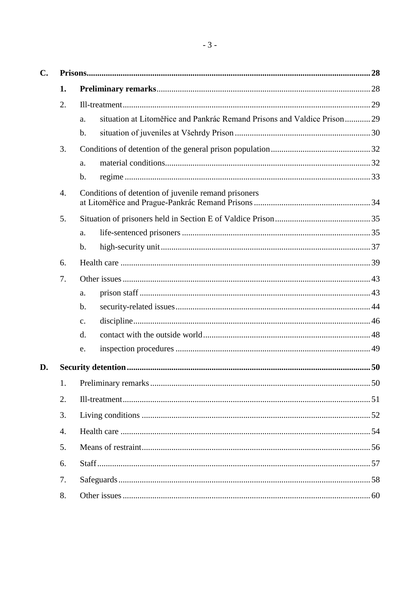| C. |    |                                                                               |  |
|----|----|-------------------------------------------------------------------------------|--|
|    | 1. |                                                                               |  |
|    | 2. |                                                                               |  |
|    |    | situation at Litoměřice and Pankrác Remand Prisons and Valdice Prison29<br>a. |  |
|    |    | $\mathbf b$ .                                                                 |  |
|    | 3. |                                                                               |  |
|    |    | a.                                                                            |  |
|    |    | $\mathbf b$ .                                                                 |  |
|    | 4. | Conditions of detention of juvenile remand prisoners                          |  |
|    | 5. |                                                                               |  |
|    |    | a.                                                                            |  |
|    |    | $\mathbf{b}$ .                                                                |  |
|    | 6. |                                                                               |  |
|    | 7. |                                                                               |  |
|    |    | a.                                                                            |  |
|    |    | b.                                                                            |  |
|    |    | $\mathcal{C}$ .                                                               |  |
|    |    | d.                                                                            |  |
|    |    | e.                                                                            |  |
| D. |    |                                                                               |  |
|    | 1. |                                                                               |  |
|    | 2. |                                                                               |  |
|    | 3. |                                                                               |  |
|    | 4. |                                                                               |  |
|    | 5. |                                                                               |  |
|    | 6. |                                                                               |  |
|    | 7. |                                                                               |  |
|    | 8. |                                                                               |  |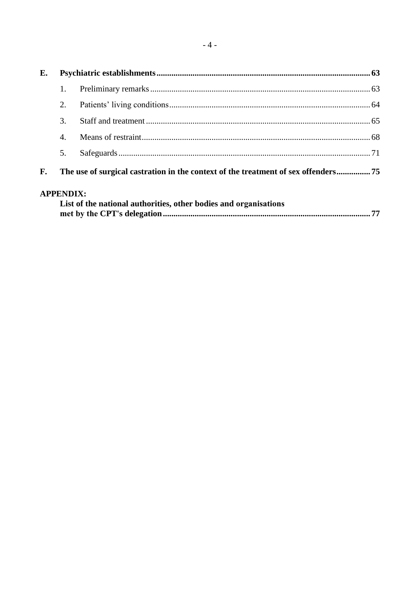| E.          |    |  |  |  |  |  |
|-------------|----|--|--|--|--|--|
|             |    |  |  |  |  |  |
|             | 2. |  |  |  |  |  |
|             | 3. |  |  |  |  |  |
|             | 4. |  |  |  |  |  |
|             | 5. |  |  |  |  |  |
| F.          |    |  |  |  |  |  |
| A DDENINIV. |    |  |  |  |  |  |

# APPENDIX:

| List of the national authorities, other bodies and organisations |  |
|------------------------------------------------------------------|--|
|                                                                  |  |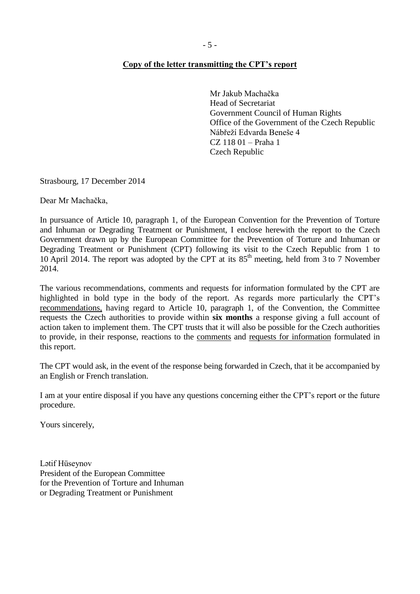#### <span id="page-4-0"></span>**Copy of the letter transmitting the CPT's report**

Mr Jakub Machačka Head of Secretariat Government Council of Human Rights Office of the Government of the Czech Republic Nábřeží Edvarda Beneše 4 CZ 118 01 – Praha 1 Czech Republic

Strasbourg, 17 December 2014

Dear Mr Machačka,

In pursuance of Article 10, paragraph 1, of the European Convention for the Prevention of Torture and Inhuman or Degrading Treatment or Punishment, I enclose herewith the report to the Czech Government drawn up by the European Committee for the Prevention of Torture and Inhuman or Degrading Treatment or Punishment (CPT) following its visit to the Czech Republic from 1 to 10 April 2014. The report was adopted by the CPT at its 85<sup>th</sup> meeting, held from 3 to 7 November 2014.

The various recommendations, comments and requests for information formulated by the CPT are highlighted in bold type in the body of the report. As regards more particularly the CPT's recommendations, having regard to Article 10, paragraph 1, of the Convention, the Committee requests the Czech authorities to provide within **six months** a response giving a full account of action taken to implement them. The CPT trusts that it will also be possible for the Czech authorities to provide, in their response, reactions to the comments and requests for information formulated in this report.

The CPT would ask, in the event of the response being forwarded in Czech, that it be accompanied by an English or French translation.

I am at your entire disposal if you have any questions concerning either the CPT's report or the future procedure.

Yours sincerely,

Lətif Hüseynov President of the European Committee for the Prevention of Torture and Inhuman or Degrading Treatment or Punishment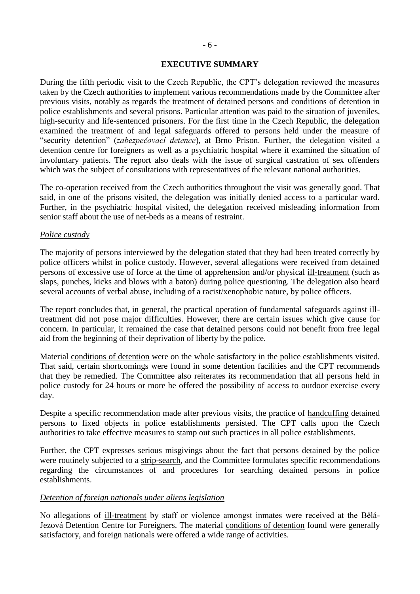#### **EXECUTIVE SUMMARY**

<span id="page-5-0"></span>During the fifth periodic visit to the Czech Republic, the CPT's delegation reviewed the measures taken by the Czech authorities to implement various recommendations made by the Committee after previous visits, notably as regards the treatment of detained persons and conditions of detention in police establishments and several prisons. Particular attention was paid to the situation of juveniles, high-security and life-sentenced prisoners. For the first time in the Czech Republic, the delegation examined the treatment of and legal safeguards offered to persons held under the measure of "security detention" (*zabezpečovací detence*), at Brno Prison. Further, the delegation visited a detention centre for foreigners as well as a psychiatric hospital where it examined the situation of involuntary patients. The report also deals with the issue of surgical castration of sex offenders which was the subject of consultations with representatives of the relevant national authorities.

The co-operation received from the Czech authorities throughout the visit was generally good. That said, in one of the prisons visited, the delegation was initially denied access to a particular ward. Further, in the psychiatric hospital visited, the delegation received misleading information from senior staff about the use of net-beds as a means of restraint.

#### *Police custody*

The majority of persons interviewed by the delegation stated that they had been treated correctly by police officers whilst in police custody. However, several allegations were received from detained persons of excessive use of force at the time of apprehension and/or physical ill-treatment (such as slaps, punches, kicks and blows with a baton) during police questioning. The delegation also heard several accounts of verbal abuse, including of a racist/xenophobic nature, by police officers.

The report concludes that, in general, the practical operation of fundamental safeguards against illtreatment did not pose major difficulties. However, there are certain issues which give cause for concern. In particular, it remained the case that detained persons could not benefit from free legal aid from the beginning of their deprivation of liberty by the police.

Material conditions of detention were on the whole satisfactory in the police establishments visited. That said, certain shortcomings were found in some detention facilities and the CPT recommends that they be remedied. The Committee also reiterates its recommendation that all persons held in police custody for 24 hours or more be offered the possibility of access to outdoor exercise every day.

Despite a specific recommendation made after previous visits, the practice of handcuffing detained persons to fixed objects in police establishments persisted. The CPT calls upon the Czech authorities to take effective measures to stamp out such practices in all police establishments.

Further, the CPT expresses serious misgivings about the fact that persons detained by the police were routinely subjected to a strip-search, and the Committee formulates specific recommendations regarding the circumstances of and procedures for searching detained persons in police establishments.

#### *Detention of foreign nationals under aliens legislation*

No allegations of ill-treatment by staff or violence amongst inmates were received at the Bělá-Jezová Detention Centre for Foreigners. The material conditions of detention found were generally satisfactory, and foreign nationals were offered a wide range of activities.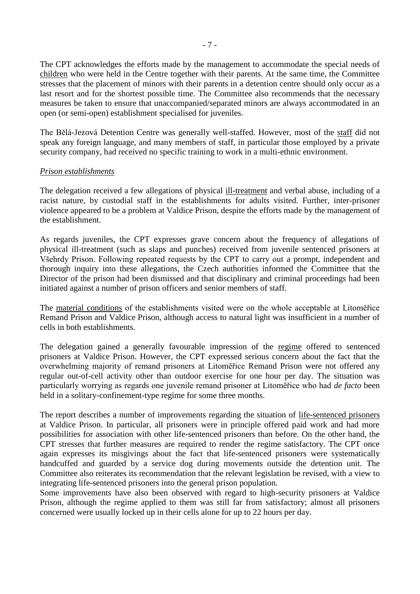The CPT acknowledges the efforts made by the management to accommodate the special needs of children who were held in the Centre together with their parents. At the same time, the Committee stresses that the placement of minors with their parents in a detention centre should only occur as a last resort and for the shortest possible time. The Committee also recommends that the necessary measures be taken to ensure that unaccompanied/separated minors are always accommodated in an open (or semi-open) establishment specialised for juveniles.

The Bělá-Jezová Detention Centre was generally well-staffed. However, most of the staff did not speak any foreign language, and many members of staff, in particular those employed by a private security company, had received no specific training to work in a multi-ethnic environment.

#### *Prison establishments*

The delegation received a few allegations of physical ill-treatment and verbal abuse, including of a racist nature, by custodial staff in the establishments for adults visited. Further, inter-prisoner violence appeared to be a problem at Valdice Prison, despite the efforts made by the management of the establishment.

As regards juveniles, the CPT expresses grave concern about the frequency of allegations of physical ill-treatment (such as slaps and punches) received from juvenile sentenced prisoners at Všehrdy Prison. Following repeated requests by the CPT to carry out a prompt, independent and thorough inquiry into these allegations, the Czech authorities informed the Committee that the Director of the prison had been dismissed and that disciplinary and criminal proceedings had been initiated against a number of prison officers and senior members of staff.

The material conditions of the establishments visited were on the whole acceptable at Litomĕřice Remand Prison and Valdice Prison, although access to natural light was insufficient in a number of cells in both establishments.

The delegation gained a generally favourable impression of the regime offered to sentenced prisoners at Valdice Prison. However, the CPT expressed serious concern about the fact that the overwhelming majority of remand prisoners at Litomĕřice Remand Prison were not offered any regular out-of-cell activity other than outdoor exercise for one hour per day. The situation was particularly worrying as regards one juvenile remand prisoner at Litomĕřice who had *de facto* been held in a solitary-confinement-type regime for some three months.

The report describes a number of improvements regarding the situation of life-sentenced prisoners at Valdice Prison. In particular, all prisoners were in principle offered paid work and had more possibilities for association with other life-sentenced prisoners than before. On the other hand, the CPT stresses that further measures are required to render the regime satisfactory. The CPT once again expresses its misgivings about the fact that life-sentenced prisoners were systematically handcuffed and guarded by a service dog during movements outside the detention unit. The Committee also reiterates its recommendation that the relevant legislation be revised, with a view to integrating life-sentenced prisoners into the general prison population.

Some improvements have also been observed with regard to high-security prisoners at Valdice Prison, although the regime applied to them was still far from satisfactory; almost all prisoners concerned were usually locked up in their cells alone for up to 22 hours per day.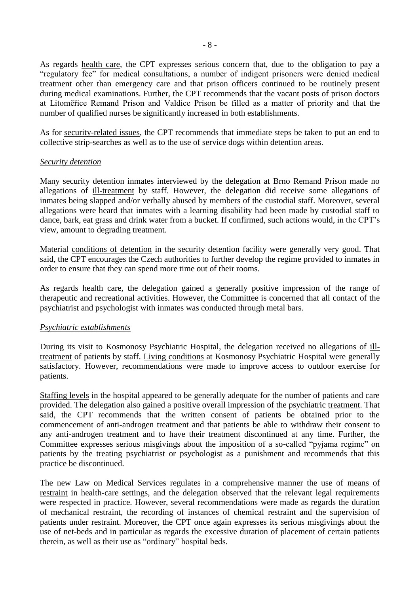As regards health care, the CPT expresses serious concern that, due to the obligation to pay a "regulatory fee" for medical consultations, a number of indigent prisoners were denied medical treatment other than emergency care and that prison officers continued to be routinely present during medical examinations. Further, the CPT recommends that the vacant posts of prison doctors at Litomĕřice Remand Prison and Valdice Prison be filled as a matter of priority and that the number of qualified nurses be significantly increased in both establishments.

As for security-related issues, the CPT recommends that immediate steps be taken to put an end to collective strip-searches as well as to the use of service dogs within detention areas.

#### *Security detention*

Many security detention inmates interviewed by the delegation at Brno Remand Prison made no allegations of ill-treatment by staff. However, the delegation did receive some allegations of inmates being slapped and/or verbally abused by members of the custodial staff. Moreover, several allegations were heard that inmates with a learning disability had been made by custodial staff to dance, bark, eat grass and drink water from a bucket. If confirmed, such actions would, in the CPT's view, amount to degrading treatment.

Material conditions of detention in the security detention facility were generally very good. That said, the CPT encourages the Czech authorities to further develop the regime provided to inmates in order to ensure that they can spend more time out of their rooms.

As regards health care, the delegation gained a generally positive impression of the range of therapeutic and recreational activities. However, the Committee is concerned that all contact of the psychiatrist and psychologist with inmates was conducted through metal bars.

#### *Psychiatric establishments*

During its visit to Kosmonosy Psychiatric Hospital, the delegation received no allegations of illtreatment of patients by staff. Living conditions at Kosmonosy Psychiatric Hospital were generally satisfactory. However, recommendations were made to improve access to outdoor exercise for patients.

Staffing levels in the hospital appeared to be generally adequate for the number of patients and care provided. The delegation also gained a positive overall impression of the psychiatric treatment. That said, the CPT recommends that the written consent of patients be obtained prior to the commencement of anti-androgen treatment and that patients be able to withdraw their consent to any anti-androgen treatment and to have their treatment discontinued at any time. Further, the Committee expresses serious misgivings about the imposition of a so-called "pyjama regime" on patients by the treating psychiatrist or psychologist as a punishment and recommends that this practice be discontinued.

The new Law on Medical Services regulates in a comprehensive manner the use of means of restraint in health-care settings, and the delegation observed that the relevant legal requirements were respected in practice. However, several recommendations were made as regards the duration of mechanical restraint, the recording of instances of chemical restraint and the supervision of patients under restraint. Moreover, the CPT once again expresses its serious misgivings about the use of net-beds and in particular as regards the excessive duration of placement of certain patients therein, as well as their use as "ordinary" hospital beds.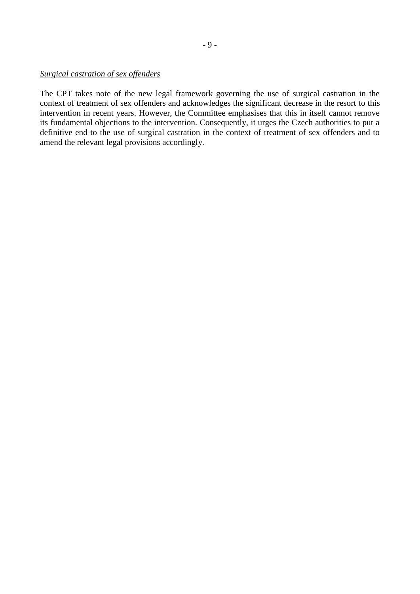#### *Surgical castration of sex offenders*

The CPT takes note of the new legal framework governing the use of surgical castration in the context of treatment of sex offenders and acknowledges the significant decrease in the resort to this intervention in recent years. However, the Committee emphasises that this in itself cannot remove its fundamental objections to the intervention. Consequently, it urges the Czech authorities to put a definitive end to the use of surgical castration in the context of treatment of sex offenders and to amend the relevant legal provisions accordingly.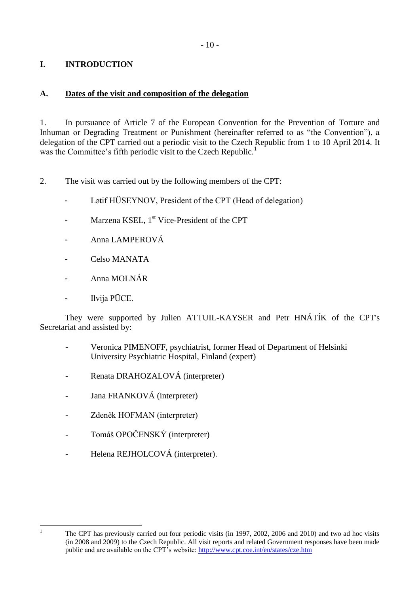# <span id="page-9-0"></span>**I. INTRODUCTION**

## <span id="page-9-1"></span>**A. Dates of the visit and composition of the delegation**

1. In pursuance of Article 7 of the European Convention for the Prevention of Torture and Inhuman or Degrading Treatment or Punishment (hereinafter referred to as "the Convention"), a delegation of the CPT carried out a periodic visit to the Czech Republic from 1 to 10 April 2014. It was the Committee's fifth periodic visit to the Czech Republic.<sup>1</sup>

2. The visit was carried out by the following members of the CPT:

- Latif HÜSEYNOV, President of the CPT (Head of delegation)
- Marzena KSEL, 1<sup>st</sup> Vice-President of the CPT
- Anna LAMPEROVÁ
- Celso MANATA
- Anna MOLNÁR
- Ilvija PŪCE.

They were supported by Julien ATTUIL-KAYSER and Petr HNÁTÍK of the CPT's Secretariat and assisted by:

- Veronica PIMENOFF, psychiatrist, former Head of Department of Helsinki University Psychiatric Hospital, Finland (expert)
- Renata DRAHOZALOVÁ (interpreter)
- Jana FRANKOVÁ (interpreter)
- Zdeněk HOFMAN (interpreter)
- Tomáš OPOČENSKÝ (interpreter)
- Helena REJHOLCOVÁ (interpreter).

 $\overline{1}$ 

<sup>1</sup> The CPT has previously carried out four periodic visits (in 1997, 2002, 2006 and 2010) and two ad hoc visits (in 2008 and 2009) to the Czech Republic. All visit reports and related Government responses have been made public and are available on the CPT's website:<http://www.cpt.coe.int/en/states/cze.htm>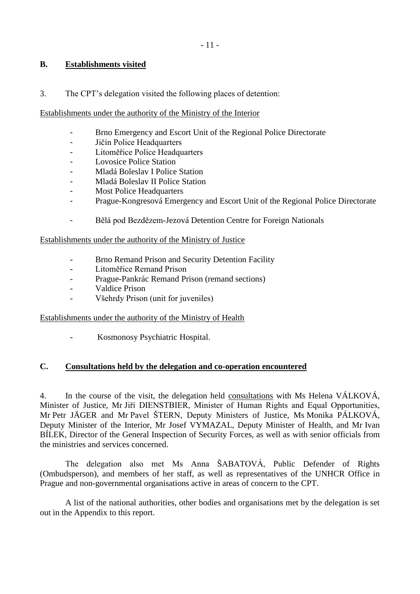### <span id="page-10-0"></span>**B. Establishments visited**

3. The CPT's delegation visited the following places of detention:

#### Establishments under the authority of the Ministry of the Interior

- Brno Emergency and Escort Unit of the Regional Police Directorate
- Jičín Police Headquarters
- Litoměřice Police Headquarters
- Lovosice Police Station
- Mladá Boleslav I Police Station
- Mladá Boleslav II Police Station
- Most Police Headquarters
- Prague-Kongresová Emergency and Escort Unit of the Regional Police Directorate
- Bělá pod Bezdězem-Jezová Detention Centre for Foreign Nationals

Establishments under the authority of the Ministry of Justice

- Brno Remand Prison and Security Detention Facility
- Litoměřice Remand Prison
- Prague-Pankrác Remand Prison (remand sections)
- Valdice Prison
- Všehrdy Prison (unit for juveniles)

Establishments under the authority of the Ministry of Health

- Kosmonosy Psychiatric Hospital.

#### <span id="page-10-1"></span>**C. Consultations held by the delegation and co-operation encountered**

4. In the course of the visit, the delegation held consultations with Ms Helena VÁLKOVÁ, Minister of Justice, Mr Jiří DIENSTBIER, Minister of Human Rights and Equal Opportunities, Mr Petr JÄGER and Mr Pavel ŠTERN, Deputy Ministers of Justice, Ms Monika PÁLKOVÁ, Deputy Minister of the Interior, Mr Josef VYMAZAL, Deputy Minister of Health, and Mr Ivan BÍLEK, Director of the General Inspection of Security Forces, as well as with senior officials from the ministries and services concerned.

The delegation also met Ms Anna ŠABATOVÁ, Public Defender of Rights (Ombudsperson), and members of her staff, as well as representatives of the UNHCR Office in Prague and non-governmental organisations active in areas of concern to the CPT.

A list of the national authorities, other bodies and organisations met by the delegation is set out in the Appendix to this report.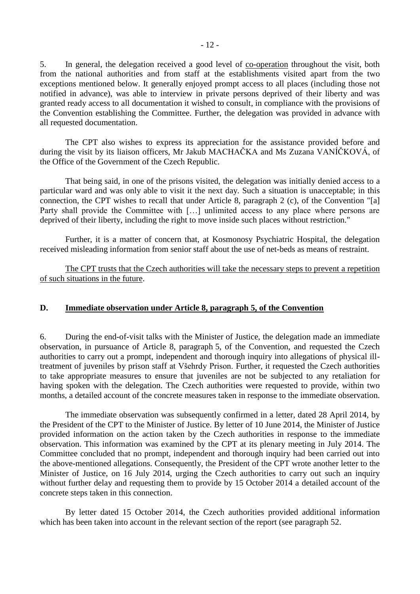5. In general, the delegation received a good level of co-operation throughout the visit, both from the national authorities and from staff at the establishments visited apart from the two exceptions mentioned below. It generally enjoyed prompt access to all places (including those not notified in advance), was able to interview in private persons deprived of their liberty and was granted ready access to all documentation it wished to consult, in compliance with the provisions of the Convention establishing the Committee. Further, the delegation was provided in advance with all requested documentation.

The CPT also wishes to express its appreciation for the assistance provided before and during the visit by its liaison officers, Mr Jakub MACHAČKA and Ms Zuzana VANÍČKOVÁ, of the Office of the Government of the Czech Republic.

That being said, in one of the prisons visited, the delegation was initially denied access to a particular ward and was only able to visit it the next day. Such a situation is unacceptable; in this connection, the CPT wishes to recall that under Article 8, paragraph 2 (c), of the Convention "[a] Party shall provide the Committee with [...] unlimited access to any place where persons are deprived of their liberty, including the right to move inside such places without restriction."

Further, it is a matter of concern that, at Kosmonosy Psychiatric Hospital, the delegation received misleading information from senior staff about the use of net-beds as means of restraint.

The CPT trusts that the Czech authorities will take the necessary steps to prevent a repetition of such situations in the future.

#### <span id="page-11-0"></span>**D. Immediate observation under Article 8, paragraph 5, of the Convention**

6. During the end-of-visit talks with the Minister of Justice, the delegation made an immediate observation, in pursuance of Article 8, paragraph 5, of the Convention, and requested the Czech authorities to carry out a prompt, independent and thorough inquiry into allegations of physical illtreatment of juveniles by prison staff at Všehrdy Prison. Further, it requested the Czech authorities to take appropriate measures to ensure that juveniles are not be subjected to any retaliation for having spoken with the delegation. The Czech authorities were requested to provide, within two months, a detailed account of the concrete measures taken in response to the immediate observation.

The immediate observation was subsequently confirmed in a letter, dated 28 April 2014, by the President of the CPT to the Minister of Justice. By letter of 10 June 2014, the Minister of Justice provided information on the action taken by the Czech authorities in response to the immediate observation. This information was examined by the CPT at its plenary meeting in July 2014. The Committee concluded that no prompt, independent and thorough inquiry had been carried out into the above-mentioned allegations. Consequently, the President of the CPT wrote another letter to the Minister of Justice, on 16 July 2014, urging the Czech authorities to carry out such an inquiry without further delay and requesting them to provide by 15 October 2014 a detailed account of the concrete steps taken in this connection.

By letter dated 15 October 2014, the Czech authorities provided additional information which has been taken into account in the relevant section of the report (see paragraph 52.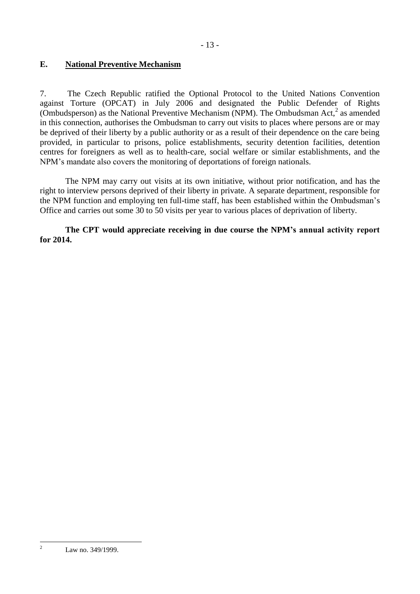## <span id="page-12-0"></span>**E. National Preventive Mechanism**

7. The Czech Republic ratified the Optional Protocol to the United Nations Convention against Torture (OPCAT) in July 2006 and designated the Public Defender of Rights (Ombudsperson) as the National Preventive Mechanism (NPM). The Ombudsman Act,<sup>2</sup> as amended in this connection, authorises the Ombudsman to carry out visits to places where persons are or may be deprived of their liberty by a public authority or as a result of their dependence on the care being provided, in particular to prisons, police establishments, security detention facilities, detention centres for foreigners as well as to health-care, social welfare or similar establishments, and the NPM's mandate also covers the monitoring of deportations of foreign nationals.

The NPM may carry out visits at its own initiative, without prior notification, and has the right to interview persons deprived of their liberty in private. A separate department, responsible for the NPM function and employing ten full-time staff, has been established within the Ombudsman's Office and carries out some 30 to 50 visits per year to various places of deprivation of liberty.

**The CPT would appreciate receiving in due course the NPM's annual activity report for 2014.**

 $\overline{2}$ 

Law no. 349/1999.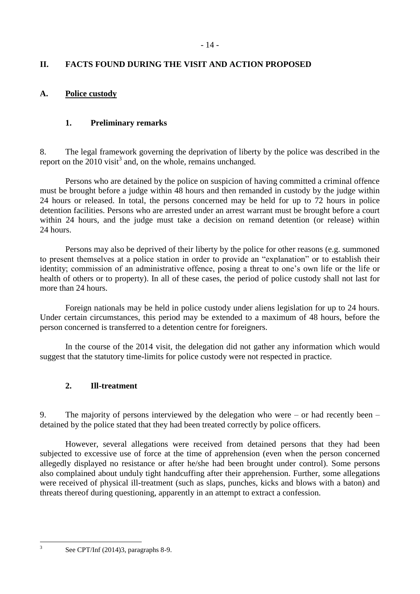# <span id="page-13-0"></span>**II. FACTS FOUND DURING THE VISIT AND ACTION PROPOSED**

## <span id="page-13-1"></span>**A. Police custody**

## <span id="page-13-2"></span>**1. Preliminary remarks**

8. The legal framework governing the deprivation of liberty by the police was described in the report on the  $2010$  visit<sup>3</sup> and, on the whole, remains unchanged.

Persons who are detained by the police on suspicion of having committed a criminal offence must be brought before a judge within 48 hours and then remanded in custody by the judge within 24 hours or released. In total, the persons concerned may be held for up to 72 hours in police detention facilities. Persons who are arrested under an arrest warrant must be brought before a court within 24 hours, and the judge must take a decision on remand detention (or release) within 24 hours.

Persons may also be deprived of their liberty by the police for other reasons (e.g. summoned to present themselves at a police station in order to provide an "explanation" or to establish their identity; commission of an administrative offence, posing a threat to one's own life or the life or health of others or to property). In all of these cases, the period of police custody shall not last for more than 24 hours.

Foreign nationals may be held in police custody under aliens legislation for up to 24 hours. Under certain circumstances, this period may be extended to a maximum of 48 hours, before the person concerned is transferred to a detention centre for foreigners.

In the course of the 2014 visit, the delegation did not gather any information which would suggest that the statutory time-limits for police custody were not respected in practice.

### <span id="page-13-3"></span>**2. Ill-treatment**

9. The majority of persons interviewed by the delegation who were – or had recently been – detained by the police stated that they had been treated correctly by police officers.

However, several allegations were received from detained persons that they had been subjected to excessive use of force at the time of apprehension (even when the person concerned allegedly displayed no resistance or after he/she had been brought under control). Some persons also complained about unduly tight handcuffing after their apprehension. Further, some allegations were received of physical ill-treatment (such as slaps, punches, kicks and blows with a baton) and threats thereof during questioning, apparently in an attempt to extract a confession.

 $\frac{1}{3}$ 

See CPT/Inf (2014)3, paragraphs 8-9.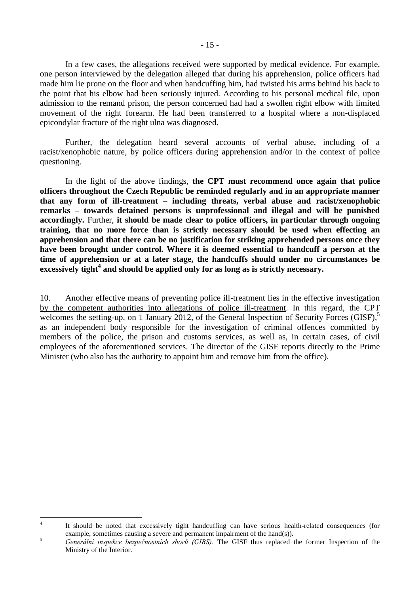In a few cases, the allegations received were supported by medical evidence. For example, one person interviewed by the delegation alleged that during his apprehension, police officers had made him lie prone on the floor and when handcuffing him, had twisted his arms behind his back to the point that his elbow had been seriously injured. According to his personal medical file, upon admission to the remand prison, the person concerned had had a swollen right elbow with limited movement of the right forearm. He had been transferred to a hospital where a non-displaced epicondylar fracture of the right ulna was diagnosed.

Further, the delegation heard several accounts of verbal abuse, including of a racist/xenophobic nature, by police officers during apprehension and/or in the context of police questioning.

In the light of the above findings, **the CPT must recommend once again that police officers throughout the Czech Republic be reminded regularly and in an appropriate manner that any form of ill-treatment – including threats, verbal abuse and racist/xenophobic remarks – towards detained persons is unprofessional and illegal and will be punished accordingly.** Further, **it should be made clear to police officers, in particular through ongoing training, that no more force than is strictly necessary should be used when effecting an apprehension and that there can be no justification for striking apprehended persons once they have been brought under control. Where it is deemed essential to handcuff a person at the time of apprehension or at a later stage, the handcuffs should under no circumstances be excessively tight<sup>4</sup> and should be applied only for as long as is strictly necessary.**

10. Another effective means of preventing police ill-treatment lies in the effective investigation by the competent authorities into allegations of police ill-treatment. In this regard, the CPT welcomes the setting-up, on 1 January 2012, of the General Inspection of Security Forces (GISF),<sup>5</sup> as an independent body responsible for the investigation of criminal offences committed by members of the police, the prison and customs services, as well as, in certain cases, of civil employees of the aforementioned services. The director of the GISF reports directly to the Prime Minister (who also has the authority to appoint him and remove him from the office).

 $\frac{1}{4}$ It should be noted that excessively tight handcuffing can have serious health-related consequences (for example, sometimes causing a severe and permanent impairment of the hand(s)).

<sup>&</sup>lt;sup>5</sup> *Generální inspekce bezpečnostních sborů (GIBS)*. The GISF thus replaced the former Inspection of the Ministry of the Interior.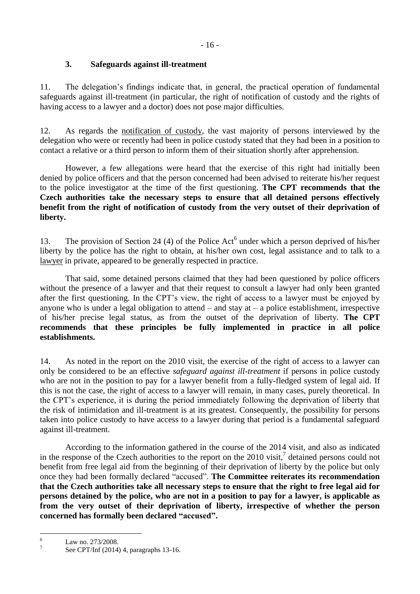## **3. Safeguards against ill-treatment**

<span id="page-15-0"></span>11. The delegation's findings indicate that, in general, the practical operation of fundamental safeguards against ill-treatment (in particular, the right of notification of custody and the rights of having access to a lawyer and a doctor) does not pose major difficulties.

12. As regards the notification of custody, the vast majority of persons interviewed by the delegation who were or recently had been in police custody stated that they had been in a position to contact a relative or a third person to inform them of their situation shortly after apprehension.

However, a few allegations were heard that the exercise of this right had initially been denied by police officers and that the person concerned had been advised to reiterate his/her request to the police investigator at the time of the first questioning. **The CPT recommends that the Czech authorities take the necessary steps to ensure that all detained persons effectively benefit from the right of notification of custody from the very outset of their deprivation of liberty.**

13. The provision of Section 24 (4) of the Police  $Act^6$  under which a person deprived of his/her liberty by the police has the right to obtain, at his/her own cost, legal assistance and to talk to a lawyer in private, appeared to be generally respected in practice.

That said, some detained persons claimed that they had been questioned by police officers without the presence of a lawyer and that their request to consult a lawyer had only been granted after the first questioning. In the CPT's view, the right of access to a lawyer must be enjoyed by anyone who is under a legal obligation to attend  $-$  and stay at  $-$  a police establishment, irrespective of his/her precise legal status, as from the outset of the deprivation of liberty. **The CPT recommends that these principles be fully implemented in practice in all police establishments.** 

14. As noted in the report on the 2010 visit, the exercise of the right of access to a lawyer can only be considered to be an effective *safeguard against ill-treatment* if persons in police custody who are not in the position to pay for a lawyer benefit from a fully-fledged system of legal aid. If this is not the case, the right of access to a lawyer will remain, in many cases, purely theoretical. In the CPT's experience, it is during the period immediately following the deprivation of liberty that the risk of intimidation and ill-treatment is at its greatest. Consequently, the possibility for persons taken into police custody to have access to a lawyer during that period is a fundamental safeguard against ill-treatment.

According to the information gathered in the course of the 2014 visit, and also as indicated in the response of the Czech authorities to the report on the 2010 visit,<sup>7</sup> detained persons could not benefit from free legal aid from the beginning of their deprivation of liberty by the police but only once they had been formally declared "accused". **The Committee reiterates its recommendation that the Czech authorities take all necessary steps to ensure that the right to free legal aid for persons detained by the police, who are not in a position to pay for a lawyer, is applicable as from the very outset of their deprivation of liberty, irrespective of whether the person concerned has formally been declared "accused".**

 $6\overline{6}$ Law no. 273/2008.

<sup>7</sup> See CPT/Inf (2014) 4, paragraphs 13-16.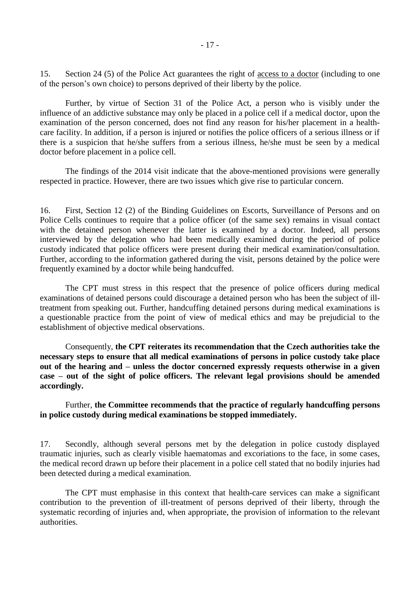15. Section 24 (5) of the Police Act guarantees the right of access to a doctor (including to one of the person's own choice) to persons deprived of their liberty by the police.

Further, by virtue of Section 31 of the Police Act, a person who is visibly under the influence of an addictive substance may only be placed in a police cell if a medical doctor, upon the examination of the person concerned, does not find any reason for his/her placement in a healthcare facility. In addition, if a person is injured or notifies the police officers of a serious illness or if there is a suspicion that he/she suffers from a serious illness, he/she must be seen by a medical doctor before placement in a police cell.

The findings of the 2014 visit indicate that the above-mentioned provisions were generally respected in practice. However, there are two issues which give rise to particular concern.

16. First, Section 12 (2) of the Binding Guidelines on Escorts, Surveillance of Persons and on Police Cells continues to require that a police officer (of the same sex) remains in visual contact with the detained person whenever the latter is examined by a doctor. Indeed, all persons interviewed by the delegation who had been medically examined during the period of police custody indicated that police officers were present during their medical examination/consultation. Further, according to the information gathered during the visit, persons detained by the police were frequently examined by a doctor while being handcuffed.

The CPT must stress in this respect that the presence of police officers during medical examinations of detained persons could discourage a detained person who has been the subject of illtreatment from speaking out. Further, handcuffing detained persons during medical examinations is a questionable practice from the point of view of medical ethics and may be prejudicial to the establishment of objective medical observations.

Consequently, **the CPT reiterates its recommendation that the Czech authorities take the necessary steps to ensure that all medical examinations of persons in police custody take place out of the hearing and – unless the doctor concerned expressly requests otherwise in a given case – out of the sight of police officers. The relevant legal provisions should be amended accordingly.**

#### Further, **the Committee recommends that the practice of regularly handcuffing persons in police custody during medical examinations be stopped immediately.**

17. Secondly, although several persons met by the delegation in police custody displayed traumatic injuries, such as clearly visible haematomas and excoriations to the face, in some cases, the medical record drawn up before their placement in a police cell stated that no bodily injuries had been detected during a medical examination.

The CPT must emphasise in this context that health-care services can make a significant contribution to the prevention of ill-treatment of persons deprived of their liberty, through the systematic recording of injuries and, when appropriate, the provision of information to the relevant authorities.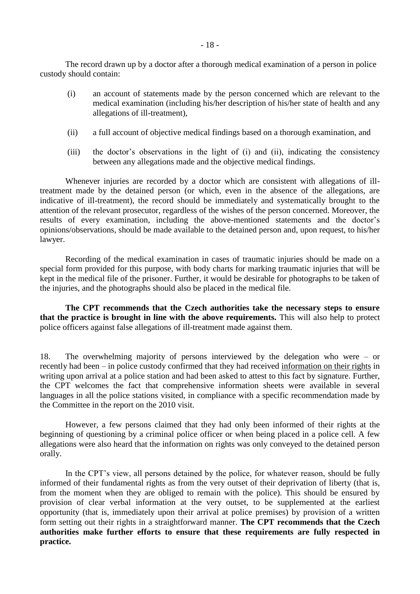The record drawn up by a doctor after a thorough medical examination of a person in police custody should contain:

- (i) an account of statements made by the person concerned which are relevant to the medical examination (including his/her description of his/her state of health and any allegations of ill-treatment),
- (ii) a full account of objective medical findings based on a thorough examination, and
- (iii) the doctor's observations in the light of (i) and (ii), indicating the consistency between any allegations made and the objective medical findings.

Whenever injuries are recorded by a doctor which are consistent with allegations of illtreatment made by the detained person (or which, even in the absence of the allegations, are indicative of ill-treatment), the record should be immediately and systematically brought to the attention of the relevant prosecutor, regardless of the wishes of the person concerned. Moreover, the results of every examination, including the above-mentioned statements and the doctor's opinions/observations, should be made available to the detained person and, upon request, to his/her lawyer.

Recording of the medical examination in cases of traumatic injuries should be made on a special form provided for this purpose, with body charts for marking traumatic injuries that will be kept in the medical file of the prisoner. Further, it would be desirable for photographs to be taken of the injuries, and the photographs should also be placed in the medical file.

**The CPT recommends that the Czech authorities take the necessary steps to ensure that the practice is brought in line with the above requirements.** This will also help to protect police officers against false allegations of ill-treatment made against them.

18. The overwhelming majority of persons interviewed by the delegation who were – or recently had been – in police custody confirmed that they had received information on their rights in writing upon arrival at a police station and had been asked to attest to this fact by signature. Further, the CPT welcomes the fact that comprehensive information sheets were available in several languages in all the police stations visited, in compliance with a specific recommendation made by the Committee in the report on the 2010 visit.

However, a few persons claimed that they had only been informed of their rights at the beginning of questioning by a criminal police officer or when being placed in a police cell. A few allegations were also heard that the information on rights was only conveyed to the detained person orally.

<span id="page-17-0"></span>In the CPT's view, all persons detained by the police, for whatever reason, should be fully informed of their fundamental rights as from the very outset of their deprivation of liberty (that is, from the moment when they are obliged to remain with the police). This should be ensured by provision of clear verbal information at the very outset, to be supplemented at the earliest opportunity (that is, immediately upon their arrival at police premises) by provision of a written form setting out their rights in a straightforward manner. **The CPT recommends that the Czech authorities make further efforts to ensure that these requirements are fully respected in practice.**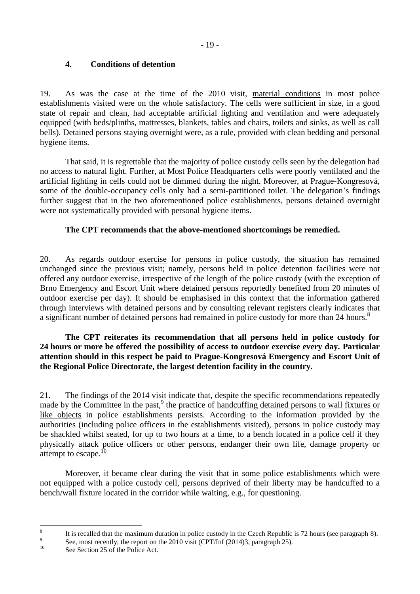### **4. Conditions of detention**

19. As was the case at the time of the 2010 visit, material conditions in most police establishments visited were on the whole satisfactory. The cells were sufficient in size, in a good state of repair and clean, had acceptable artificial lighting and ventilation and were adequately equipped (with beds/plinths, mattresses, blankets, tables and chairs, toilets and sinks, as well as call bells). Detained persons staying overnight were, as a rule, provided with clean bedding and personal hygiene items.

That said, it is regrettable that the majority of police custody cells seen by the delegation had no access to natural light. Further, at Most Police Headquarters cells were poorly ventilated and the artificial lighting in cells could not be dimmed during the night. Moreover, at Prague-Kongresová, some of the double-occupancy cells only had a semi-partitioned toilet. The delegation's findings further suggest that in the two aforementioned police establishments, persons detained overnight were not systematically provided with personal hygiene items.

### **The CPT recommends that the above-mentioned shortcomings be remedied.**

20. As regards outdoor exercise for persons in police custody, the situation has remained unchanged since the previous visit; namely, persons held in police detention facilities were not offered any outdoor exercise, irrespective of the length of the police custody (with the exception of Brno Emergency and Escort Unit where detained persons reportedly benefited from 20 minutes of outdoor exercise per day). It should be emphasised in this context that the information gathered through interviews with detained persons and by consulting relevant registers clearly indicates that a significant number of detained persons had remained in police custody for more than 24 hours.<sup>8</sup>

#### **The CPT reiterates its recommendation that all persons held in police custody for 24 hours or more be offered the possibility of access to outdoor exercise every day. Particular attention should in this respect be paid to Prague-Kongresová Emergency and Escort Unit of the Regional Police Directorate, the largest detention facility in the country.**

21. The findings of the 2014 visit indicate that, despite the specific recommendations repeatedly made by the Committee in the past,<sup>9</sup> the practice of handcuffing detained persons to wall fixtures or like objects in police establishments persists. According to the information provided by the authorities (including police officers in the establishments visited), persons in police custody may be shackled whilst seated, for up to two hours at a time, to a bench located in a police cell if they physically attack police officers or other persons, endanger their own life, damage property or attempt to escape. $^{10}$ 

Moreover, it became clear during the visit that in some police establishments which were not equipped with a police custody cell, persons deprived of their liberty may be handcuffed to a bench/wall fixture located in the corridor while waiting, e.g., for questioning.

 $\frac{1}{8}$ It is recalled that the maximum duration in police custody in the Czech Republic is 72 hours (see paragraph 8).

<sup>9</sup> See, most recently, the report on the 2010 visit (CPT/Inf (2014)3, paragraph 25).

<sup>&</sup>lt;sup>10</sup> See Section 25 of the Police Act.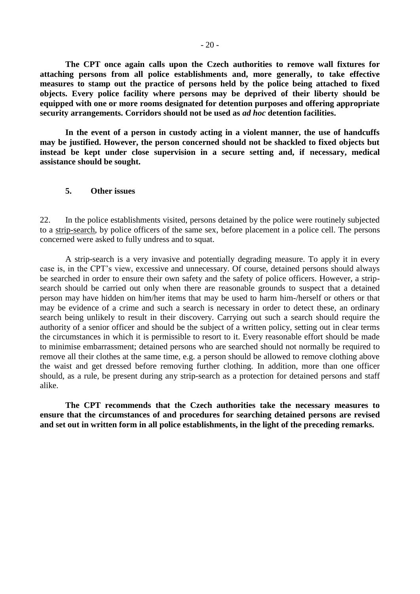**The CPT once again calls upon the Czech authorities to remove wall fixtures for attaching persons from all police establishments and, more generally, to take effective measures to stamp out the practice of persons held by the police being attached to fixed objects. Every police facility where persons may be deprived of their liberty should be equipped with one or more rooms designated for detention purposes and offering appropriate security arrangements. Corridors should not be used as** *ad hoc* **detention facilities.**

**In the event of a person in custody acting in a violent manner, the use of handcuffs may be justified. However, the person concerned should not be shackled to fixed objects but instead be kept under close supervision in a secure setting and, if necessary, medical assistance should be sought.**

#### <span id="page-19-0"></span>**5. Other issues**

22. In the police establishments visited, persons detained by the police were routinely subjected to a strip-search, by police officers of the same sex, before placement in a police cell. The persons concerned were asked to fully undress and to squat.

A strip-search is a very invasive and potentially degrading measure. To apply it in every case is, in the CPT's view, excessive and unnecessary. Of course, detained persons should always be searched in order to ensure their own safety and the safety of police officers. However, a stripsearch should be carried out only when there are reasonable grounds to suspect that a detained person may have hidden on him/her items that may be used to harm him-/herself or others or that may be evidence of a crime and such a search is necessary in order to detect these, an ordinary search being unlikely to result in their discovery. Carrying out such a search should require the authority of a senior officer and should be the subject of a written policy, setting out in clear terms the circumstances in which it is permissible to resort to it. Every reasonable effort should be made to minimise embarrassment; detained persons who are searched should not normally be required to remove all their clothes at the same time, e.g. a person should be allowed to remove clothing above the waist and get dressed before removing further clothing. In addition, more than one officer should, as a rule, be present during any strip-search as a protection for detained persons and staff alike.

**The CPT recommends that the Czech authorities take the necessary measures to ensure that the circumstances of and procedures for searching detained persons are revised and set out in written form in all police establishments, in the light of the preceding remarks.**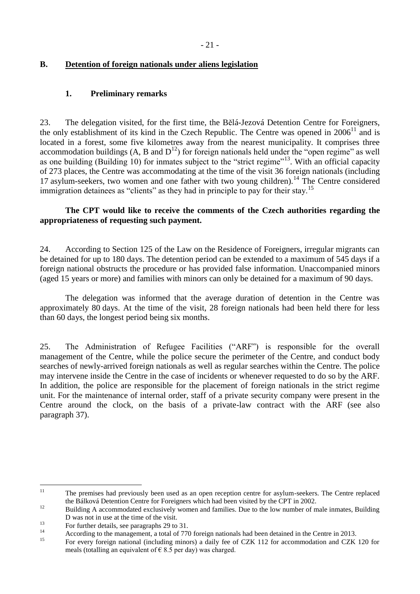## <span id="page-20-0"></span>**B. Detention of foreign nationals under aliens legislation**

### <span id="page-20-1"></span>**1. Preliminary remarks**

23. The delegation visited, for the first time, the Bělá-Jezová Detention Centre for Foreigners, the only establishment of its kind in the Czech Republic. The Centre was opened in  $2006<sup>11</sup>$  and is located in a forest, some five kilometres away from the nearest municipality. It comprises three accommodation buildings  $(A, B \text{ and } D^{12})$  for foreign nationals held under the "open regime" as well as one building (Building 10) for inmates subject to the "strict regime"<sup>13</sup>. With an official capacity of 273 places, the Centre was accommodating at the time of the visit 36 foreign nationals (including 17 asylum-seekers, two women and one father with two young children).<sup>14</sup> The Centre considered immigration detainees as "clients" as they had in principle to pay for their stay.<sup>15</sup>

### **The CPT would like to receive the comments of the Czech authorities regarding the appropriateness of requesting such payment.**

24. According to Section 125 of the Law on the Residence of Foreigners, irregular migrants can be detained for up to 180 days. The detention period can be extended to a maximum of 545 days if a foreign national obstructs the procedure or has provided false information. Unaccompanied minors (aged 15 years or more) and families with minors can only be detained for a maximum of 90 days.

The delegation was informed that the average duration of detention in the Centre was approximately 80 days. At the time of the visit, 28 foreign nationals had been held there for less than 60 days, the longest period being six months.

25. The Administration of Refugee Facilities ("ARF") is responsible for the overall management of the Centre, while the police secure the perimeter of the Centre, and conduct body searches of newly-arrived foreign nationals as well as regular searches within the Centre. The police may intervene inside the Centre in the case of incidents or whenever requested to do so by the ARF. In addition, the police are responsible for the placement of foreign nationals in the strict regime unit. For the maintenance of internal order, staff of a private security company were present in the Centre around the clock, on the basis of a private-law contract with the ARF (see also paragraph 37).

 $11\,$ <sup>11</sup> The premises had previously been used as an open reception centre for asylum-seekers. The Centre replaced the Bálková Detention Centre for Foreigners which had been visited by the CPT in 2002.

<sup>&</sup>lt;sup>12</sup> Building A accommodated exclusively women and families. Due to the low number of male inmates. Building D was not in use at the time of the visit.

<sup>&</sup>lt;sup>13</sup> For further details, see paragraphs 29 to 31.

<sup>&</sup>lt;sup>14</sup> According to the management, a total of 770 foreign nationals had been detained in the Centre in 2013.

<sup>15</sup> For every foreign national (including minors) a daily fee of CZK 112 for accommodation and CZK 120 for meals (totalling an equivalent of  $\epsilon$  8.5 per day) was charged.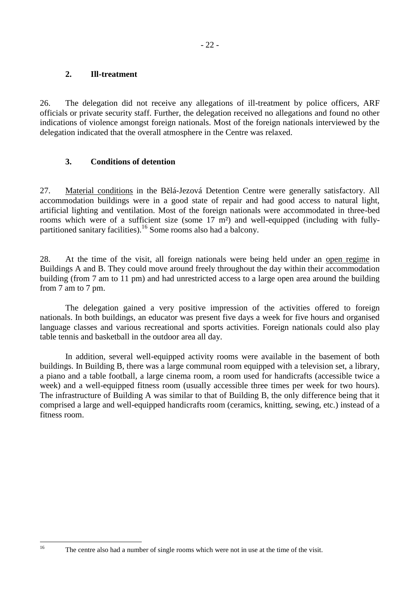#### <span id="page-21-0"></span>**2. Ill-treatment**

26. The delegation did not receive any allegations of ill-treatment by police officers, ARF officials or private security staff. Further, the delegation received no allegations and found no other indications of violence amongst foreign nationals. Most of the foreign nationals interviewed by the delegation indicated that the overall atmosphere in the Centre was relaxed.

### <span id="page-21-1"></span>**3. Conditions of detention**

27. Material conditions in the Bělá-Jezová Detention Centre were generally satisfactory. All accommodation buildings were in a good state of repair and had good access to natural light, artificial lighting and ventilation. Most of the foreign nationals were accommodated in three-bed rooms which were of a sufficient size (some 17 m²) and well-equipped (including with fullypartitioned sanitary facilities).<sup>16</sup> Some rooms also had a balcony.

28. At the time of the visit, all foreign nationals were being held under an open regime in Buildings A and B. They could move around freely throughout the day within their accommodation building (from 7 am to 11 pm) and had unrestricted access to a large open area around the building from 7 am to 7 pm.

The delegation gained a very positive impression of the activities offered to foreign nationals. In both buildings, an educator was present five days a week for five hours and organised language classes and various recreational and sports activities. Foreign nationals could also play table tennis and basketball in the outdoor area all day.

In addition, several well-equipped activity rooms were available in the basement of both buildings. In Building B, there was a large communal room equipped with a television set, a library, a piano and a table football, a large cinema room, a room used for handicrafts (accessible twice a week) and a well-equipped fitness room (usually accessible three times per week for two hours). The infrastructure of Building A was similar to that of Building B, the only difference being that it comprised a large and well-equipped handicrafts room (ceramics, knitting, sewing, etc.) instead of a fitness room.

 $16$ 

<sup>16</sup> The centre also had a number of single rooms which were not in use at the time of the visit.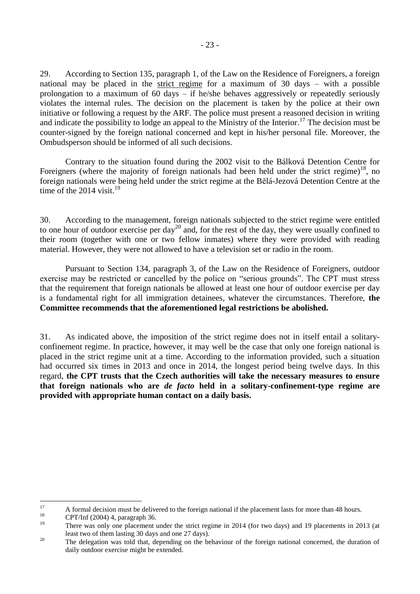29. According to Section 135, paragraph 1, of the Law on the Residence of Foreigners, a foreign national may be placed in the strict regime for a maximum of 30 days – with a possible prolongation to a maximum of 60 days – if he/she behaves aggressively or repeatedly seriously violates the internal rules. The decision on the placement is taken by the police at their own initiative or following a request by the ARF. The police must present a reasoned decision in writing and indicate the possibility to lodge an appeal to the Ministry of the Interior.<sup>17</sup> The decision must be counter-signed by the foreign national concerned and kept in his/her personal file. Moreover, the Ombudsperson should be informed of all such decisions.

Contrary to the situation found during the 2002 visit to the Bálková Detention Centre for Foreigners (where the majority of foreign nationals had been held under the strict regime)<sup>18</sup>, no foreign nationals were being held under the strict regime at the Bělá-Jezová Detention Centre at the time of the 2014 visit.<sup>19</sup>

30. According to the management, foreign nationals subjected to the strict regime were entitled to one hour of outdoor exercise per day<sup>20</sup> and, for the rest of the day, they were usually confined to their room (together with one or two fellow inmates) where they were provided with reading material. However, they were not allowed to have a television set or radio in the room.

Pursuant to Section 134, paragraph 3, of the Law on the Residence of Foreigners, outdoor exercise may be restricted or cancelled by the police on "serious grounds". The CPT must stress that the requirement that foreign nationals be allowed at least one hour of outdoor exercise per day is a fundamental right for all immigration detainees, whatever the circumstances. Therefore, **the Committee recommends that the aforementioned legal restrictions be abolished.**

31. As indicated above, the imposition of the strict regime does not in itself entail a solitaryconfinement regime. In practice, however, it may well be the case that only one foreign national is placed in the strict regime unit at a time. According to the information provided, such a situation had occurred six times in 2013 and once in 2014, the longest period being twelve days. In this regard, **the CPT trusts that the Czech authorities will take the necessary measures to ensure that foreign nationals who are** *de facto* **held in a solitary-confinement-type regime are provided with appropriate human contact on a daily basis.**

<sup>17</sup> <sup>17</sup> A formal decision must be delivered to the foreign national if the placement lasts for more than 48 hours.

<sup>&</sup>lt;sup>18</sup> CPT/Inf (2004) 4, paragraph 36.

<sup>19</sup> There was only one placement under the strict regime in 2014 (for two days) and 19 placements in 2013 (at least two of them lasting 30 days and one 27 days).

<sup>&</sup>lt;sup>20</sup> The delegation was told that, depending on the behaviour of the foreign national concerned, the duration of daily outdoor exercise might be extended.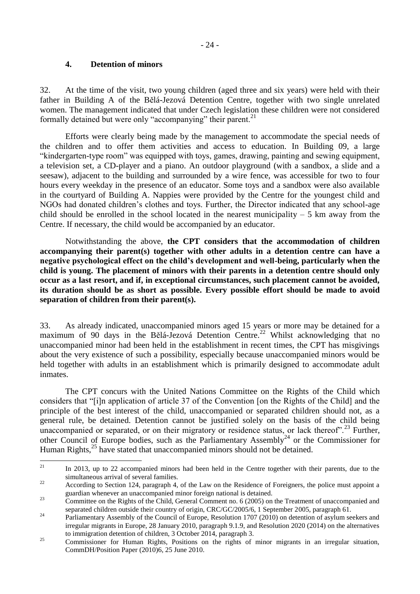#### **4. Detention of minors**

<span id="page-23-0"></span>32. At the time of the visit, two young children (aged three and six years) were held with their father in Building A of the Bělá-Jezová Detention Centre, together with two single unrelated women. The management indicated that under Czech legislation these children were not considered formally detained but were only "accompanying" their parent. $^{21}$ 

Efforts were clearly being made by the management to accommodate the special needs of the children and to offer them activities and access to education. In Building 09, a large "kindergarten-type room" was equipped with toys, games, drawing, painting and sewing equipment, a television set, a CD-player and a piano. An outdoor playground (with a sandbox, a slide and a seesaw), adjacent to the building and surrounded by a wire fence, was accessible for two to four hours every weekday in the presence of an educator. Some toys and a sandbox were also available in the courtyard of Building A. Nappies were provided by the Centre for the youngest child and NGOs had donated children's clothes and toys. Further, the Director indicated that any school-age child should be enrolled in the school located in the nearest municipality  $-5$  km away from the Centre. If necessary, the child would be accompanied by an educator.

Notwithstanding the above, **the CPT considers that the accommodation of children accompanying their parent(s) together with other adults in a detention centre can have a negative psychological effect on the child's development and well-being, particularly when the child is young. The placement of minors with their parents in a detention centre should only occur as a last resort, and if, in exceptional circumstances, such placement cannot be avoided, its duration should be as short as possible. Every possible effort should be made to avoid separation of children from their parent(s).**

33. As already indicated, unaccompanied minors aged 15 years or more may be detained for a maximum of 90 days in the Bělá-Jezová Detention Centre.<sup>22</sup> Whilst acknowledging that no unaccompanied minor had been held in the establishment in recent times, the CPT has misgivings about the very existence of such a possibility, especially because unaccompanied minors would be held together with adults in an establishment which is primarily designed to accommodate adult inmates.

The CPT concurs with the United Nations Committee on the Rights of the Child which considers that "[i]n application of article 37 of the Convention [on the Rights of the Child] and the principle of the best interest of the child, unaccompanied or separated children should not, as a general rule, be detained. Detention cannot be justified solely on the basis of the child being unaccompanied or separated, or on their migratory or residence status, or lack thereof".<sup>23</sup> Further, other Council of Europe bodies, such as the Parliamentary Assembly<sup>24</sup> or the Commissioner for Human Rights,<sup>25</sup> have stated that unaccompanied minors should not be detained.

<sup>21</sup> In 2013, up to 22 accompanied minors had been held in the Centre together with their parents, due to the simultaneous arrival of several families.

<sup>&</sup>lt;sup>22</sup> According to Section 124, paragraph 4, of the Law on the Residence of Foreigners, the police must appoint a guardian whenever an unaccompanied minor foreign national is detained.

<sup>&</sup>lt;sup>23</sup> Committee on the Rights of the Child, General Comment no. 6 (2005) on the Treatment of unaccompanied and separated children outside their country of origin, CRC/GC/2005/6, 1 September 2005, paragraph 61.

<sup>&</sup>lt;sup>24</sup> Parliamentary Assembly of the Council of Europe, Resolution 1707 (2010) on detention of asylum seekers and irregular migrants in Europe, 28 January 2010, paragraph 9.1.9, and Resolution 2020 (2014) on the alternatives to immigration detention of children, 3 October 2014, paragraph 3.

<sup>&</sup>lt;sup>25</sup> Commissioner for Human Rights, Positions on the rights of minor migrants in an irregular situation, CommDH/Position Paper (2010)6, 25 June 2010.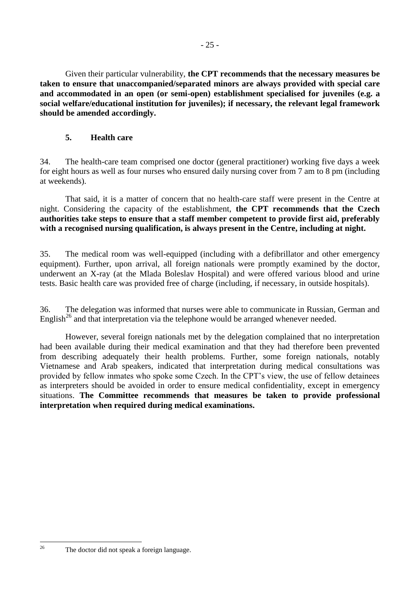Given their particular vulnerability, **the CPT recommends that the necessary measures be taken to ensure that unaccompanied/separated minors are always provided with special care and accommodated in an open (or semi-open) establishment specialised for juveniles (e.g. a social welfare/educational institution for juveniles); if necessary, the relevant legal framework should be amended accordingly.**

## **5. Health care**

<span id="page-24-0"></span>34. The health-care team comprised one doctor (general practitioner) working five days a week for eight hours as well as four nurses who ensured daily nursing cover from 7 am to 8 pm (including at weekends).

That said, it is a matter of concern that no health-care staff were present in the Centre at night. Considering the capacity of the establishment, **the CPT recommends that the Czech authorities take steps to ensure that a staff member competent to provide first aid, preferably with a recognised nursing qualification, is always present in the Centre, including at night.**

35. The medical room was well-equipped (including with a defibrillator and other emergency equipment). Further, upon arrival, all foreign nationals were promptly examined by the doctor, underwent an X-ray (at the Mlada Boleslav Hospital) and were offered various blood and urine tests. Basic health care was provided free of charge (including, if necessary, in outside hospitals).

36. The delegation was informed that nurses were able to communicate in Russian, German and English<sup>26</sup> and that interpretation via the telephone would be arranged whenever needed.

However, several foreign nationals met by the delegation complained that no interpretation had been available during their medical examination and that they had therefore been prevented from describing adequately their health problems. Further, some foreign nationals, notably Vietnamese and Arab speakers, indicated that interpretation during medical consultations was provided by fellow inmates who spoke some Czech. In the CPT's view, the use of fellow detainees as interpreters should be avoided in order to ensure medical confidentiality, except in emergency situations. **The Committee recommends that measures be taken to provide professional interpretation when required during medical examinations.**

 $26$ 

The doctor did not speak a foreign language.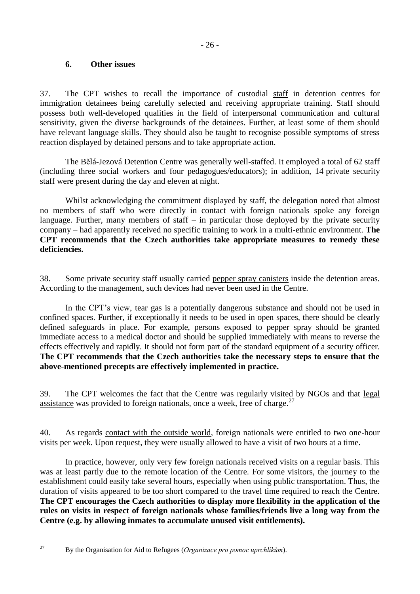#### <span id="page-25-0"></span>**6. Other issues**

37. The CPT wishes to recall the importance of custodial staff in detention centres for immigration detainees being carefully selected and receiving appropriate training. Staff should possess both well-developed qualities in the field of interpersonal communication and cultural sensitivity, given the diverse backgrounds of the detainees. Further, at least some of them should have relevant language skills. They should also be taught to recognise possible symptoms of stress reaction displayed by detained persons and to take appropriate action.

The Bělá-Jezová Detention Centre was generally well-staffed. It employed a total of 62 staff (including three social workers and four pedagogues/educators); in addition, 14 private security staff were present during the day and eleven at night.

Whilst acknowledging the commitment displayed by staff, the delegation noted that almost no members of staff who were directly in contact with foreign nationals spoke any foreign language. Further, many members of staff  $-$  in particular those deployed by the private security company – had apparently received no specific training to work in a multi-ethnic environment. **The CPT recommends that the Czech authorities take appropriate measures to remedy these deficiencies.**

38. Some private security staff usually carried pepper spray canisters inside the detention areas. According to the management, such devices had never been used in the Centre.

In the CPT's view, tear gas is a potentially dangerous substance and should not be used in confined spaces. Further, if exceptionally it needs to be used in open spaces, there should be clearly defined safeguards in place. For example, persons exposed to pepper spray should be granted immediate access to a medical doctor and should be supplied immediately with means to reverse the effects effectively and rapidly. It should not form part of the standard equipment of a security officer. **The CPT recommends that the Czech authorities take the necessary steps to ensure that the above-mentioned precepts are effectively implemented in practice.** 

39. The CPT welcomes the fact that the Centre was regularly visited by NGOs and that legal assistance was provided to foreign nationals, once a week, free of charge.<sup>27</sup>

40. As regards contact with the outside world, foreign nationals were entitled to two one-hour visits per week. Upon request, they were usually allowed to have a visit of two hours at a time.

In practice, however, only very few foreign nationals received visits on a regular basis. This was at least partly due to the remote location of the Centre. For some visitors, the journey to the establishment could easily take several hours, especially when using public transportation. Thus, the duration of visits appeared to be too short compared to the travel time required to reach the Centre. **The CPT encourages the Czech authorities to display more flexibility in the application of the rules on visits in respect of foreign nationals whose families/friends live a long way from the Centre (e.g. by allowing inmates to accumulate unused visit entitlements).**

 $27$ 

<sup>27</sup> By the Organisation for Aid to Refugees (*Organizace pro pomoc uprchlíkům*).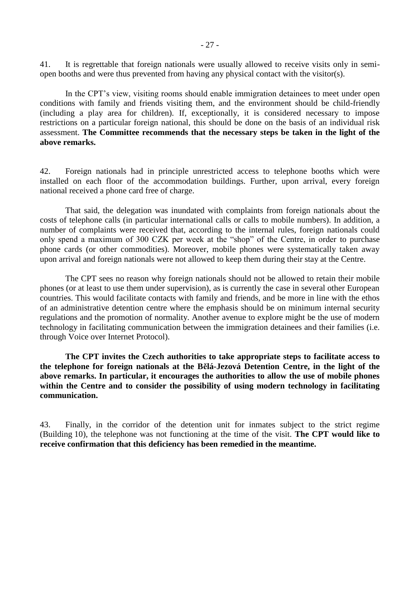41. It is regrettable that foreign nationals were usually allowed to receive visits only in semiopen booths and were thus prevented from having any physical contact with the visitor(s).

In the CPT's view, visiting rooms should enable immigration detainees to meet under open conditions with family and friends visiting them, and the environment should be child-friendly (including a play area for children). If, exceptionally, it is considered necessary to impose restrictions on a particular foreign national, this should be done on the basis of an individual risk assessment. **The Committee recommends that the necessary steps be taken in the light of the above remarks.**

42. Foreign nationals had in principle unrestricted access to telephone booths which were installed on each floor of the accommodation buildings. Further, upon arrival, every foreign national received a phone card free of charge.

That said, the delegation was inundated with complaints from foreign nationals about the costs of telephone calls (in particular international calls or calls to mobile numbers). In addition, a number of complaints were received that, according to the internal rules, foreign nationals could only spend a maximum of 300 CZK per week at the "shop" of the Centre, in order to purchase phone cards (or other commodities). Moreover, mobile phones were systematically taken away upon arrival and foreign nationals were not allowed to keep them during their stay at the Centre.

The CPT sees no reason why foreign nationals should not be allowed to retain their mobile phones (or at least to use them under supervision), as is currently the case in several other European countries. This would facilitate contacts with family and friends, and be more in line with the ethos of an administrative detention centre where the emphasis should be on minimum internal security regulations and the promotion of normality. Another avenue to explore might be the use of modern technology in facilitating communication between the immigration detainees and their families (i.e. through Voice over Internet Protocol).

**The CPT invites the Czech authorities to take appropriate steps to facilitate access to the telephone for foreign nationals at the Bělá-Jezová Detention Centre, in the light of the above remarks. In particular, it encourages the authorities to allow the use of mobile phones within the Centre and to consider the possibility of using modern technology in facilitating communication.**

43. Finally, in the corridor of the detention unit for inmates subject to the strict regime (Building 10), the telephone was not functioning at the time of the visit. **The CPT would like to receive confirmation that this deficiency has been remedied in the meantime.**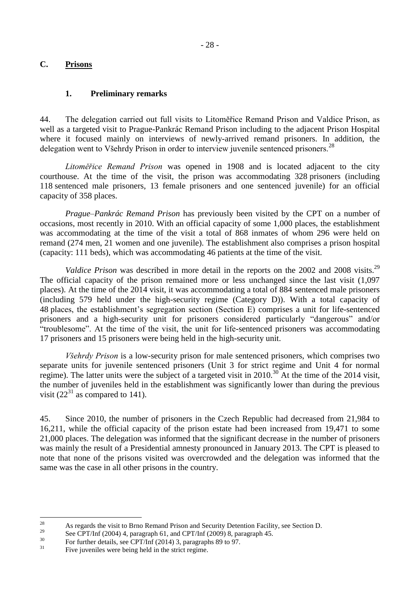### <span id="page-27-0"></span>**C. Prisons**

#### **1. Preliminary remarks**

<span id="page-27-1"></span>44. The delegation carried out full visits to Litoměřice Remand Prison and Valdice Prison, as well as a targeted visit to Prague-Pankrác Remand Prison including to the adjacent Prison Hospital where it focused mainly on interviews of newly-arrived remand prisoners. In addition, the delegation went to Všehrdy Prison in order to interview juvenile sentenced prisoners.<sup>28</sup>

*Litoměřice Remand Prison* was opened in 1908 and is located adjacent to the city courthouse. At the time of the visit, the prison was accommodating 328 prisoners (including 118 sentenced male prisoners, 13 female prisoners and one sentenced juvenile) for an official capacity of 358 places.

*Prague–Pankrác Remand Prison* has previously been visited by the CPT on a number of occasions, most recently in 2010. With an official capacity of some 1,000 places, the establishment was accommodating at the time of the visit a total of 868 inmates of whom 296 were held on remand (274 men, 21 women and one juvenile). The establishment also comprises a prison hospital (capacity: 111 beds), which was accommodating 46 patients at the time of the visit.

*Valdice Prison* was described in more detail in the reports on the 2002 and 2008 visits.<sup>29</sup> The official capacity of the prison remained more or less unchanged since the last visit (1,097 places). At the time of the 2014 visit, it was accommodating a total of 884 sentenced male prisoners (including 579 held under the high-security regime (Category D)). With a total capacity of 48 places, the establishment's segregation section (Section E) comprises a unit for life-sentenced prisoners and a high-security unit for prisoners considered particularly "dangerous" and/or "troublesome". At the time of the visit, the unit for life-sentenced prisoners was accommodating 17 prisoners and 15 prisoners were being held in the high-security unit.

*Všehrdy Prison* is a low-security prison for male sentenced prisoners, which comprises two separate units for juvenile sentenced prisoners (Unit 3 for strict regime and Unit 4 for normal regime). The latter units were the subject of a targeted visit in 2010.<sup>30</sup> At the time of the 2014 visit, the number of juveniles held in the establishment was significantly lower than during the previous visit  $(22^{31} \text{ as compared to } 141)$ .

45. Since 2010, the number of prisoners in the Czech Republic had decreased from 21,984 to 16,211, while the official capacity of the prison estate had been increased from 19,471 to some 21,000 places. The delegation was informed that the significant decrease in the number of prisoners was mainly the result of a Presidential amnesty pronounced in January 2013. The CPT is pleased to note that none of the prisons visited was overcrowded and the delegation was informed that the same was the case in all other prisons in the country.

 $28$ <sup>28</sup> As regards the visit to Brno Remand Prison and Security Detention Facility, see Section D.

<sup>&</sup>lt;sup>29</sup> See CPT/Inf (2004) 4, paragraph 61, and CPT/Inf (2009) 8, paragraph 45.

 $^{30}$  For further details, see CPT/Inf (2014) 3, paragraphs 89 to 97.

Five juveniles were being held in the strict regime.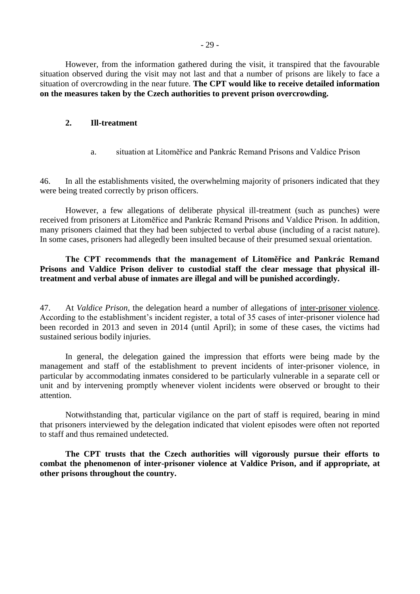However, from the information gathered during the visit, it transpired that the favourable situation observed during the visit may not last and that a number of prisons are likely to face a situation of overcrowding in the near future. **The CPT would like to receive detailed information on the measures taken by the Czech authorities to prevent prison overcrowding.**

#### <span id="page-28-0"></span>**2. Ill-treatment**

a. situation at Litoměřice and Pankrác Remand Prisons and Valdice Prison

<span id="page-28-1"></span>46. In all the establishments visited, the overwhelming majority of prisoners indicated that they were being treated correctly by prison officers.

However, a few allegations of deliberate physical ill-treatment (such as punches) were received from prisoners at Litoměřice and Pankrác Remand Prisons and Valdice Prison. In addition, many prisoners claimed that they had been subjected to verbal abuse (including of a racist nature). In some cases, prisoners had allegedly been insulted because of their presumed sexual orientation.

**The CPT recommends that the management of Litoměřice and Pankrác Remand Prisons and Valdice Prison deliver to custodial staff the clear message that physical illtreatment and verbal abuse of inmates are illegal and will be punished accordingly.**

47. At *Valdice Prison*, the delegation heard a number of allegations of inter-prisoner violence. According to the establishment's incident register, a total of 35 cases of inter-prisoner violence had been recorded in 2013 and seven in 2014 (until April); in some of these cases, the victims had sustained serious bodily injuries.

In general, the delegation gained the impression that efforts were being made by the management and staff of the establishment to prevent incidents of inter-prisoner violence, in particular by accommodating inmates considered to be particularly vulnerable in a separate cell or unit and by intervening promptly whenever violent incidents were observed or brought to their attention.

Notwithstanding that, particular vigilance on the part of staff is required, bearing in mind that prisoners interviewed by the delegation indicated that violent episodes were often not reported to staff and thus remained undetected.

**The CPT trusts that the Czech authorities will vigorously pursue their efforts to combat the phenomenon of inter-prisoner violence at Valdice Prison, and if appropriate, at other prisons throughout the country.**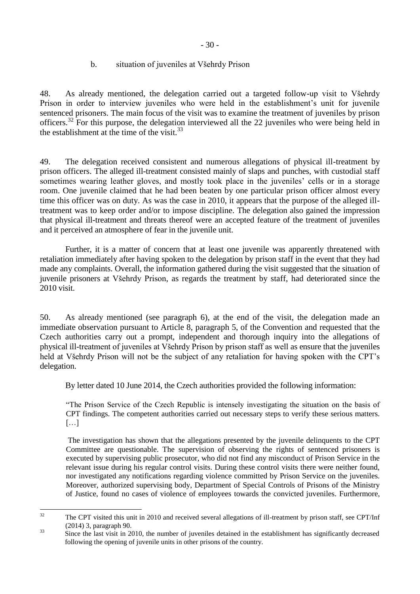## b. situation of juveniles at Všehrdy Prison

<span id="page-29-0"></span>48. As already mentioned, the delegation carried out a targeted follow-up visit to Všehrdy Prison in order to interview juveniles who were held in the establishment's unit for juvenile sentenced prisoners. The main focus of the visit was to examine the treatment of juveniles by prison officers.<sup>32</sup> For this purpose, the delegation interviewed all the 22 juveniles who were being held in the establishment at the time of the visit. $33$ 

49. The delegation received consistent and numerous allegations of physical ill-treatment by prison officers. The alleged ill-treatment consisted mainly of slaps and punches, with custodial staff sometimes wearing leather gloves, and mostly took place in the juveniles' cells or in a storage room. One juvenile claimed that he had been beaten by one particular prison officer almost every time this officer was on duty. As was the case in 2010, it appears that the purpose of the alleged illtreatment was to keep order and/or to impose discipline. The delegation also gained the impression that physical ill-treatment and threats thereof were an accepted feature of the treatment of juveniles and it perceived an atmosphere of fear in the juvenile unit.

Further, it is a matter of concern that at least one juvenile was apparently threatened with retaliation immediately after having spoken to the delegation by prison staff in the event that they had made any complaints. Overall, the information gathered during the visit suggested that the situation of juvenile prisoners at Všehrdy Prison, as regards the treatment by staff, had deteriorated since the 2010 visit.

50. As already mentioned (see paragraph 6), at the end of the visit, the delegation made an immediate observation pursuant to Article 8, paragraph 5, of the Convention and requested that the Czech authorities carry out a prompt, independent and thorough inquiry into the allegations of physical ill-treatment of juveniles at Všehrdy Prison by prison staff as well as ensure that the juveniles held at Všehrdy Prison will not be the subject of any retaliation for having spoken with the CPT's delegation.

By letter dated 10 June 2014, the Czech authorities provided the following information:

"The Prison Service of the Czech Republic is intensely investigating the situation on the basis of CPT findings. The competent authorities carried out necessary steps to verify these serious matters. […]

The investigation has shown that the allegations presented by the juvenile delinquents to the CPT Committee are questionable. The supervision of observing the rights of sentenced prisoners is executed by supervising public prosecutor, who did not find any misconduct of Prison Service in the relevant issue during his regular control visits. During these control visits there were neither found, nor investigated any notifications regarding violence committed by Prison Service on the juveniles. Moreover, authorized supervising body, Department of Special Controls of Prisons of the Ministry of Justice, found no cases of violence of employees towards the convicted juveniles. Furthermore,

 $32$ <sup>32</sup> The CPT visited this unit in 2010 and received several allegations of ill-treatment by prison staff, see CPT/Inf (2014) 3, paragraph 90.

<sup>&</sup>lt;sup>33</sup> Since the last visit in 2010, the number of juveniles detained in the establishment has significantly decreased following the opening of juvenile units in other prisons of the country.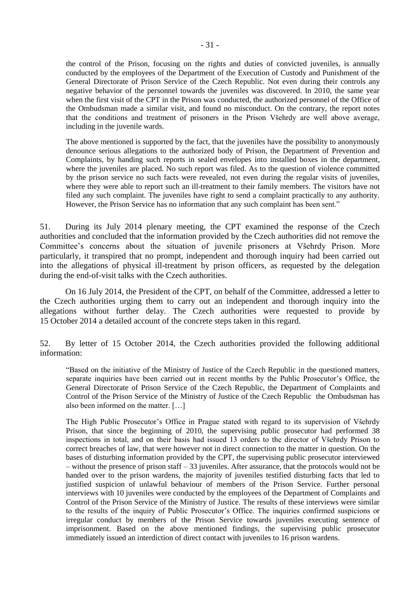the control of the Prison, focusing on the rights and duties of convicted juveniles, is annually conducted by the employees of the Department of the Execution of Custody and Punishment of the General Directorate of Prison Service of the Czech Republic. Not even during their controls any negative behavior of the personnel towards the juveniles was discovered. In 2010, the same year when the first visit of the CPT in the Prison was conducted, the authorized personnel of the Office of the Ombudsman made a similar visit, and found no misconduct. On the contrary, the report notes that the conditions and treatment of prisoners in the Prison Všehrdy are well above average, including in the juvenile wards.

The above mentioned is supported by the fact, that the juveniles have the possibility to anonymously denounce serious allegations to the authorized body of Prison, the Department of Prevention and Complaints, by handing such reports in sealed envelopes into installed boxes in the department, where the juveniles are placed. No such report was filed. As to the question of violence committed by the prison service no such facts were revealed, not even during the regular visits of juveniles, where they were able to report such an ill-treatment to their family members. The visitors have not filed any such complaint. The juveniles have right to send a complaint practically to any authority. However, the Prison Service has no information that any such complaint has been sent."

51. During its July 2014 plenary meeting, the CPT examined the response of the Czech authorities and concluded that the information provided by the Czech authorities did not remove the Committee's concerns about the situation of juvenile prisoners at Všehrdy Prison. More particularly, it transpired that no prompt, independent and thorough inquiry had been carried out into the allegations of physical ill-treatment by prison officers, as requested by the delegation during the end-of-visit talks with the Czech authorities.

On 16 July 2014, the President of the CPT, on behalf of the Committee, addressed a letter to the Czech authorities urging them to carry out an independent and thorough inquiry into the allegations without further delay. The Czech authorities were requested to provide by 15 October 2014 a detailed account of the concrete steps taken in this regard.

52. By letter of 15 October 2014, the Czech authorities provided the following additional information:

"Based on the initiative of the Ministry of Justice of the Czech Republic in the questioned matters, separate inquiries have been carried out in recent months by the Public Prosecutor's Office, the General Directorate of Prison Service of the Czech Republic, the Department of Complaints and Control of the Prison Service of the Ministry of Justice of the Czech Republic the Ombudsman has also been informed on the matter. […]

The High Public Prosecutor's Office in Prague stated with regard to its supervision of Všehrdy Prison, that since the beginning of 2010, the supervising public prosecutor had performed 38 inspections in total, and on their basis had issued 13 orders to the director of Všehrdy Prison to correct breaches of law, that were however not in direct connection to the matter in question. On the bases of disturbing information provided by the CPT, the supervising public prosecutor interviewed – without the presence of prison staff – 33 juveniles. After assurance, that the protocols would not be handed over to the prison wardens, the majority of juveniles testified disturbing facts that led to justified suspicion of unlawful behaviour of members of the Prison Service. Further personal interviews with 10 juveniles were conducted by the employees of the Department of Complaints and Control of the Prison Service of the Ministry of Justice. The results of these interviews were similar to the results of the inquiry of Public Prosecutor's Office. The inquiries confirmed suspicions or irregular conduct by members of the Prison Service towards juveniles executing sentence of imprisonment. Based on the above mentioned findings, the supervising public prosecutor immediately issued an interdiction of direct contact with juveniles to 16 prison wardens.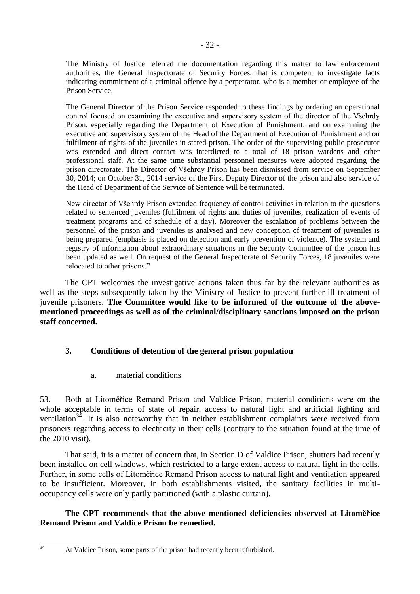The Ministry of Justice referred the documentation regarding this matter to law enforcement authorities, the General Inspectorate of Security Forces, that is competent to investigate facts indicating commitment of a criminal offence by a perpetrator, who is a member or employee of the Prison Service.

The General Director of the Prison Service responded to these findings by ordering an operational control focused on examining the executive and supervisory system of the director of the Všehrdy Prison, especially regarding the Department of Execution of Punishment; and on examining the executive and supervisory system of the Head of the Department of Execution of Punishment and on fulfilment of rights of the juveniles in stated prison. The order of the supervising public prosecutor was extended and direct contact was interdicted to a total of 18 prison wardens and other professional staff. At the same time substantial personnel measures were adopted regarding the prison directorate. The Director of Všehrdy Prison has been dismissed from service on September 30, 2014; on October 31, 2014 service of the First Deputy Director of the prison and also service of the Head of Department of the Service of Sentence will be terminated.

New director of Všehrdy Prison extended frequency of control activities in relation to the questions related to sentenced juveniles (fulfilment of rights and duties of juveniles, realization of events of treatment programs and of schedule of a day). Moreover the escalation of problems between the personnel of the prison and juveniles is analysed and new conception of treatment of juveniles is being prepared (emphasis is placed on detection and early prevention of violence). The system and registry of information about extraordinary situations in the Security Committee of the prison has been updated as well. On request of the General Inspectorate of Security Forces, 18 juveniles were relocated to other prisons."

The CPT welcomes the investigative actions taken thus far by the relevant authorities as well as the steps subsequently taken by the Ministry of Justice to prevent further ill-treatment of juvenile prisoners. **The Committee would like to be informed of the outcome of the abovementioned proceedings as well as of the criminal/disciplinary sanctions imposed on the prison staff concerned.**

### <span id="page-31-0"></span>**3. Conditions of detention of the general prison population**

a. material conditions

<span id="page-31-1"></span>53. Both at Litoměřice Remand Prison and Valdice Prison, material conditions were on the whole acceptable in terms of state of repair, access to natural light and artificial lighting and ventilation<sup>34</sup>. It is also noteworthy that in neither establishment complaints were received from prisoners regarding access to electricity in their cells (contrary to the situation found at the time of the 2010 visit).

That said, it is a matter of concern that, in Section D of Valdice Prison, shutters had recently been installed on cell windows, which restricted to a large extent access to natural light in the cells. Further, in some cells of Litoměřice Remand Prison access to natural light and ventilation appeared to be insufficient. Moreover, in both establishments visited, the sanitary facilities in multioccupancy cells were only partly partitioned (with a plastic curtain).

### **The CPT recommends that the above-mentioned deficiencies observed at Litoměřice Remand Prison and Valdice Prison be remedied.**

 $34$ 

At Valdice Prison, some parts of the prison had recently been refurbished.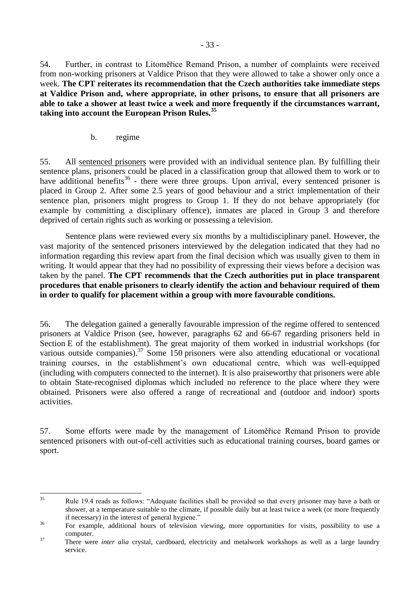54. Further, in contrast to Litoměřice Remand Prison, a number of complaints were received from non-working prisoners at Valdice Prison that they were allowed to take a shower only once a week. **The CPT reiterates its recommendation that the Czech authorities take immediate steps at Valdice Prison and, where appropriate, in other prisons, to ensure that all prisoners are able to take a shower at least twice a week and more frequently if the circumstances warrant, taking into account the European Prison Rules.<sup>35</sup>**

b. regime

<span id="page-32-0"></span>55. All sentenced prisoners were provided with an individual sentence plan. By fulfilling their sentence plans, prisoners could be placed in a classification group that allowed them to work or to have additional benefits<sup>36</sup> - there were three groups. Upon arrival, every sentenced prisoner is placed in Group 2. After some 2.5 years of good behaviour and a strict implementation of their sentence plan, prisoners might progress to Group 1. If they do not behave appropriately (for example by committing a disciplinary offence), inmates are placed in Group 3 and therefore deprived of certain rights such as working or possessing a television.

Sentence plans were reviewed every six months by a multidisciplinary panel. However, the vast majority of the sentenced prisoners interviewed by the delegation indicated that they had no information regarding this review apart from the final decision which was usually given to them in writing. It would appear that they had no possibility of expressing their views before a decision was taken by the panel. **The CPT recommends that the Czech authorities put in place transparent procedures that enable prisoners to clearly identify the action and behaviour required of them in order to qualify for placement within a group with more favourable conditions.**

56. The delegation gained a generally favourable impression of the regime offered to sentenced prisoners at Valdice Prison (see, however, paragraphs 62 and 66-67 regarding prisoners held in Section E of the establishment). The great majority of them worked in industrial workshops (for various outside companies).<sup>37</sup> Some 150 prisoners were also attending educational or vocational training courses, in the establishment's own educational centre, which was well-equipped (including with computers connected to the internet). It is also praiseworthy that prisoners were able to obtain State-recognised diplomas which included no reference to the place where they were obtained. Prisoners were also offered a range of recreational and (outdoor and indoor) sports activities.

57. Some efforts were made by the management of Litoměřice Remand Prison to provide sentenced prisoners with out-of-cell activities such as educational training courses, board games or sport.

<sup>35</sup> <sup>35</sup> Rule 19.4 reads as follows: "Adequate facilities shall be provided so that every prisoner may have a bath or shower, at a temperature suitable to the climate, if possible daily but at least twice a week (or more frequently if necessary) in the interest of general hygiene."

<sup>&</sup>lt;sup>36</sup> For example, additional hours of television viewing, more opportunities for visits, possibility to use a computer.

<sup>&</sup>lt;sup>37</sup> There were *inter alia* crystal, cardboard, electricity and metalwork workshops as well as a large laundry service.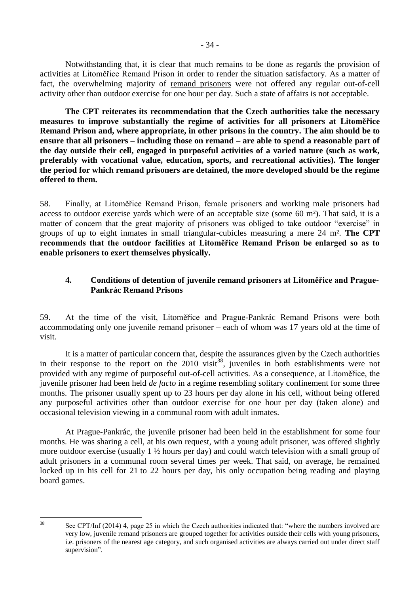Notwithstanding that, it is clear that much remains to be done as regards the provision of activities at Litoměřice Remand Prison in order to render the situation satisfactory. As a matter of fact, the overwhelming majority of remand prisoners were not offered any regular out-of-cell activity other than outdoor exercise for one hour per day. Such a state of affairs is not acceptable.

**The CPT reiterates its recommendation that the Czech authorities take the necessary measures to improve substantially the regime of activities for all prisoners at Litoměřice Remand Prison and, where appropriate, in other prisons in the country. The aim should be to ensure that all prisoners – including those on remand – are able to spend a reasonable part of the day outside their cell, engaged in purposeful activities of a varied nature (such as work, preferably with vocational value, education, sports, and recreational activities). The longer the period for which remand prisoners are detained, the more developed should be the regime offered to them.**

58. Finally, at Litoměřice Remand Prison, female prisoners and working male prisoners had access to outdoor exercise yards which were of an acceptable size (some 60 m²). That said, it is a matter of concern that the great majority of prisoners was obliged to take outdoor "exercise" in groups of up to eight inmates in small triangular-cubicles measuring a mere 24 m². **The CPT recommends that the outdoor facilities at Litoměřice Remand Prison be enlarged so as to enable prisoners to exert themselves physically.**

### <span id="page-33-0"></span>**4. Conditions of detention of juvenile remand prisoners at Litoměřice and Prague-Pankrác Remand Prisons**

59. At the time of the visit, Litoměřice and Prague-Pankrác Remand Prisons were both accommodating only one juvenile remand prisoner – each of whom was 17 years old at the time of visit.

It is a matter of particular concern that, despite the assurances given by the Czech authorities in their response to the report on the 2010 visit<sup>38</sup>, juveniles in both establishments were not provided with any regime of purposeful out-of-cell activities. As a consequence, at Litoměřice, the juvenile prisoner had been held *de facto* in a regime resembling solitary confinement for some three months. The prisoner usually spent up to 23 hours per day alone in his cell, without being offered any purposeful activities other than outdoor exercise for one hour per day (taken alone) and occasional television viewing in a communal room with adult inmates.

At Prague-Pankrác, the juvenile prisoner had been held in the establishment for some four months. He was sharing a cell, at his own request, with a young adult prisoner, was offered slightly more outdoor exercise (usually 1 ½ hours per day) and could watch television with a small group of adult prisoners in a communal room several times per week. That said, on average, he remained locked up in his cell for 21 to 22 hours per day, his only occupation being reading and playing board games.

 $38$ 

See CPT/Inf (2014) 4, page 25 in which the Czech authorities indicated that: "where the numbers involved are very low, juvenile remand prisoners are grouped together for activities outside their cells with young prisoners, i.e. prisoners of the nearest age category, and such organised activities are always carried out under direct staff supervision".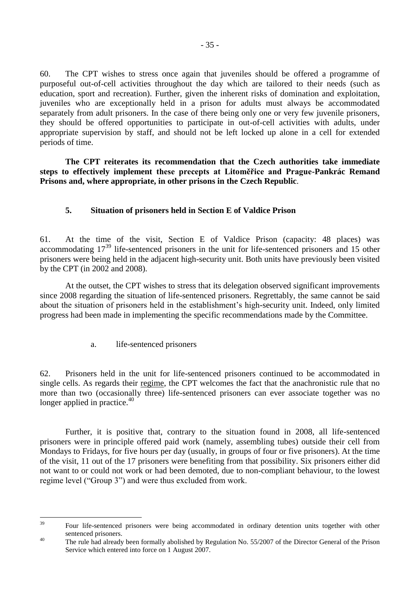60. The CPT wishes to stress once again that juveniles should be offered a programme of purposeful out-of-cell activities throughout the day which are tailored to their needs (such as education, sport and recreation). Further, given the inherent risks of domination and exploitation, juveniles who are exceptionally held in a prison for adults must always be accommodated separately from adult prisoners. In the case of there being only one or very few juvenile prisoners, they should be offered opportunities to participate in out-of-cell activities with adults, under appropriate supervision by staff, and should not be left locked up alone in a cell for extended periods of time.

**The CPT reiterates its recommendation that the Czech authorities take immediate steps to effectively implement these precepts at Litoměřice and Prague-Pankrác Remand Prisons and, where appropriate, in other prisons in the Czech Republic**.

### <span id="page-34-0"></span>**5. Situation of prisoners held in Section E of Valdice Prison**

61. At the time of the visit, Section E of Valdice Prison (capacity: 48 places) was accommodating 17<sup>39</sup> life-sentenced prisoners in the unit for life-sentenced prisoners and 15 other prisoners were being held in the adjacent high-security unit. Both units have previously been visited by the CPT (in 2002 and 2008).

At the outset, the CPT wishes to stress that its delegation observed significant improvements since 2008 regarding the situation of life-sentenced prisoners. Regrettably, the same cannot be said about the situation of prisoners held in the establishment's high-security unit. Indeed, only limited progress had been made in implementing the specific recommendations made by the Committee.

a. life-sentenced prisoners

<span id="page-34-1"></span>62. Prisoners held in the unit for life-sentenced prisoners continued to be accommodated in single cells. As regards their regime, the CPT welcomes the fact that the anachronistic rule that no more than two (occasionally three) life-sentenced prisoners can ever associate together was no longer applied in practice. $40$ 

Further, it is positive that, contrary to the situation found in 2008, all life-sentenced prisoners were in principle offered paid work (namely, assembling tubes) outside their cell from Mondays to Fridays, for five hours per day (usually, in groups of four or five prisoners). At the time of the visit, 11 out of the 17 prisoners were benefiting from that possibility. Six prisoners either did not want to or could not work or had been demoted, due to non-compliant behaviour, to the lowest regime level ("Group 3") and were thus excluded from work.

 $39$ <sup>39</sup> Four life-sentenced prisoners were being accommodated in ordinary detention units together with other sentenced prisoners.

<sup>&</sup>lt;sup>40</sup> The rule had already been formally abolished by Regulation No. 55/2007 of the Director General of the Prison Service which entered into force on 1 August 2007.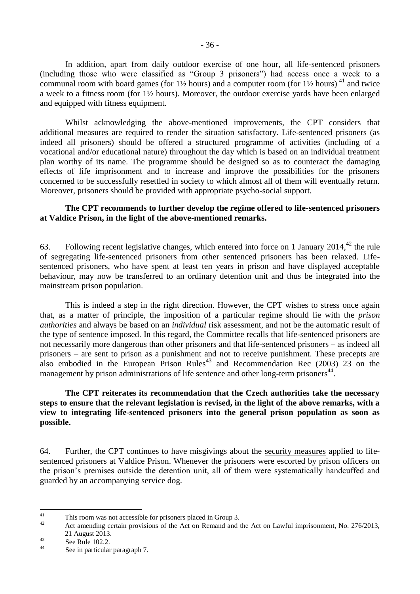In addition, apart from daily outdoor exercise of one hour, all life-sentenced prisoners (including those who were classified as "Group 3 prisoners") had access once a week to a communal room with board games (for  $1\frac{1}{2}$  hours) and a computer room (for  $1\frac{1}{2}$  hours)  $41$  and twice a week to a fitness room (for 1½ hours). Moreover, the outdoor exercise yards have been enlarged and equipped with fitness equipment.

Whilst acknowledging the above-mentioned improvements, the CPT considers that additional measures are required to render the situation satisfactory. Life-sentenced prisoners (as indeed all prisoners) should be offered a structured programme of activities (including of a vocational and/or educational nature) throughout the day which is based on an individual treatment plan worthy of its name. The programme should be designed so as to counteract the damaging effects of life imprisonment and to increase and improve the possibilities for the prisoners concerned to be successfully resettled in society to which almost all of them will eventually return. Moreover, prisoners should be provided with appropriate psycho-social support.

#### **The CPT recommends to further develop the regime offered to life-sentenced prisoners at Valdice Prison, in the light of the above-mentioned remarks.**

63. Following recent legislative changes, which entered into force on 1 January 2014,  $42$  the rule of segregating life-sentenced prisoners from other sentenced prisoners has been relaxed. Lifesentenced prisoners, who have spent at least ten years in prison and have displayed acceptable behaviour, may now be transferred to an ordinary detention unit and thus be integrated into the mainstream prison population.

This is indeed a step in the right direction. However, the CPT wishes to stress once again that, as a matter of principle, the imposition of a particular regime should lie with the *prison authorities* and always be based on an *individual* risk assessment, and not be the automatic result of the type of sentence imposed. In this regard, the Committee recalls that life-sentenced prisoners are not necessarily more dangerous than other prisoners and that life-sentenced prisoners – as indeed all prisoners – are sent to prison as a punishment and not to receive punishment. These precepts are also embodied in the European Prison Rules<sup>43</sup> and Recommendation Rec (2003) 23 on the management by prison administrations of life sentence and other long-term prisoners<sup>44</sup>.

#### **The CPT reiterates its recommendation that the Czech authorities take the necessary steps to ensure that the relevant legislation is revised, in the light of the above remarks, with a view to integrating life-sentenced prisoners into the general prison population as soon as possible.**

64. Further, the CPT continues to have misgivings about the security measures applied to lifesentenced prisoners at Valdice Prison. Whenever the prisoners were escorted by prison officers on the prison's premises outside the detention unit, all of them were systematically handcuffed and guarded by an accompanying service dog.

 $41$ <sup>41</sup> This room was not accessible for prisoners placed in Group 3.

Act amending certain provisions of the Act on Remand and the Act on Lawful imprisonment, No. 276/2013, 21 August 2013.

 $\frac{43}{44}$  See Rule 102.2.

See in particular paragraph 7.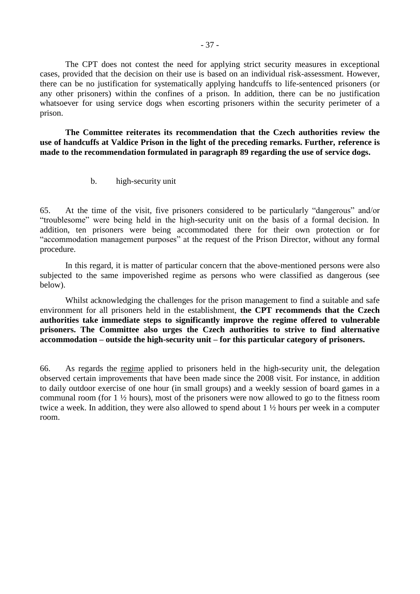The CPT does not contest the need for applying strict security measures in exceptional cases, provided that the decision on their use is based on an individual risk-assessment. However, there can be no justification for systematically applying handcuffs to life-sentenced prisoners (or any other prisoners) within the confines of a prison. In addition, there can be no justification whatsoever for using service dogs when escorting prisoners within the security perimeter of a prison.

**The Committee reiterates its recommendation that the Czech authorities review the use of handcuffs at Valdice Prison in the light of the preceding remarks. Further, reference is made to the recommendation formulated in paragraph 89 regarding the use of service dogs.**

b. high-security unit

65. At the time of the visit, five prisoners considered to be particularly "dangerous" and/or "troublesome" were being held in the high-security unit on the basis of a formal decision. In addition, ten prisoners were being accommodated there for their own protection or for "accommodation management purposes" at the request of the Prison Director, without any formal procedure.

In this regard, it is matter of particular concern that the above-mentioned persons were also subjected to the same impoverished regime as persons who were classified as dangerous (see below).

Whilst acknowledging the challenges for the prison management to find a suitable and safe environment for all prisoners held in the establishment, **the CPT recommends that the Czech authorities take immediate steps to significantly improve the regime offered to vulnerable prisoners. The Committee also urges the Czech authorities to strive to find alternative accommodation – outside the high-security unit – for this particular category of prisoners.**

66. As regards the regime applied to prisoners held in the high-security unit, the delegation observed certain improvements that have been made since the 2008 visit. For instance, in addition to daily outdoor exercise of one hour (in small groups) and a weekly session of board games in a communal room (for 1 ½ hours), most of the prisoners were now allowed to go to the fitness room twice a week. In addition, they were also allowed to spend about 1 ½ hours per week in a computer room.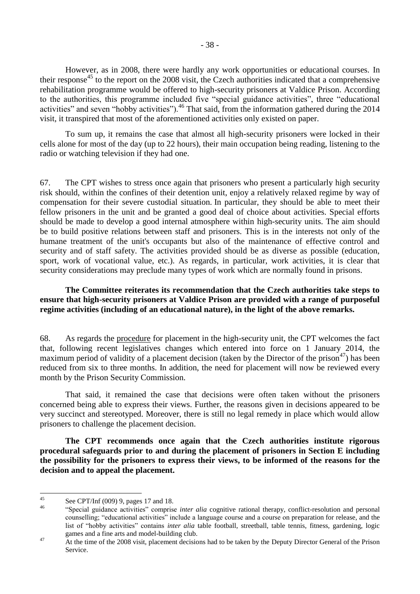However, as in 2008, there were hardly any work opportunities or educational courses. In their response<sup>45</sup> to the report on the 2008 visit, the Czech authorities indicated that a comprehensive rehabilitation programme would be offered to high-security prisoners at Valdice Prison. According to the authorities, this programme included five "special guidance activities", three "educational activities" and seven "hobby activities").<sup>46</sup> That said, from the information gathered during the 2014 visit, it transpired that most of the aforementioned activities only existed on paper.

To sum up, it remains the case that almost all high-security prisoners were locked in their cells alone for most of the day (up to 22 hours), their main occupation being reading, listening to the radio or watching television if they had one.

67. The CPT wishes to stress once again that prisoners who present a particularly high security risk should, within the confines of their detention unit, enjoy a relatively relaxed regime by way of compensation for their severe custodial situation. In particular, they should be able to meet their fellow prisoners in the unit and be granted a good deal of choice about activities. Special efforts should be made to develop a good internal atmosphere within high-security units. The aim should be to build positive relations between staff and prisoners. This is in the interests not only of the humane treatment of the unit's occupants but also of the maintenance of effective control and security and of staff safety. The activities provided should be as diverse as possible (education, sport, work of vocational value, etc.). As regards, in particular, work activities, it is clear that security considerations may preclude many types of work which are normally found in prisons.

## **The Committee reiterates its recommendation that the Czech authorities take steps to ensure that high-security prisoners at Valdice Prison are provided with a range of purposeful regime activities (including of an educational nature), in the light of the above remarks.**

68. As regards the procedure for placement in the high-security unit, the CPT welcomes the fact that, following recent legislatives changes which entered into force on 1 January 2014, the maximum period of validity of a placement decision (taken by the Director of the prison<sup>47</sup>) has been reduced from six to three months. In addition, the need for placement will now be reviewed every month by the Prison Security Commission.

That said, it remained the case that decisions were often taken without the prisoners concerned being able to express their views. Further, the reasons given in decisions appeared to be very succinct and stereotyped. Moreover, there is still no legal remedy in place which would allow prisoners to challenge the placement decision.

**The CPT recommends once again that the Czech authorities institute rigorous procedural safeguards prior to and during the placement of prisoners in Section E including the possibility for the prisoners to express their views, to be informed of the reasons for the decision and to appeal the placement.**

 $45$ <sup>45</sup> See CPT/Inf (009) 9, pages 17 and 18.

<sup>46</sup> "Special guidance activities" comprise *inter alia* cognitive rational therapy, conflict-resolution and personal counselling; "educational activities" include a language course and a course on preparation for release, and the list of "hobby activities" contains *inter alia* table football, streetball, table tennis, fitness, gardening, logic games and a fine arts and model-building club.

<sup>&</sup>lt;sup>47</sup> At the time of the 2008 visit, placement decisions had to be taken by the Deputy Director General of the Prison Service.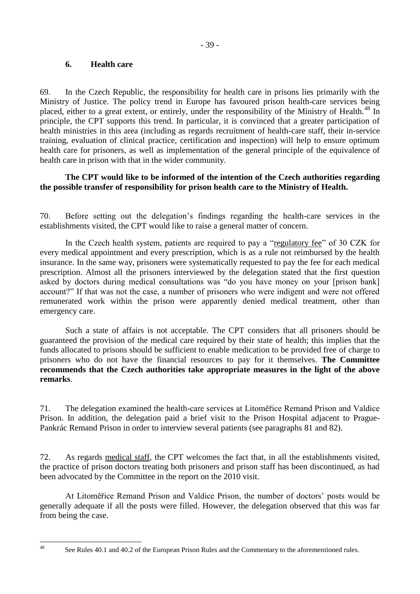## **6. Health care**

 $\overline{48}$ 

69. In the Czech Republic, the responsibility for health care in prisons lies primarily with the Ministry of Justice. The policy trend in Europe has favoured prison health-care services being placed, either to a great extent, or entirely, under the responsibility of the Ministry of Health.<sup>48</sup> In principle, the CPT supports this trend. In particular, it is convinced that a greater participation of health ministries in this area (including as regards recruitment of health-care staff, their in-service training, evaluation of clinical practice, certification and inspection) will help to ensure optimum health care for prisoners, as well as implementation of the general principle of the equivalence of health care in prison with that in the wider community.

## **The CPT would like to be informed of the intention of the Czech authorities regarding the possible transfer of responsibility for prison health care to the Ministry of Health.**

70. Before setting out the delegation's findings regarding the health-care services in the establishments visited, the CPT would like to raise a general matter of concern.

In the Czech health system, patients are required to pay a "regulatory fee" of 30 CZK for every medical appointment and every prescription, which is as a rule not reimbursed by the health insurance. In the same way, prisoners were systematically requested to pay the fee for each medical prescription. Almost all the prisoners interviewed by the delegation stated that the first question asked by doctors during medical consultations was "do you have money on your [prison bank] account?" If that was not the case, a number of prisoners who were indigent and were not offered remunerated work within the prison were apparently denied medical treatment, other than emergency care.

Such a state of affairs is not acceptable. The CPT considers that all prisoners should be guaranteed the provision of the medical care required by their state of health; this implies that the funds allocated to prisons should be sufficient to enable medication to be provided free of charge to prisoners who do not have the financial resources to pay for it themselves. **The Committee recommends that the Czech authorities take appropriate measures in the light of the above remarks**.

71. The delegation examined the health-care services at Litoměřice Remand Prison and Valdice Prison. In addition, the delegation paid a brief visit to the Prison Hospital adjacent to Prague-Pankrác Remand Prison in order to interview several patients (see paragraphs 81 and 82).

72. As regards medical staff, the CPT welcomes the fact that, in all the establishments visited, the practice of prison doctors treating both prisoners and prison staff has been discontinued, as had been advocated by the Committee in the report on the 2010 visit.

At Litoměřice Remand Prison and Valdice Prison, the number of doctors' posts would be generally adequate if all the posts were filled. However, the delegation observed that this was far from being the case.

See Rules 40.1 and 40.2 of the European Prison Rules and the Commentary to the aforementioned rules.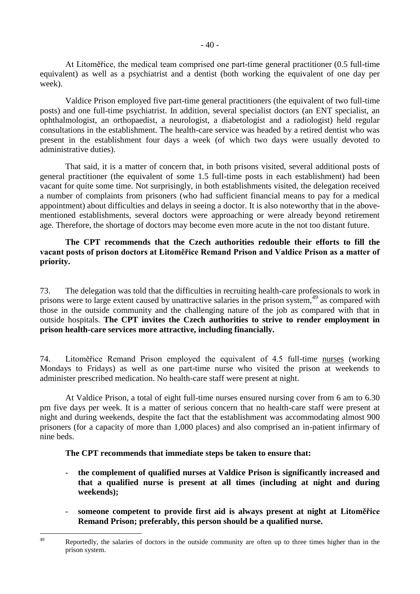At Litoměřice, the medical team comprised one part-time general practitioner (0.5 full-time equivalent) as well as a psychiatrist and a dentist (both working the equivalent of one day per week).

Valdice Prison employed five part-time general practitioners (the equivalent of two full-time posts) and one full-time psychiatrist. In addition, several specialist doctors (an ENT specialist, an ophthalmologist, an orthopaedist, a neurologist, a diabetologist and a radiologist) held regular consultations in the establishment. The health-care service was headed by a retired dentist who was present in the establishment four days a week (of which two days were usually devoted to administrative duties).

That said, it is a matter of concern that, in both prisons visited, several additional posts of general practitioner (the equivalent of some 1.5 full-time posts in each establishment) had been vacant for quite some time. Not surprisingly, in both establishments visited, the delegation received a number of complaints from prisoners (who had sufficient financial means to pay for a medical appointment) about difficulties and delays in seeing a doctor. It is also noteworthy that in the abovementioned establishments, several doctors were approaching or were already beyond retirement age. Therefore, the shortage of doctors may become even more acute in the not too distant future.

## **The CPT recommends that the Czech authorities redouble their efforts to fill the vacant posts of prison doctors at Litoměřice Remand Prison and Valdice Prison as a matter of priority.**

73. The delegation was told that the difficulties in recruiting health-care professionals to work in prisons were to large extent caused by unattractive salaries in the prison system,<sup>49</sup> as compared with those in the outside community and the challenging nature of the job as compared with that in outside hospitals. **The CPT invites the Czech authorities to strive to render employment in prison health-care services more attractive, including financially.**

74. Litoměřice Remand Prison employed the equivalent of 4.5 full-time nurses (working Mondays to Fridays) as well as one part-time nurse who visited the prison at weekends to administer prescribed medication. No health-care staff were present at night.

At Valdice Prison, a total of eight full-time nurses ensured nursing cover from 6 am to 6.30 pm five days per week. It is a matter of serious concern that no health-care staff were present at night and during weekends, despite the fact that the establishment was accommodating almost 900 prisoners (for a capacity of more than 1,000 places) and also comprised an in-patient infirmary of nine beds.

#### **The CPT recommends that immediate steps be taken to ensure that:**

- **the complement of qualified nurses at Valdice Prison is significantly increased and that a qualified nurse is present at all times (including at night and during weekends);**
- **someone competent to provide first aid is always present at night at Litoměřice Remand Prison; preferably, this person should be a qualified nurse.**

<sup>49</sup> Reportedly, the salaries of doctors in the outside community are often up to three times higher than in the prison system.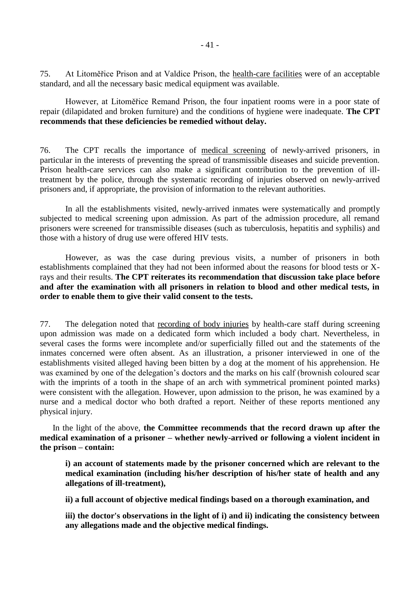75. At Litoměřice Prison and at Valdice Prison, the health-care facilities were of an acceptable standard, and all the necessary basic medical equipment was available.

However, at Litoměřice Remand Prison, the four inpatient rooms were in a poor state of repair (dilapidated and broken furniture) and the conditions of hygiene were inadequate. **The CPT recommends that these deficiencies be remedied without delay.**

76. The CPT recalls the importance of medical screening of newly-arrived prisoners, in particular in the interests of preventing the spread of transmissible diseases and suicide prevention. Prison health-care services can also make a significant contribution to the prevention of illtreatment by the police, through the systematic recording of injuries observed on newly-arrived prisoners and, if appropriate, the provision of information to the relevant authorities.

In all the establishments visited, newly-arrived inmates were systematically and promptly subjected to medical screening upon admission. As part of the admission procedure, all remand prisoners were screened for transmissible diseases (such as tuberculosis, hepatitis and syphilis) and those with a history of drug use were offered HIV tests.

However, as was the case during previous visits, a number of prisoners in both establishments complained that they had not been informed about the reasons for blood tests or Xrays and their results. **The CPT reiterates its recommendation that discussion take place before and after the examination with all prisoners in relation to blood and other medical tests, in order to enable them to give their valid consent to the tests.**

77. The delegation noted that recording of body injuries by health-care staff during screening upon admission was made on a dedicated form which included a body chart. Nevertheless, in several cases the forms were incomplete and/or superficially filled out and the statements of the inmates concerned were often absent. As an illustration, a prisoner interviewed in one of the establishments visited alleged having been bitten by a dog at the moment of his apprehension. He was examined by one of the delegation's doctors and the marks on his calf (brownish coloured scar with the imprints of a tooth in the shape of an arch with symmetrical prominent pointed marks) were consistent with the allegation. However, upon admission to the prison, he was examined by a nurse and a medical doctor who both drafted a report. Neither of these reports mentioned any physical injury.

In the light of the above, **the Committee recommends that the record drawn up after the medical examination of a prisoner – whether newly-arrived or following a violent incident in the prison – contain:** 

**i) an account of statements made by the prisoner concerned which are relevant to the medical examination (including his/her description of his/her state of health and any allegations of ill-treatment),** 

**ii) a full account of objective medical findings based on a thorough examination, and**

**iii) the doctor's observations in the light of i) and ii) indicating the consistency between any allegations made and the objective medical findings.**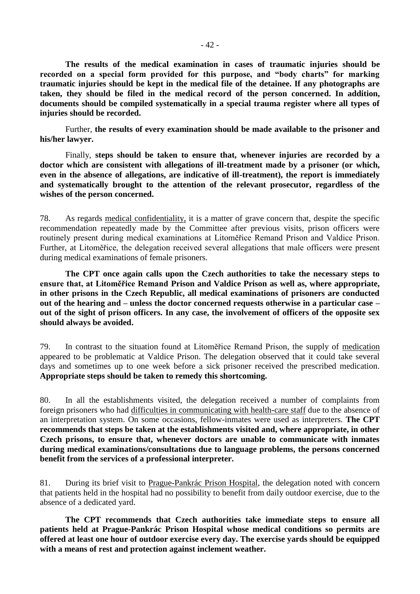**The results of the medical examination in cases of traumatic injuries should be recorded on a special form provided for this purpose, and "body charts" for marking traumatic injuries should be kept in the medical file of the detainee. If any photographs are taken, they should be filed in the medical record of the person concerned. In addition, documents should be compiled systematically in a special trauma register where all types of injuries should be recorded.** 

Further, **the results of every examination should be made available to the prisoner and his/her lawyer.** 

Finally, **steps should be taken to ensure that, whenever injuries are recorded by a doctor which are consistent with allegations of ill-treatment made by a prisoner (or which, even in the absence of allegations, are indicative of ill-treatment), the report is immediately and systematically brought to the attention of the relevant prosecutor, regardless of the wishes of the person concerned.** 

78. As regards medical confidentiality, it is a matter of grave concern that, despite the specific recommendation repeatedly made by the Committee after previous visits, prison officers were routinely present during medical examinations at Litoměřice Remand Prison and Valdice Prison. Further, at Litoměřice, the delegation received several allegations that male officers were present during medical examinations of female prisoners.

**The CPT once again calls upon the Czech authorities to take the necessary steps to ensure that, at Litoměřice Remand Prison and Valdice Prison as well as, where appropriate, in other prisons in the Czech Republic, all medical examinations of prisoners are conducted out of the hearing and – unless the doctor concerned requests otherwise in a particular case – out of the sight of prison officers. In any case, the involvement of officers of the opposite sex should always be avoided.**

79. In contrast to the situation found at Litoměřice Remand Prison, the supply of medication appeared to be problematic at Valdice Prison. The delegation observed that it could take several days and sometimes up to one week before a sick prisoner received the prescribed medication. **Appropriate steps should be taken to remedy this shortcoming.**

80. In all the establishments visited, the delegation received a number of complaints from foreign prisoners who had difficulties in communicating with health-care staff due to the absence of an interpretation system. On some occasions, fellow-inmates were used as interpreters. **The CPT recommends that steps be taken at the establishments visited and, where appropriate, in other Czech prisons, to ensure that, whenever doctors are unable to communicate with inmates during medical examinations/consultations due to language problems, the persons concerned benefit from the services of a professional interpreter.**

81. During its brief visit to Prague-Pankrác Prison Hospital, the delegation noted with concern that patients held in the hospital had no possibility to benefit from daily outdoor exercise, due to the absence of a dedicated yard.

**The CPT recommends that Czech authorities take immediate steps to ensure all patients held at Prague-Pankrác Prison Hospital whose medical conditions so permits are offered at least one hour of outdoor exercise every day. The exercise yards should be equipped with a means of rest and protection against inclement weather.**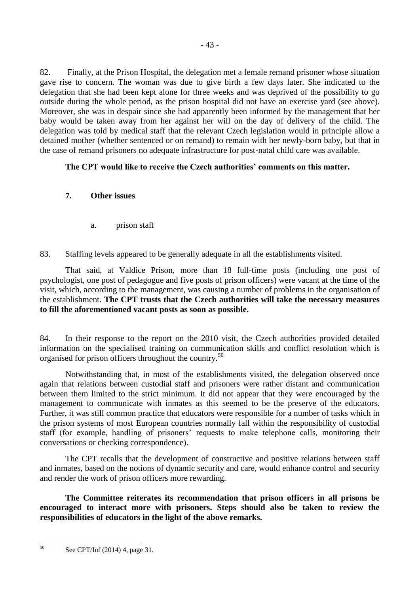82. Finally, at the Prison Hospital, the delegation met a female remand prisoner whose situation gave rise to concern. The woman was due to give birth a few days later. She indicated to the delegation that she had been kept alone for three weeks and was deprived of the possibility to go outside during the whole period, as the prison hospital did not have an exercise yard (see above). Moreover, she was in despair since she had apparently been informed by the management that her baby would be taken away from her against her will on the day of delivery of the child. The delegation was told by medical staff that the relevant Czech legislation would in principle allow a detained mother (whether sentenced or on remand) to remain with her newly-born baby, but that in the case of remand prisoners no adequate infrastructure for post-natal child care was available.

## **The CPT would like to receive the Czech authorities' comments on this matter.**

## **7. Other issues**

a. prison staff

83. Staffing levels appeared to be generally adequate in all the establishments visited.

That said, at Valdice Prison, more than 18 full-time posts (including one post of psychologist, one post of pedagogue and five posts of prison officers) were vacant at the time of the visit, which, according to the management, was causing a number of problems in the organisation of the establishment. **The CPT trusts that the Czech authorities will take the necessary measures to fill the aforementioned vacant posts as soon as possible.**

84. In their response to the report on the 2010 visit, the Czech authorities provided detailed information on the specialised training on communication skills and conflict resolution which is organised for prison officers throughout the country.<sup>50</sup>

Notwithstanding that, in most of the establishments visited, the delegation observed once again that relations between custodial staff and prisoners were rather distant and communication between them limited to the strict minimum. It did not appear that they were encouraged by the management to communicate with inmates as this seemed to be the preserve of the educators. Further, it was still common practice that educators were responsible for a number of tasks which in the prison systems of most European countries normally fall within the responsibility of custodial staff (for example, handling of prisoners' requests to make telephone calls, monitoring their conversations or checking correspondence).

The CPT recalls that the development of constructive and positive relations between staff and inmates, based on the notions of dynamic security and care, would enhance control and security and render the work of prison officers more rewarding.

**The Committee reiterates its recommendation that prison officers in all prisons be encouraged to interact more with prisoners. Steps should also be taken to review the responsibilities of educators in the light of the above remarks.**

 $50$ See CPT/Inf (2014) 4, page 31.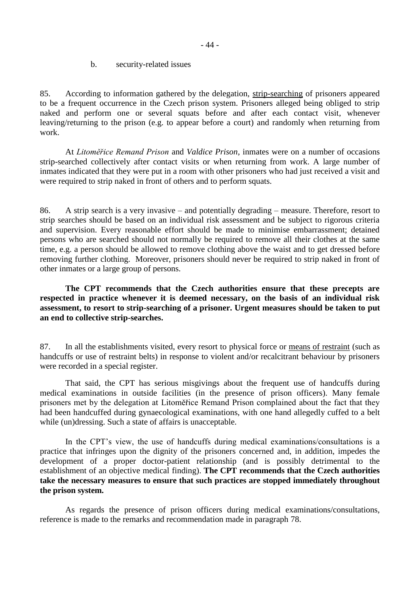b. security-related issues

85. According to information gathered by the delegation, strip-searching of prisoners appeared to be a frequent occurrence in the Czech prison system. Prisoners alleged being obliged to strip naked and perform one or several squats before and after each contact visit, whenever leaving/returning to the prison (e.g. to appear before a court) and randomly when returning from work.

At *Litoměřice Remand Prison* and *Valdice Prison*, inmates were on a number of occasions strip-searched collectively after contact visits or when returning from work. A large number of inmates indicated that they were put in a room with other prisoners who had just received a visit and were required to strip naked in front of others and to perform squats.

86. A strip search is a very invasive – and potentially degrading – measure. Therefore, resort to strip searches should be based on an individual risk assessment and be subject to rigorous criteria and supervision. Every reasonable effort should be made to minimise embarrassment; detained persons who are searched should not normally be required to remove all their clothes at the same time, e.g. a person should be allowed to remove clothing above the waist and to get dressed before removing further clothing. Moreover, prisoners should never be required to strip naked in front of other inmates or a large group of persons.

**The CPT recommends that the Czech authorities ensure that these precepts are respected in practice whenever it is deemed necessary, on the basis of an individual risk assessment, to resort to strip-searching of a prisoner. Urgent measures should be taken to put an end to collective strip-searches.** 

87. In all the establishments visited, every resort to physical force or means of restraint (such as handcuffs or use of restraint belts) in response to violent and/or recalcitrant behaviour by prisoners were recorded in a special register.

That said, the CPT has serious misgivings about the frequent use of handcuffs during medical examinations in outside facilities (in the presence of prison officers). Many female prisoners met by the delegation at Litoměřice Remand Prison complained about the fact that they had been handcuffed during gynaecological examinations, with one hand allegedly cuffed to a belt while (un)dressing. Such a state of affairs is unacceptable.

In the CPT's view, the use of handcuffs during medical examinations/consultations is a practice that infringes upon the dignity of the prisoners concerned and, in addition, impedes the development of a proper doctor-patient relationship (and is possibly detrimental to the establishment of an objective medical finding). **The CPT recommends that the Czech authorities take the necessary measures to ensure that such practices are stopped immediately throughout the prison system.**

As regards the presence of prison officers during medical examinations/consultations, reference is made to the remarks and recommendation made in paragraph 78.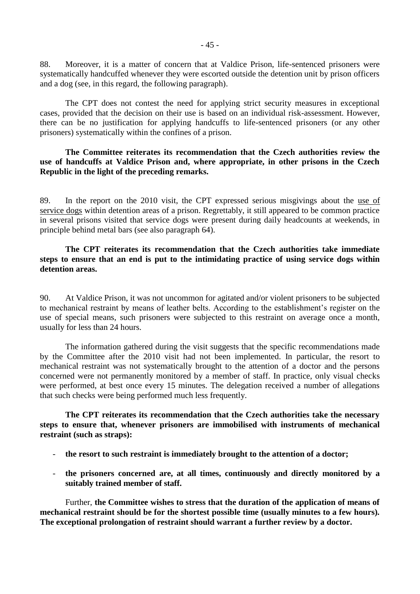88. Moreover, it is a matter of concern that at Valdice Prison, life-sentenced prisoners were systematically handcuffed whenever they were escorted outside the detention unit by prison officers and a dog (see, in this regard, the following paragraph).

The CPT does not contest the need for applying strict security measures in exceptional cases, provided that the decision on their use is based on an individual risk-assessment. However, there can be no justification for applying handcuffs to life-sentenced prisoners (or any other prisoners) systematically within the confines of a prison.

### **The Committee reiterates its recommendation that the Czech authorities review the use of handcuffs at Valdice Prison and, where appropriate, in other prisons in the Czech Republic in the light of the preceding remarks.**

89. In the report on the 2010 visit, the CPT expressed serious misgivings about the use of service dogs within detention areas of a prison. Regrettably, it still appeared to be common practice in several prisons visited that service dogs were present during daily headcounts at weekends, in principle behind metal bars (see also paragraph 64).

### **The CPT reiterates its recommendation that the Czech authorities take immediate steps to ensure that an end is put to the intimidating practice of using service dogs within detention areas.**

90. At Valdice Prison, it was not uncommon for agitated and/or violent prisoners to be subjected to mechanical restraint by means of leather belts. According to the establishment's register on the use of special means, such prisoners were subjected to this restraint on average once a month, usually for less than 24 hours.

The information gathered during the visit suggests that the specific recommendations made by the Committee after the 2010 visit had not been implemented. In particular, the resort to mechanical restraint was not systematically brought to the attention of a doctor and the persons concerned were not permanently monitored by a member of staff. In practice, only visual checks were performed, at best once every 15 minutes. The delegation received a number of allegations that such checks were being performed much less frequently.

**The CPT reiterates its recommendation that the Czech authorities take the necessary steps to ensure that, whenever prisoners are immobilised with instruments of mechanical restraint (such as straps):**

- **the resort to such restraint is immediately brought to the attention of a doctor;**
- **the prisoners concerned are, at all times, continuously and directly monitored by a suitably trained member of staff.**

Further, **the Committee wishes to stress that the duration of the application of means of mechanical restraint should be for the shortest possible time (usually minutes to a few hours). The exceptional prolongation of restraint should warrant a further review by a doctor.**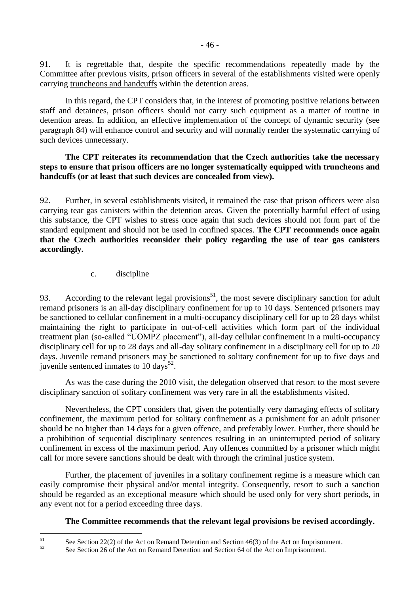91. It is regrettable that, despite the specific recommendations repeatedly made by the Committee after previous visits, prison officers in several of the establishments visited were openly carrying truncheons and handcuffs within the detention areas.

In this regard, the CPT considers that, in the interest of promoting positive relations between staff and detainees, prison officers should not carry such equipment as a matter of routine in detention areas. In addition, an effective implementation of the concept of dynamic security (see paragraph 84) will enhance control and security and will normally render the systematic carrying of such devices unnecessary.

## **The CPT reiterates its recommendation that the Czech authorities take the necessary steps to ensure that prison officers are no longer systematically equipped with truncheons and handcuffs (or at least that such devices are concealed from view).**

92. Further, in several establishments visited, it remained the case that prison officers were also carrying tear gas canisters within the detention areas. Given the potentially harmful effect of using this substance, the CPT wishes to stress once again that such devices should not form part of the standard equipment and should not be used in confined spaces. **The CPT recommends once again that the Czech authorities reconsider their policy regarding the use of tear gas canisters accordingly.**

## c. discipline

93. According to the relevant legal provisions<sup>51</sup>, the most severe disciplinary sanction for adult remand prisoners is an all-day disciplinary confinement for up to 10 days. Sentenced prisoners may be sanctioned to cellular confinement in a multi-occupancy disciplinary cell for up to 28 days whilst maintaining the right to participate in out-of-cell activities which form part of the individual treatment plan (so-called "UOMPZ placement"), all-day cellular confinement in a multi-occupancy disciplinary cell for up to 28 days and all-day solitary confinement in a disciplinary cell for up to 20 days. Juvenile remand prisoners may be sanctioned to solitary confinement for up to five days and juvenile sentenced inmates to  $10 \text{ days}^{52}$ .

As was the case during the 2010 visit, the delegation observed that resort to the most severe disciplinary sanction of solitary confinement was very rare in all the establishments visited.

Nevertheless, the CPT considers that, given the potentially very damaging effects of solitary confinement, the maximum period for solitary confinement as a punishment for an adult prisoner should be no higher than 14 days for a given offence, and preferably lower. Further, there should be a prohibition of sequential disciplinary sentences resulting in an uninterrupted period of solitary confinement in excess of the maximum period. Any offences committed by a prisoner which might call for more severe sanctions should be dealt with through the criminal justice system.

Further, the placement of juveniles in a solitary confinement regime is a measure which can easily compromise their physical and/or mental integrity. Consequently, resort to such a sanction should be regarded as an exceptional measure which should be used only for very short periods, in any event not for a period exceeding three days.

## **The Committee recommends that the relevant legal provisions be revised accordingly.**

 $51$ <sup>51</sup> See Section 22(2) of the Act on Remand Detention and Section 46(3) of the Act on Imprisonment.

<sup>52</sup> See Section 26 of the Act on Remand Detention and Section 64 of the Act on Imprisonment.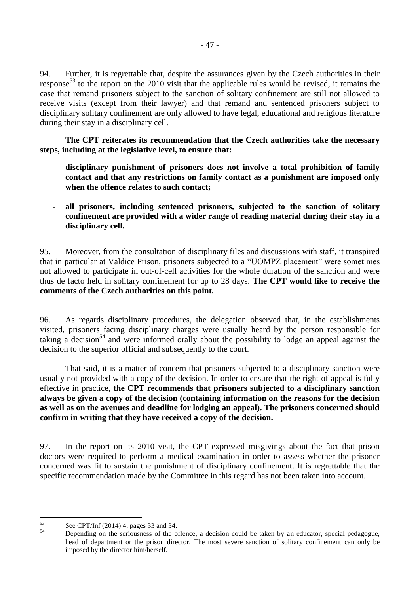94. Further, it is regrettable that, despite the assurances given by the Czech authorities in their response<sup>53</sup> to the report on the 2010 visit that the applicable rules would be revised, it remains the case that remand prisoners subject to the sanction of solitary confinement are still not allowed to receive visits (except from their lawyer) and that remand and sentenced prisoners subject to disciplinary solitary confinement are only allowed to have legal, educational and religious literature during their stay in a disciplinary cell.

**The CPT reiterates its recommendation that the Czech authorities take the necessary steps, including at the legislative level, to ensure that:**

- **disciplinary punishment of prisoners does not involve a total prohibition of family contact and that any restrictions on family contact as a punishment are imposed only when the offence relates to such contact;**
- **all prisoners, including sentenced prisoners, subjected to the sanction of solitary confinement are provided with a wider range of reading material during their stay in a disciplinary cell.**

95. Moreover, from the consultation of disciplinary files and discussions with staff, it transpired that in particular at Valdice Prison, prisoners subjected to a "UOMPZ placement" were sometimes not allowed to participate in out-of-cell activities for the whole duration of the sanction and were thus de facto held in solitary confinement for up to 28 days. **The CPT would like to receive the comments of the Czech authorities on this point.**

96. As regards disciplinary procedures, the delegation observed that, in the establishments visited, prisoners facing disciplinary charges were usually heard by the person responsible for taking a decision<sup>54</sup> and were informed orally about the possibility to lodge an appeal against the decision to the superior official and subsequently to the court.

That said, it is a matter of concern that prisoners subjected to a disciplinary sanction were usually not provided with a copy of the decision. In order to ensure that the right of appeal is fully effective in practice, **the CPT recommends that prisoners subjected to a disciplinary sanction always be given a copy of the decision (containing information on the reasons for the decision as well as on the avenues and deadline for lodging an appeal). The prisoners concerned should confirm in writing that they have received a copy of the decision.**

97. In the report on its 2010 visit, the CPT expressed misgivings about the fact that prison doctors were required to perform a medical examination in order to assess whether the prisoner concerned was fit to sustain the punishment of disciplinary confinement. It is regrettable that the specific recommendation made by the Committee in this regard has not been taken into account.

 $53$  $53$  See CPT/Inf (2014) 4, pages 33 and 34.

<sup>54</sup> Depending on the seriousness of the offence, a decision could be taken by an educator, special pedagogue, head of department or the prison director. The most severe sanction of solitary confinement can only be imposed by the director him/herself.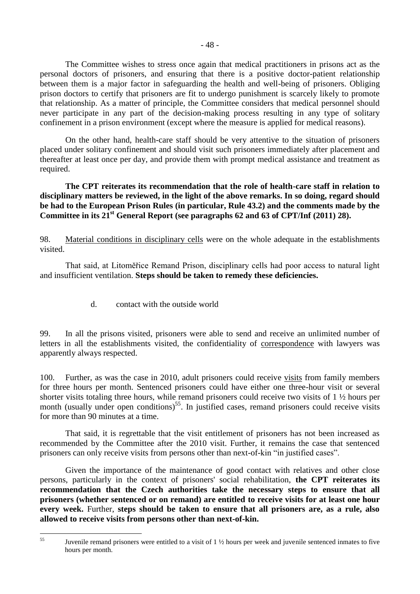The Committee wishes to stress once again that medical practitioners in prisons act as the personal doctors of prisoners, and ensuring that there is a positive doctor-patient relationship between them is a major factor in safeguarding the health and well-being of prisoners. Obliging prison doctors to certify that prisoners are fit to undergo punishment is scarcely likely to promote that relationship. As a matter of principle, the Committee considers that medical personnel should never participate in any part of the decision-making process resulting in any type of solitary confinement in a prison environment (except where the measure is applied for medical reasons).

On the other hand, health-care staff should be very attentive to the situation of prisoners placed under solitary confinement and should visit such prisoners immediately after placement and thereafter at least once per day, and provide them with prompt medical assistance and treatment as required.

**The CPT reiterates its recommendation that the role of health-care staff in relation to disciplinary matters be reviewed, in the light of the above remarks. In so doing, regard should be had to the European Prison Rules (in particular, Rule 43.2) and the comments made by the Committee in its 21st General Report (see paragraphs 62 and 63 of CPT/Inf (2011) 28).**

98. Material conditions in disciplinary cells were on the whole adequate in the establishments visited.

That said, at Litoměřice Remand Prison, disciplinary cells had poor access to natural light and insufficient ventilation. **Steps should be taken to remedy these deficiencies.**

d. contact with the outside world

99. In all the prisons visited, prisoners were able to send and receive an unlimited number of letters in all the establishments visited, the confidentiality of correspondence with lawyers was apparently always respected.

100. Further, as was the case in 2010, adult prisoners could receive visits from family members for three hours per month. Sentenced prisoners could have either one three-hour visit or several shorter visits totaling three hours, while remand prisoners could receive two visits of 1 ½ hours per month (usually under open conditions)<sup>55</sup>. In justified cases, remand prisoners could receive visits for more than 90 minutes at a time.

That said, it is regrettable that the visit entitlement of prisoners has not been increased as recommended by the Committee after the 2010 visit. Further, it remains the case that sentenced prisoners can only receive visits from persons other than next-of-kin "in justified cases".

Given the importance of the maintenance of good contact with relatives and other close persons, particularly in the context of prisoners' social rehabilitation, **the CPT reiterates its recommendation that the Czech authorities take the necessary steps to ensure that all prisoners (whether sentenced or on remand) are entitled to receive visits for at least one hour every week.** Further, **steps should be taken to ensure that all prisoners are, as a rule, also allowed to receive visits from persons other than next-of-kin.**

 $55$ 

Juvenile remand prisoners were entitled to a visit of 1  $\frac{1}{2}$  hours per week and juvenile sentenced inmates to five hours per month.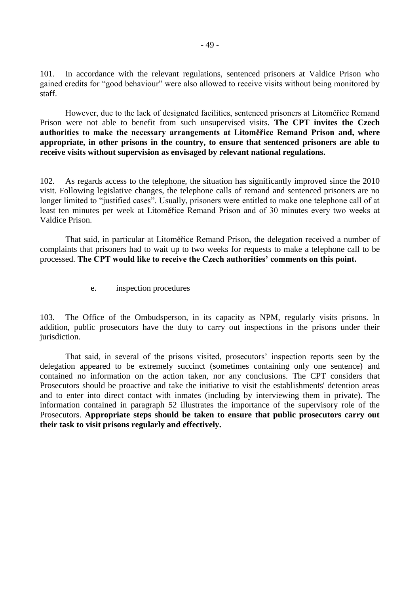101. In accordance with the relevant regulations, sentenced prisoners at Valdice Prison who gained credits for "good behaviour" were also allowed to receive visits without being monitored by staff.

However, due to the lack of designated facilities, sentenced prisoners at Litoměřice Remand Prison were not able to benefit from such unsupervised visits. **The CPT invites the Czech authorities to make the necessary arrangements at Litoměřice Remand Prison and, where appropriate, in other prisons in the country, to ensure that sentenced prisoners are able to receive visits without supervision as envisaged by relevant national regulations.**

102. As regards access to the telephone, the situation has significantly improved since the 2010 visit. Following legislative changes, the telephone calls of remand and sentenced prisoners are no longer limited to "justified cases". Usually, prisoners were entitled to make one telephone call of at least ten minutes per week at Litoměřice Remand Prison and of 30 minutes every two weeks at Valdice Prison.

That said, in particular at Litoměřice Remand Prison, the delegation received a number of complaints that prisoners had to wait up to two weeks for requests to make a telephone call to be processed. **The CPT would like to receive the Czech authorities' comments on this point.**

e. inspection procedures

103. The Office of the Ombudsperson, in its capacity as NPM, regularly visits prisons. In addition, public prosecutors have the duty to carry out inspections in the prisons under their jurisdiction.

That said, in several of the prisons visited, prosecutors' inspection reports seen by the delegation appeared to be extremely succinct (sometimes containing only one sentence) and contained no information on the action taken, nor any conclusions. The CPT considers that Prosecutors should be proactive and take the initiative to visit the establishments' detention areas and to enter into direct contact with inmates (including by interviewing them in private). The information contained in paragraph 52 illustrates the importance of the supervisory role of the Prosecutors. **Appropriate steps should be taken to ensure that public prosecutors carry out their task to visit prisons regularly and effectively.**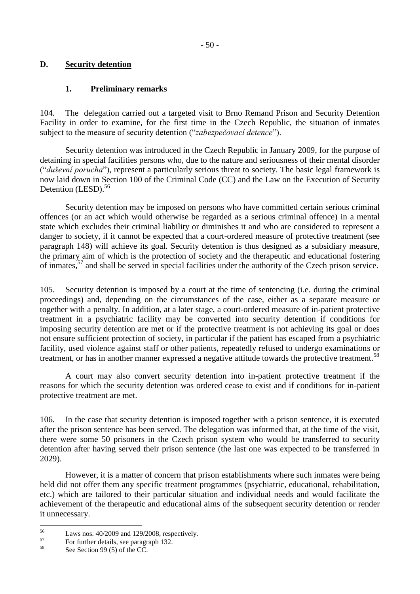## **D. Security detention**

## **1. Preliminary remarks**

104. The delegation carried out a targeted visit to Brno Remand Prison and Security Detention Facility in order to examine, for the first time in the Czech Republic, the situation of inmates subject to the measure of security detention ("*zabezpečovací detence*").

Security detention was introduced in the Czech Republic in January 2009, for the purpose of detaining in special facilities persons who, due to the nature and seriousness of their mental disorder ("*duševní porucha*"), represent a particularly serious threat to society. The basic legal framework is now laid down in Section 100 of the Criminal Code (CC) and the Law on the Execution of Security Detention (LESD).<sup>56</sup>

Security detention may be imposed on persons who have committed certain serious criminal offences (or an act which would otherwise be regarded as a serious criminal offence) in a mental state which excludes their criminal liability or diminishes it and who are considered to represent a danger to society, if it cannot be expected that a court-ordered measure of protective treatment (see paragraph 148) will achieve its goal. Security detention is thus designed as a subsidiary measure, the primary aim of which is the protection of society and the therapeutic and educational fostering of inmates,<sup>57</sup> and shall be served in special facilities under the authority of the Czech prison service.

105. Security detention is imposed by a court at the time of sentencing (i.e. during the criminal proceedings) and, depending on the circumstances of the case, either as a separate measure or together with a penalty. In addition, at a later stage, a court-ordered measure of in-patient protective treatment in a psychiatric facility may be converted into security detention if conditions for imposing security detention are met or if the protective treatment is not achieving its goal or does not ensure sufficient protection of society, in particular if the patient has escaped from a psychiatric facility, used violence against staff or other patients, repeatedly refused to undergo examinations or treatment, or has in another manner expressed a negative attitude towards the protective treatment.<sup>58</sup>

A court may also convert security detention into in-patient protective treatment if the reasons for which the security detention was ordered cease to exist and if conditions for in-patient protective treatment are met.

106. In the case that security detention is imposed together with a prison sentence, it is executed after the prison sentence has been served. The delegation was informed that, at the time of the visit, there were some 50 prisoners in the Czech prison system who would be transferred to security detention after having served their prison sentence (the last one was expected to be transferred in 2029).

However, it is a matter of concern that prison establishments where such inmates were being held did not offer them any specific treatment programmes (psychiatric, educational, rehabilitation, etc.) which are tailored to their particular situation and individual needs and would facilitate the achievement of the therapeutic and educational aims of the subsequent security detention or render it unnecessary.

 $56$  $^{56}$  Laws nos. 40/2009 and 129/2008, respectively.

 $^{57}$  For further details, see paragraph 132.

See Section 99 (5) of the CC.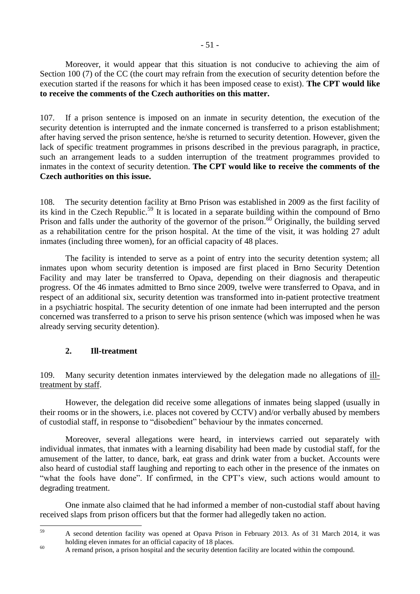**to receive the comments of the Czech authorities on this matter.**

107. If a prison sentence is imposed on an inmate in security detention, the execution of the security detention is interrupted and the inmate concerned is transferred to a prison establishment; after having served the prison sentence, he/she is returned to security detention. However, given the lack of specific treatment programmes in prisons described in the previous paragraph, in practice, such an arrangement leads to a sudden interruption of the treatment programmes provided to inmates in the context of security detention. **The CPT would like to receive the comments of the Czech authorities on this issue.**

108. The security detention facility at Brno Prison was established in 2009 as the first facility of its kind in the Czech Republic.<sup>59</sup> It is located in a separate building within the compound of Brno Prison and falls under the authority of the governor of the prison.<sup>60</sup> Originally, the building served as a rehabilitation centre for the prison hospital. At the time of the visit, it was holding 27 adult inmates (including three women), for an official capacity of 48 places.

The facility is intended to serve as a point of entry into the security detention system; all inmates upon whom security detention is imposed are first placed in Brno Security Detention Facility and may later be transferred to Opava, depending on their diagnosis and therapeutic progress. Of the 46 inmates admitted to Brno since 2009, twelve were transferred to Opava, and in respect of an additional six, security detention was transformed into in-patient protective treatment in a psychiatric hospital. The security detention of one inmate had been interrupted and the person concerned was transferred to a prison to serve his prison sentence (which was imposed when he was already serving security detention).

## **2. Ill-treatment**

109. Many security detention inmates interviewed by the delegation made no allegations of illtreatment by staff.

However, the delegation did receive some allegations of inmates being slapped (usually in their rooms or in the showers, i.e. places not covered by CCTV) and/or verbally abused by members of custodial staff, in response to "disobedient" behaviour by the inmates concerned.

Moreover, several allegations were heard, in interviews carried out separately with individual inmates, that inmates with a learning disability had been made by custodial staff, for the amusement of the latter, to dance, bark, eat grass and drink water from a bucket. Accounts were also heard of custodial staff laughing and reporting to each other in the presence of the inmates on "what the fools have done". If confirmed, in the CPT's view, such actions would amount to degrading treatment.

One inmate also claimed that he had informed a member of non-custodial staff about having received slaps from prison officers but that the former had allegedly taken no action.

 $50$ <sup>59</sup> A second detention facility was opened at Opava Prison in February 2013. As of 31 March 2014, it was holding eleven inmates for an official capacity of 18 places.

<sup>&</sup>lt;sup>60</sup> A remand prison, a prison hospital and the security detention facility are located within the compound.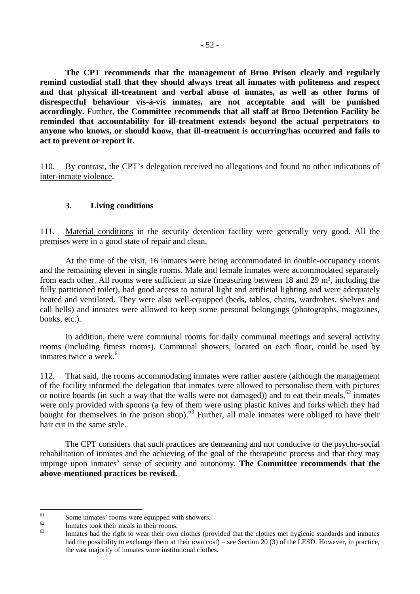**The CPT recommends that the management of Brno Prison clearly and regularly remind custodial staff that they should always treat all inmates with politeness and respect and that physical ill-treatment and verbal abuse of inmates, as well as other forms of disrespectful behaviour vis-à-vis inmates, are not acceptable and will be punished accordingly.** Further, **the Committee recommends that all staff at Brno Detention Facility be reminded that accountability for ill-treatment extends beyond the actual perpetrators to anyone who knows, or should know, that ill-treatment is occurring/has occurred and fails to act to prevent or report it.**

110. By contrast, the CPT's delegation received no allegations and found no other indications of inter-inmate violence.

## **3. Living conditions**

111. Material conditions in the security detention facility were generally very good. All the premises were in a good state of repair and clean.

At the time of the visit, 16 inmates were being accommodated in double-occupancy rooms and the remaining eleven in single rooms. Male and female inmates were accommodated separately from each other. All rooms were sufficient in size (measuring between 18 and 29 m², including the fully partitioned toilet), had good access to natural light and artificial lighting and were adequately heated and ventilated. They were also well-equipped (beds, tables, chairs, wardrobes, shelves and call bells) and inmates were allowed to keep some personal belongings (photographs, magazines, books, etc.).

In addition, there were communal rooms for daily communal meetings and several activity rooms (including fitness rooms). Communal showers, located on each floor, could be used by inmates twice a week. $61$ 

112. That said, the rooms accommodating inmates were rather austere (although the management of the facility informed the delegation that inmates were allowed to personalise them with pictures or notice boards (in such a way that the walls were not damaged)) and to eat their meals, $62$  inmates were only provided with spoons (a few of them were using plastic knives and forks which they had bought for themselves in the prison shop).<sup>63</sup> Further, all male inmates were obliged to have their hair cut in the same style.

The CPT considers that such practices are demeaning and not conducive to the psycho-social rehabilitation of inmates and the achieving of the goal of the therapeutic process and that they may impinge upon inmates' sense of security and autonomy. **The Committee recommends that the above-mentioned practices be revised.**

<sup>61</sup>  $\frac{61}{62}$  Some inmates' rooms were equipped with showers.

 $^{62}$  Inmates took their meals in their rooms.

Inmates had the right to wear their own clothes (provided that the clothes met hygienic standards and inmates had the possibility to exchange them at their own cost) – see Section 20 (3) of the LESD. However, in practice, the vast majority of inmates wore institutional clothes.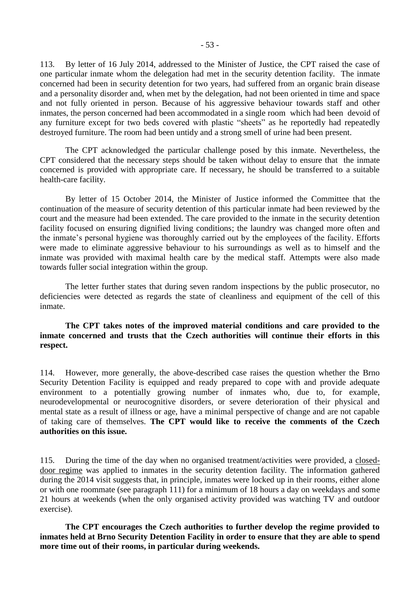113. By letter of 16 July 2014, addressed to the Minister of Justice, the CPT raised the case of one particular inmate whom the delegation had met in the security detention facility. The inmate concerned had been in security detention for two years, had suffered from an organic brain disease and a personality disorder and, when met by the delegation, had not been oriented in time and space and not fully oriented in person. Because of his aggressive behaviour towards staff and other inmates, the person concerned had been accommodated in a single room which had been devoid of any furniture except for two beds covered with plastic "sheets" as he reportedly had repeatedly destroyed furniture. The room had been untidy and a strong smell of urine had been present.

The CPT acknowledged the particular challenge posed by this inmate. Nevertheless, the CPT considered that the necessary steps should be taken without delay to ensure that the inmate concerned is provided with appropriate care. If necessary, he should be transferred to a suitable health-care facility.

By letter of 15 October 2014, the Minister of Justice informed the Committee that the continuation of the measure of security detention of this particular inmate had been reviewed by the court and the measure had been extended. The care provided to the inmate in the security detention facility focused on ensuring dignified living conditions; the laundry was changed more often and the inmate's personal hygiene was thoroughly carried out by the employees of the facility. Efforts were made to eliminate aggressive behaviour to his surroundings as well as to himself and the inmate was provided with maximal health care by the medical staff. Attempts were also made towards fuller social integration within the group.

The letter further states that during seven random inspections by the public prosecutor, no deficiencies were detected as regards the state of cleanliness and equipment of the cell of this inmate.

#### **The CPT takes notes of the improved material conditions and care provided to the inmate concerned and trusts that the Czech authorities will continue their efforts in this respect.**

114. However, more generally, the above-described case raises the question whether the Brno Security Detention Facility is equipped and ready prepared to cope with and provide adequate environment to a potentially growing number of inmates who, due to, for example, neurodevelopmental or neurocognitive disorders, or severe deterioration of their physical and mental state as a result of illness or age, have a minimal perspective of change and are not capable of taking care of themselves. **The CPT would like to receive the comments of the Czech authorities on this issue.**

115. During the time of the day when no organised treatment/activities were provided, a closeddoor regime was applied to inmates in the security detention facility. The information gathered during the 2014 visit suggests that, in principle, inmates were locked up in their rooms, either alone or with one roommate (see paragraph 111) for a minimum of 18 hours a day on weekdays and some 21 hours at weekends (when the only organised activity provided was watching TV and outdoor exercise).

**The CPT encourages the Czech authorities to further develop the regime provided to inmates held at Brno Security Detention Facility in order to ensure that they are able to spend more time out of their rooms, in particular during weekends.**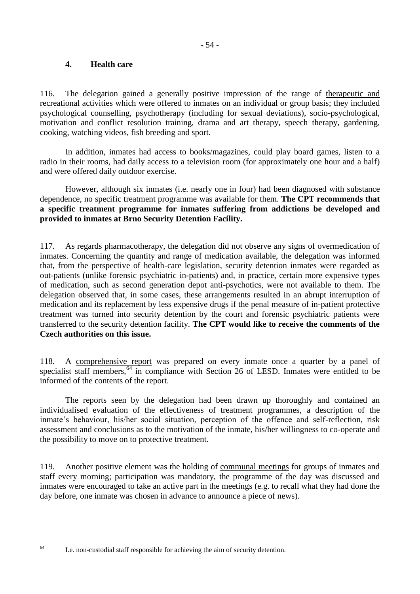## **4. Health care**

116. The delegation gained a generally positive impression of the range of therapeutic and recreational activities which were offered to inmates on an individual or group basis; they included psychological counselling, psychotherapy (including for sexual deviations), socio-psychological, motivation and conflict resolution training, drama and art therapy, speech therapy, gardening, cooking, watching videos, fish breeding and sport.

In addition, inmates had access to books/magazines, could play board games, listen to a radio in their rooms, had daily access to a television room (for approximately one hour and a half) and were offered daily outdoor exercise.

However, although six inmates (i.e. nearly one in four) had been diagnosed with substance dependence, no specific treatment programme was available for them. **The CPT recommends that a specific treatment programme for inmates suffering from addictions be developed and provided to inmates at Brno Security Detention Facility.**

117. As regards pharmacotherapy, the delegation did not observe any signs of overmedication of inmates. Concerning the quantity and range of medication available, the delegation was informed that, from the perspective of health-care legislation, security detention inmates were regarded as out-patients (unlike forensic psychiatric in-patients) and, in practice, certain more expensive types of medication, such as second generation depot anti-psychotics, were not available to them. The delegation observed that, in some cases, these arrangements resulted in an abrupt interruption of medication and its replacement by less expensive drugs if the penal measure of in-patient protective treatment was turned into security detention by the court and forensic psychiatric patients were transferred to the security detention facility. **The CPT would like to receive the comments of the Czech authorities on this issue.**

118. A comprehensive report was prepared on every inmate once a quarter by a panel of specialist staff members, <sup>64</sup> in compliance with Section 26 of LESD. Inmates were entitled to be informed of the contents of the report.

The reports seen by the delegation had been drawn up thoroughly and contained an individualised evaluation of the effectiveness of treatment programmes, a description of the inmate's behaviour, his/her social situation, perception of the offence and self-reflection, risk assessment and conclusions as to the motivation of the inmate, his/her willingness to co-operate and the possibility to move on to protective treatment.

119. Another positive element was the holding of communal meetings for groups of inmates and staff every morning; participation was mandatory, the programme of the day was discussed and inmates were encouraged to take an active part in the meetings (e.g. to recall what they had done the day before, one inmate was chosen in advance to announce a piece of news).

 $64$ 

I.e. non-custodial staff responsible for achieving the aim of security detention.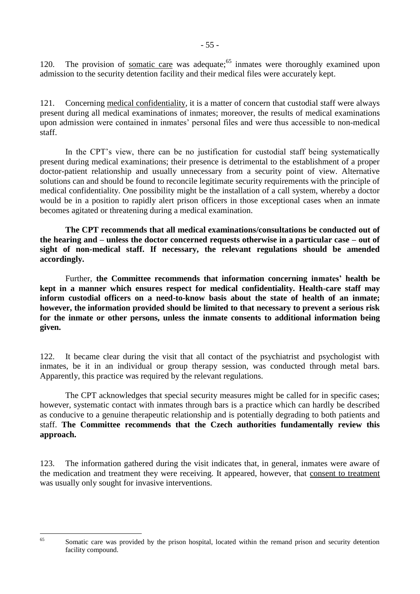120. The provision of somatic care was adequate;<sup>65</sup> inmates were thoroughly examined upon admission to the security detention facility and their medical files were accurately kept.

121. Concerning medical confidentiality, it is a matter of concern that custodial staff were always present during all medical examinations of inmates; moreover, the results of medical examinations upon admission were contained in inmates' personal files and were thus accessible to non-medical staff.

In the CPT's view, there can be no justification for custodial staff being systematically present during medical examinations; their presence is detrimental to the establishment of a proper doctor-patient relationship and usually unnecessary from a security point of view. Alternative solutions can and should be found to reconcile legitimate security requirements with the principle of medical confidentiality. One possibility might be the installation of a call system, whereby a doctor would be in a position to rapidly alert prison officers in those exceptional cases when an inmate becomes agitated or threatening during a medical examination.

**The CPT recommends that all medical examinations/consultations be conducted out of the hearing and – unless the doctor concerned requests otherwise in a particular case – out of sight of non-medical staff. If necessary, the relevant regulations should be amended accordingly.**

Further, **the Committee recommends that information concerning inmates' health be kept in a manner which ensures respect for medical confidentiality. Health-care staff may inform custodial officers on a need-to-know basis about the state of health of an inmate; however, the information provided should be limited to that necessary to prevent a serious risk for the inmate or other persons, unless the inmate consents to additional information being given.**

122. It became clear during the visit that all contact of the psychiatrist and psychologist with inmates, be it in an individual or group therapy session, was conducted through metal bars. Apparently, this practice was required by the relevant regulations.

The CPT acknowledges that special security measures might be called for in specific cases; however, systematic contact with inmates through bars is a practice which can hardly be described as conducive to a genuine therapeutic relationship and is potentially degrading to both patients and staff. **The Committee recommends that the Czech authorities fundamentally review this approach.**

123. The information gathered during the visit indicates that, in general, inmates were aware of the medication and treatment they were receiving. It appeared, however, that consent to treatment was usually only sought for invasive interventions.

65

Somatic care was provided by the prison hospital, located within the remand prison and security detention facility compound.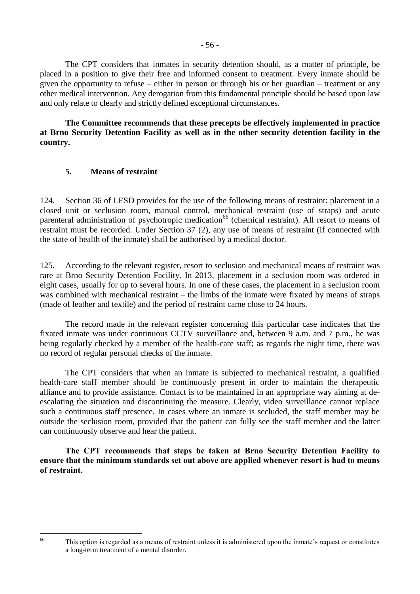The CPT considers that inmates in security detention should, as a matter of principle, be placed in a position to give their free and informed consent to treatment. Every inmate should be given the opportunity to refuse – either in person or through his or her guardian – treatment or any other medical intervention. Any derogation from this fundamental principle should be based upon law and only relate to clearly and strictly defined exceptional circumstances.

**The Committee recommends that these precepts be effectively implemented in practice at Brno Security Detention Facility as well as in the other security detention facility in the country.**

## **5. Means of restraint**

124. Section 36 of LESD provides for the use of the following means of restraint: placement in a closed unit or seclusion room, manual control, mechanical restraint (use of straps) and acute parenteral administration of psychotropic medication<sup>66</sup> (chemical restraint). All resort to means of restraint must be recorded. Under Section 37 (2), any use of means of restraint (if connected with the state of health of the inmate) shall be authorised by a medical doctor.

125. According to the relevant register, resort to seclusion and mechanical means of restraint was rare at Brno Security Detention Facility. In 2013, placement in a seclusion room was ordered in eight cases, usually for up to several hours. In one of these cases, the placement in a seclusion room was combined with mechanical restraint – the limbs of the inmate were fixated by means of straps (made of leather and textile) and the period of restraint came close to 24 hours.

The record made in the relevant register concerning this particular case indicates that the fixated inmate was under continuous CCTV surveillance and, between 9 a.m. and 7 p.m., he was being regularly checked by a member of the health-care staff; as regards the night time, there was no record of regular personal checks of the inmate.

The CPT considers that when an inmate is subjected to mechanical restraint, a qualified health-care staff member should be continuously present in order to maintain the therapeutic alliance and to provide assistance. Contact is to be maintained in an appropriate way aiming at deescalating the situation and discontinuing the measure. Clearly, video surveillance cannot replace such a continuous staff presence. In cases where an inmate is secluded, the staff member may be outside the seclusion room, provided that the patient can fully see the staff member and the latter can continuously observe and hear the patient.

**The CPT recommends that steps be taken at Brno Security Detention Facility to ensure that the minimum standards set out above are applied whenever resort is had to means of restraint.**

<sup>66</sup> 

This option is regarded as a means of restraint unless it is administered upon the inmate's request or constitutes a long-term treatment of a mental disorder.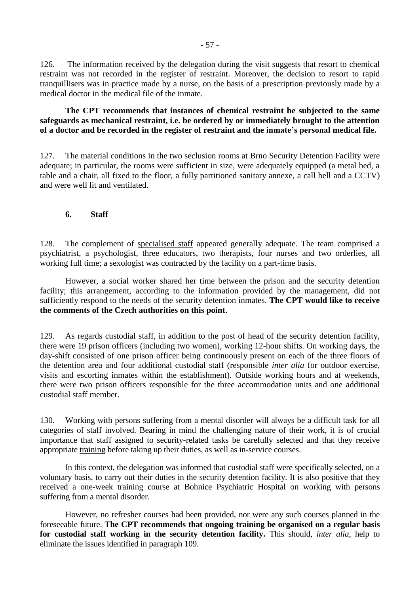126. The information received by the delegation during the visit suggests that resort to chemical restraint was not recorded in the register of restraint. Moreover, the decision to resort to rapid tranquillisers was in practice made by a nurse, on the basis of a prescription previously made by a medical doctor in the medical file of the inmate.

#### **The CPT recommends that instances of chemical restraint be subjected to the same safeguards as mechanical restraint, i.e. be ordered by or immediately brought to the attention of a doctor and be recorded in the register of restraint and the inmate's personal medical file.**

127. The material conditions in the two seclusion rooms at Brno Security Detention Facility were adequate; in particular, the rooms were sufficient in size, were adequately equipped (a metal bed, a table and a chair, all fixed to the floor, a fully partitioned sanitary annexe, a call bell and a CCTV) and were well lit and ventilated.

#### **6. Staff**

128. The complement of specialised staff appeared generally adequate. The team comprised a psychiatrist, a psychologist, three educators, two therapists, four nurses and two orderlies, all working full time; a sexologist was contracted by the facility on a part-time basis.

However, a social worker shared her time between the prison and the security detention facility; this arrangement, according to the information provided by the management, did not sufficiently respond to the needs of the security detention inmates. **The CPT would like to receive the comments of the Czech authorities on this point.**

129. As regards custodial staff, in addition to the post of head of the security detention facility, there were 19 prison officers (including two women), working 12-hour shifts. On working days, the day-shift consisted of one prison officer being continuously present on each of the three floors of the detention area and four additional custodial staff (responsible *inter alia* for outdoor exercise, visits and escorting inmates within the establishment). Outside working hours and at weekends, there were two prison officers responsible for the three accommodation units and one additional custodial staff member.

130. Working with persons suffering from a mental disorder will always be a difficult task for all categories of staff involved. Bearing in mind the challenging nature of their work, it is of crucial importance that staff assigned to security-related tasks be carefully selected and that they receive appropriate training before taking up their duties, as well as in-service courses.

In this context, the delegation was informed that custodial staff were specifically selected, on a voluntary basis, to carry out their duties in the security detention facility. It is also positive that they received a one-week training course at Bohnice Psychiatric Hospital on working with persons suffering from a mental disorder.

However, no refresher courses had been provided, nor were any such courses planned in the foreseeable future. **The CPT recommends that ongoing training be organised on a regular basis for custodial staff working in the security detention facility.** This should, *inter alia*, help to eliminate the issues identified in paragraph 109.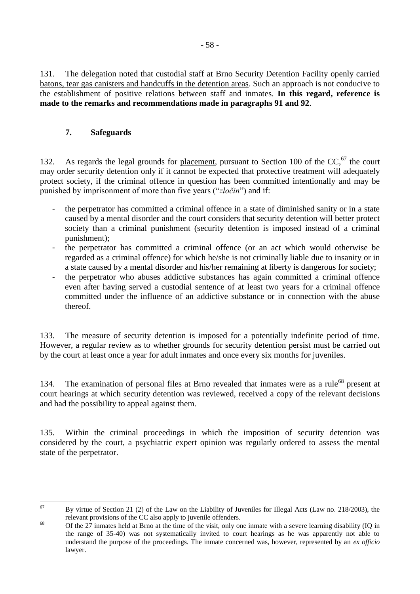131. The delegation noted that custodial staff at Brno Security Detention Facility openly carried batons, tear gas canisters and handcuffs in the detention areas. Such an approach is not conducive to the establishment of positive relations between staff and inmates. **In this regard, reference is made to the remarks and recommendations made in paragraphs 91 and 92**.

## **7. Safeguards**

132. As regards the legal grounds for placement, pursuant to Section 100 of the  $CC<sub>1</sub><sup>67</sup>$  the court may order security detention only if it cannot be expected that protective treatment will adequately protect society, if the criminal offence in question has been committed intentionally and may be punished by imprisonment of more than five years ("*zločin*") and if:

- the perpetrator has committed a criminal offence in a state of diminished sanity or in a state caused by a mental disorder and the court considers that security detention will better protect society than a criminal punishment (security detention is imposed instead of a criminal punishment);
- the perpetrator has committed a criminal offence (or an act which would otherwise be regarded as a criminal offence) for which he/she is not criminally liable due to insanity or in a state caused by a mental disorder and his/her remaining at liberty is dangerous for society;
- the perpetrator who abuses addictive substances has again committed a criminal offence even after having served a custodial sentence of at least two years for a criminal offence committed under the influence of an addictive substance or in connection with the abuse thereof.

133. The measure of security detention is imposed for a potentially indefinite period of time. However, a regular review as to whether grounds for security detention persist must be carried out by the court at least once a year for adult inmates and once every six months for juveniles.

134. The examination of personal files at Brno revealed that inmates were as a rule<sup>68</sup> present at court hearings at which security detention was reviewed, received a copy of the relevant decisions and had the possibility to appeal against them.

135. Within the criminal proceedings in which the imposition of security detention was considered by the court, a psychiatric expert opinion was regularly ordered to assess the mental state of the perpetrator.

<sup>67</sup> <sup>67</sup> By virtue of Section 21 (2) of the Law on the Liability of Juveniles for Illegal Acts (Law no. 218/2003), the relevant provisions of the CC also apply to juvenile offenders.

<sup>&</sup>lt;sup>68</sup> Of the 27 inmates held at Brno at the time of the visit, only one inmate with a severe learning disability (IQ in the range of 35-40) was not systematically invited to court hearings as he was apparently not able to understand the purpose of the proceedings. The inmate concerned was, however, represented by an *ex officio* lawyer.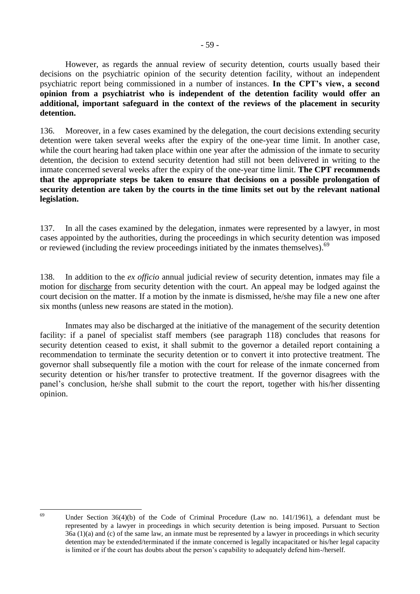However, as regards the annual review of security detention, courts usually based their decisions on the psychiatric opinion of the security detention facility, without an independent psychiatric report being commissioned in a number of instances. **In the CPT's view, a second opinion from a psychiatrist who is independent of the detention facility would offer an additional, important safeguard in the context of the reviews of the placement in security detention.**

136. Moreover, in a few cases examined by the delegation, the court decisions extending security detention were taken several weeks after the expiry of the one-year time limit. In another case, while the court hearing had taken place within one year after the admission of the inmate to security detention, the decision to extend security detention had still not been delivered in writing to the inmate concerned several weeks after the expiry of the one-year time limit. **The CPT recommends that the appropriate steps be taken to ensure that decisions on a possible prolongation of security detention are taken by the courts in the time limits set out by the relevant national legislation.**

137. In all the cases examined by the delegation, inmates were represented by a lawyer, in most cases appointed by the authorities, during the proceedings in which security detention was imposed or reviewed (including the review proceedings initiated by the inmates themselves).<sup>69</sup>

138. In addition to the *ex officio* annual judicial review of security detention, inmates may file a motion for discharge from security detention with the court. An appeal may be lodged against the court decision on the matter. If a motion by the inmate is dismissed, he/she may file a new one after six months (unless new reasons are stated in the motion).

Inmates may also be discharged at the initiative of the management of the security detention facility: if a panel of specialist staff members (see paragraph 118) concludes that reasons for security detention ceased to exist, it shall submit to the governor a detailed report containing a recommendation to terminate the security detention or to convert it into protective treatment. The governor shall subsequently file a motion with the court for release of the inmate concerned from security detention or his/her transfer to protective treatment. If the governor disagrees with the panel's conclusion, he/she shall submit to the court the report, together with his/her dissenting opinion.

69

Under Section  $36(4)(b)$  of the Code of Criminal Procedure (Law no. 141/1961), a defendant must be represented by a lawyer in proceedings in which security detention is being imposed. Pursuant to Section 36a (1)(a) and (c) of the same law, an inmate must be represented by a lawyer in proceedings in which security detention may be extended/terminated if the inmate concerned is legally incapacitated or his/her legal capacity is limited or if the court has doubts about the person's capability to adequately defend him-/herself.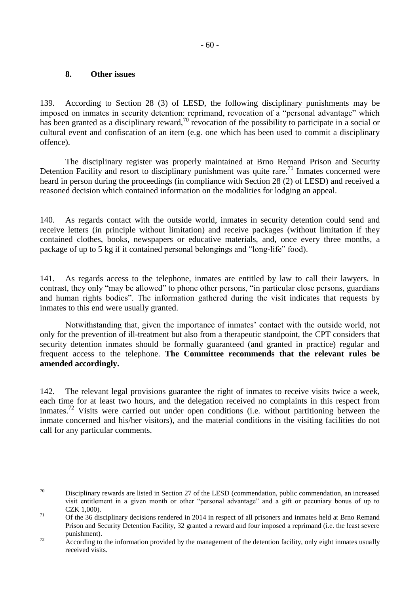## **8. Other issues**

139. According to Section 28 (3) of LESD, the following disciplinary punishments may be imposed on inmates in security detention: reprimand, revocation of a "personal advantage" which has been granted as a disciplinary reward,<sup>70</sup> revocation of the possibility to participate in a social or cultural event and confiscation of an item (e.g. one which has been used to commit a disciplinary offence).

The disciplinary register was properly maintained at Brno Remand Prison and Security Detention Facility and resort to disciplinary punishment was quite rare.<sup>71</sup> Inmates concerned were heard in person during the proceedings (in compliance with Section 28 (2) of LESD) and received a reasoned decision which contained information on the modalities for lodging an appeal.

140. As regards contact with the outside world, inmates in security detention could send and receive letters (in principle without limitation) and receive packages (without limitation if they contained clothes, books, newspapers or educative materials, and, once every three months, a package of up to 5 kg if it contained personal belongings and "long-life" food).

141. As regards access to the telephone, inmates are entitled by law to call their lawyers. In contrast, they only "may be allowed" to phone other persons, "in particular close persons, guardians and human rights bodies". The information gathered during the visit indicates that requests by inmates to this end were usually granted.

Notwithstanding that, given the importance of inmates' contact with the outside world, not only for the prevention of ill-treatment but also from a therapeutic standpoint, the CPT considers that security detention inmates should be formally guaranteed (and granted in practice) regular and frequent access to the telephone. **The Committee recommends that the relevant rules be amended accordingly.**

142. The relevant legal provisions guarantee the right of inmates to receive visits twice a week, each time for at least two hours, and the delegation received no complaints in this respect from inmates.<sup>72</sup> Visits were carried out under open conditions (i.e. without partitioning between the inmate concerned and his/her visitors), and the material conditions in the visiting facilities do not call for any particular comments.

 $70$ Disciplinary rewards are listed in Section 27 of the LESD (commendation, public commendation, an increased visit entitlement in a given month or other "personal advantage" and a gift or pecuniary bonus of up to CZK 1,000).

<sup>&</sup>lt;sup>71</sup> Of the 36 disciplinary decisions rendered in 2014 in respect of all prisoners and inmates held at Brno Remand Prison and Security Detention Facility, 32 granted a reward and four imposed a reprimand (i.e. the least severe punishment).

<sup>&</sup>lt;sup>72</sup> According to the information provided by the management of the detention facility, only eight inmates usually received visits.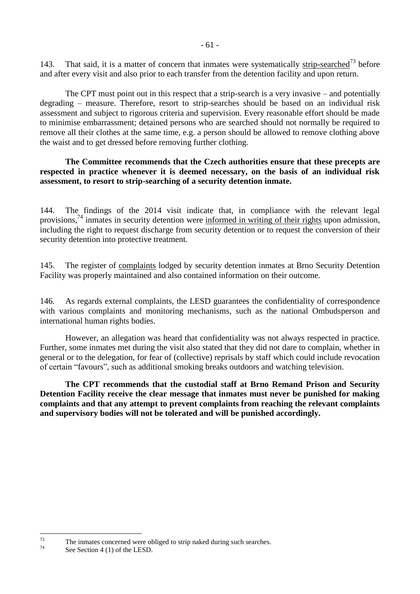143. That said, it is a matter of concern that inmates were systematically strip-searched<sup>73</sup> before and after every visit and also prior to each transfer from the detention facility and upon return.

The CPT must point out in this respect that a strip-search is a very invasive – and potentially degrading – measure. Therefore, resort to strip-searches should be based on an individual risk assessment and subject to rigorous criteria and supervision. Every reasonable effort should be made to minimise embarrassment; detained persons who are searched should not normally be required to remove all their clothes at the same time, e.g. a person should be allowed to remove clothing above the waist and to get dressed before removing further clothing.

### **The Committee recommends that the Czech authorities ensure that these precepts are respected in practice whenever it is deemed necessary, on the basis of an individual risk assessment, to resort to strip-searching of a security detention inmate.**

144. The findings of the 2014 visit indicate that, in compliance with the relevant legal provisions.<sup>74</sup> inmates in security detention were informed in writing of their rights upon admission, including the right to request discharge from security detention or to request the conversion of their security detention into protective treatment.

145. The register of complaints lodged by security detention inmates at Brno Security Detention Facility was properly maintained and also contained information on their outcome.

146. As regards external complaints, the LESD guarantees the confidentiality of correspondence with various complaints and monitoring mechanisms, such as the national Ombudsperson and international human rights bodies.

However, an allegation was heard that confidentiality was not always respected in practice. Further, some inmates met during the visit also stated that they did not dare to complain, whether in general or to the delegation, for fear of (collective) reprisals by staff which could include revocation of certain "favours", such as additional smoking breaks outdoors and watching television.

**The CPT recommends that the custodial staff at Brno Remand Prison and Security Detention Facility receive the clear message that inmates must never be punished for making complaints and that any attempt to prevent complaints from reaching the relevant complaints and supervisory bodies will not be tolerated and will be punished accordingly.**

 $73$  $^{73}$  The inmates concerned were obliged to strip naked during such searches.

See Section 4 (1) of the LESD.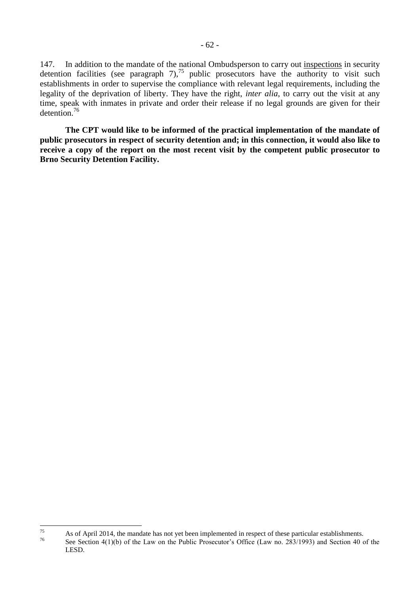147. In addition to the mandate of the national Ombudsperson to carry out inspections in security detention facilities (see paragraph  $7$ ),<sup>75</sup> public prosecutors have the authority to visit such establishments in order to supervise the compliance with relevant legal requirements, including the legality of the deprivation of liberty. They have the right, *inter alia*, to carry out the visit at any time, speak with inmates in private and order their release if no legal grounds are given for their detention. 76

**The CPT would like to be informed of the practical implementation of the mandate of public prosecutors in respect of security detention and; in this connection, it would also like to receive a copy of the report on the most recent visit by the competent public prosecutor to Brno Security Detention Facility.**

<sup>75</sup> <sup>75</sup> As of April 2014, the mandate has not yet been implemented in respect of these particular establishments.

See Section 4(1)(b) of the Law on the Public Prosecutor's Office (Law no. 283/1993) and Section 40 of the LESD.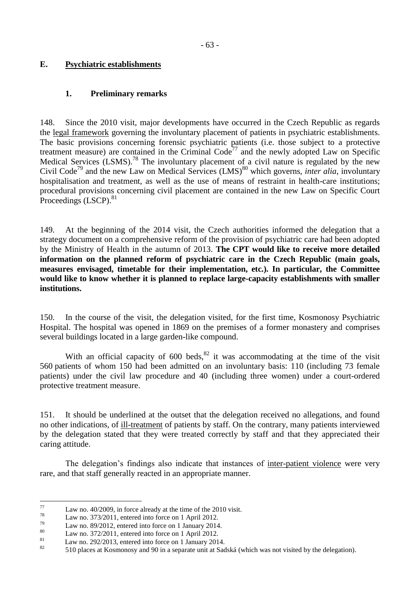## **E. Psychiatric establishments**

## **1. Preliminary remarks**

148. Since the 2010 visit, major developments have occurred in the Czech Republic as regards the legal framework governing the involuntary placement of patients in psychiatric establishments. The basic provisions concerning forensic psychiatric patients (i.e. those subject to a protective treatment measure) are contained in the Criminal  $Code^{77}$  and the newly adopted Law on Specific Medical Services  $(LSMS)$ .<sup>78</sup> The involuntary placement of a civil nature is regulated by the new Civil Code<sup>79</sup> and the new Law on Medical Services (LMS)<sup>80</sup> which governs, *inter alia*, *involuntary* hospitalisation and treatment, as well as the use of means of restraint in health-care institutions; procedural provisions concerning civil placement are contained in the new Law on Specific Court Proceedings (LSCP).<sup>81</sup>

149. At the beginning of the 2014 visit, the Czech authorities informed the delegation that a strategy document on a comprehensive reform of the provision of psychiatric care had been adopted by the Ministry of Health in the autumn of 2013. **The CPT would like to receive more detailed information on the planned reform of psychiatric care in the Czech Republic (main goals, measures envisaged, timetable for their implementation, etc.). In particular, the Committee would like to know whether it is planned to replace large-capacity establishments with smaller institutions.** 

150. In the course of the visit, the delegation visited, for the first time, Kosmonosy Psychiatric Hospital. The hospital was opened in 1869 on the premises of a former monastery and comprises several buildings located in a large garden-like compound.

With an official capacity of  $600$  beds,  $82$  it was accommodating at the time of the visit 560 patients of whom 150 had been admitted on an involuntary basis: 110 (including 73 female patients) under the civil law procedure and 40 (including three women) under a court-ordered protective treatment measure.

151. It should be underlined at the outset that the delegation received no allegations, and found no other indications, of ill-treatment of patients by staff. On the contrary, many patients interviewed by the delegation stated that they were treated correctly by staff and that they appreciated their caring attitude.

The delegation's findings also indicate that instances of inter-patient violence were very rare, and that staff generally reacted in an appropriate manner.

<sup>77</sup>  $\frac{77}{78}$  Law no. 40/2009, in force already at the time of the 2010 visit.

 $\frac{78}{79}$  Law no. 373/2011, entered into force on 1 April 2012.

 $^{79}$  Law no. 89/2012, entered into force on 1 January 2014.

 $\frac{80}{100}$  Law no. 372/2011, entered into force on 1 April 2012.

<sup>&</sup>lt;sup>81</sup> Law no. 292/2013, entered into force on 1 January 2014.

<sup>82</sup> 510 places at Kosmonosy and 90 in a separate unit at Sadská (which was not visited by the delegation).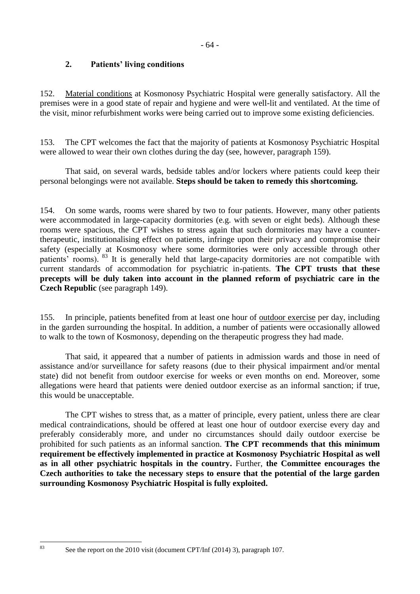# **2. Patients' living conditions**

152. Material conditions at Kosmonosy Psychiatric Hospital were generally satisfactory. All the premises were in a good state of repair and hygiene and were well-lit and ventilated. At the time of the visit, minor refurbishment works were being carried out to improve some existing deficiencies.

153. The CPT welcomes the fact that the majority of patients at Kosmonosy Psychiatric Hospital were allowed to wear their own clothes during the day (see, however, paragraph 159).

That said, on several wards, bedside tables and/or lockers where patients could keep their personal belongings were not available. **Steps should be taken to remedy this shortcoming.**

154. On some wards, rooms were shared by two to four patients. However, many other patients were accommodated in large-capacity dormitories (e.g. with seven or eight beds). Although these rooms were spacious, the CPT wishes to stress again that such dormitories may have a countertherapeutic, institutionalising effect on patients, infringe upon their privacy and compromise their safety (especially at Kosmonosy where some dormitories were only accessible through other patients' rooms). <sup>83</sup> It is generally held that large-capacity dormitories are not compatible with current standards of accommodation for psychiatric in-patients. **The CPT trusts that these precepts will be duly taken into account in the planned reform of psychiatric care in the Czech Republic** (see paragraph 149).

155. In principle, patients benefited from at least one hour of outdoor exercise per day, including in the garden surrounding the hospital. In addition, a number of patients were occasionally allowed to walk to the town of Kosmonosy, depending on the therapeutic progress they had made.

That said, it appeared that a number of patients in admission wards and those in need of assistance and/or surveillance for safety reasons (due to their physical impairment and/or mental state) did not benefit from outdoor exercise for weeks or even months on end. Moreover, some allegations were heard that patients were denied outdoor exercise as an informal sanction; if true, this would be unacceptable.

The CPT wishes to stress that, as a matter of principle, every patient, unless there are clear medical contraindications, should be offered at least one hour of outdoor exercise every day and preferably considerably more, and under no circumstances should daily outdoor exercise be prohibited for such patients as an informal sanction. **The CPT recommends that this minimum requirement be effectively implemented in practice at Kosmonosy Psychiatric Hospital as well as in all other psychiatric hospitals in the country.** Further, **the Committee encourages the Czech authorities to take the necessary steps to ensure that the potential of the large garden surrounding Kosmonosy Psychiatric Hospital is fully exploited.**

 $83$ 

See the report on the 2010 visit (document CPT/Inf (2014) 3), paragraph 107.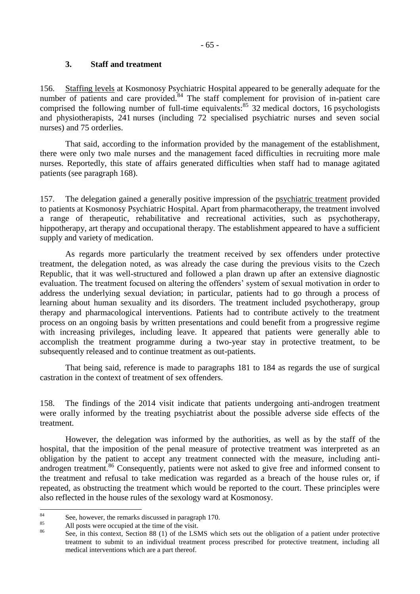## **3. Staff and treatment**

156. Staffing levels at Kosmonosy Psychiatric Hospital appeared to be generally adequate for the number of patients and care provided.<sup>84</sup> The staff complement for provision of in-patient care comprised the following number of full-time equivalents: $85 \times 32$  medical doctors, 16 psychologists and physiotherapists, 241 nurses (including 72 specialised psychiatric nurses and seven social nurses) and 75 orderlies.

That said, according to the information provided by the management of the establishment, there were only two male nurses and the management faced difficulties in recruiting more male nurses. Reportedly, this state of affairs generated difficulties when staff had to manage agitated patients (see paragraph 168).

157. The delegation gained a generally positive impression of the psychiatric treatment provided to patients at Kosmonosy Psychiatric Hospital. Apart from pharmacotherapy, the treatment involved a range of therapeutic, rehabilitative and recreational activities, such as psychotherapy, hippotherapy, art therapy and occupational therapy. The establishment appeared to have a sufficient supply and variety of medication.

As regards more particularly the treatment received by sex offenders under protective treatment, the delegation noted, as was already the case during the previous visits to the Czech Republic, that it was well-structured and followed a plan drawn up after an extensive diagnostic evaluation. The treatment focused on altering the offenders' system of sexual motivation in order to address the underlying sexual deviation; in particular, patients had to go through a process of learning about human sexuality and its disorders. The treatment included psychotherapy, group therapy and pharmacological interventions. Patients had to contribute actively to the treatment process on an ongoing basis by written presentations and could benefit from a progressive regime with increasing privileges, including leave. It appeared that patients were generally able to accomplish the treatment programme during a two-year stay in protective treatment, to be subsequently released and to continue treatment as out-patients.

That being said, reference is made to paragraphs 181 to 184 as regards the use of surgical castration in the context of treatment of sex offenders.

158. The findings of the 2014 visit indicate that patients undergoing anti-androgen treatment were orally informed by the treating psychiatrist about the possible adverse side effects of the treatment.

However, the delegation was informed by the authorities, as well as by the staff of the hospital, that the imposition of the penal measure of protective treatment was interpreted as an obligation by the patient to accept any treatment connected with the measure, including antiandrogen treatment.<sup>86</sup> Consequently, patients were not asked to give free and informed consent to the treatment and refusal to take medication was regarded as a breach of the house rules or, if repeated, as obstructing the treatment which would be reported to the court. These principles were also reflected in the house rules of the sexology ward at Kosmonosy.

<sup>84</sup>  $\frac{84}{100}$  See, however, the remarks discussed in paragraph 170.

 $^{85}$  All posts were occupied at the time of the visit.

See, in this context, Section 88 (1) of the LSMS which sets out the obligation of a patient under protective treatment to submit to an individual treatment process prescribed for protective treatment, including all medical interventions which are a part thereof.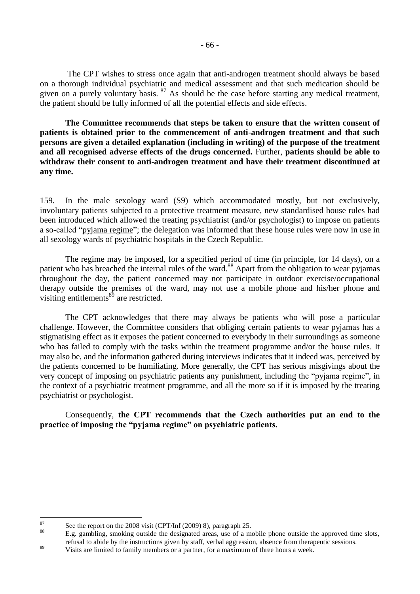The CPT wishes to stress once again that anti-androgen treatment should always be based on a thorough individual psychiatric and medical assessment and that such medication should be given on a purely voluntary basis.  $87$  As should be the case before starting any medical treatment, the patient should be fully informed of all the potential effects and side effects.

**The Committee recommends that steps be taken to ensure that the written consent of patients is obtained prior to the commencement of anti-androgen treatment and that such persons are given a detailed explanation (including in writing) of the purpose of the treatment and all recognised adverse effects of the drugs concerned.** Further, **patients should be able to withdraw their consent to anti-androgen treatment and have their treatment discontinued at any time.**

159. In the male sexology ward (S9) which accommodated mostly, but not exclusively, involuntary patients subjected to a protective treatment measure, new standardised house rules had been introduced which allowed the treating psychiatrist (and/or psychologist) to impose on patients a so-called "pyjama regime"; the delegation was informed that these house rules were now in use in all sexology wards of psychiatric hospitals in the Czech Republic.

The regime may be imposed, for a specified period of time (in principle, for 14 days), on a patient who has breached the internal rules of the ward.<sup>88</sup> Apart from the obligation to wear pyjamas throughout the day, the patient concerned may not participate in outdoor exercise/occupational therapy outside the premises of the ward, may not use a mobile phone and his/her phone and visiting entitlements <sup>89</sup> are restricted.

The CPT acknowledges that there may always be patients who will pose a particular challenge. However, the Committee considers that obliging certain patients to wear pyjamas has a stigmatising effect as it exposes the patient concerned to everybody in their surroundings as someone who has failed to comply with the tasks within the treatment programme and/or the house rules. It may also be, and the information gathered during interviews indicates that it indeed was, perceived by the patients concerned to be humiliating. More generally, the CPT has serious misgivings about the very concept of imposing on psychiatric patients any punishment, including the "pyjama regime", in the context of a psychiatric treatment programme, and all the more so if it is imposed by the treating psychiatrist or psychologist.

Consequently, **the CPT recommends that the Czech authorities put an end to the practice of imposing the "pyjama regime" on psychiatric patients.**

<sup>88</sup> E.g. gambling, smoking outside the designated areas, use of a mobile phone outside the approved time slots, refusal to abide by the instructions given by staff, verbal aggression, absence from therapeutic sessions.

 $87$ <sup>87</sup> See the report on the 2008 visit (CPT/Inf (2009) 8), paragraph 25.

<sup>&</sup>lt;sup>89</sup><br>Visits are limited to family members or a partner, for a maximum of three hours a week.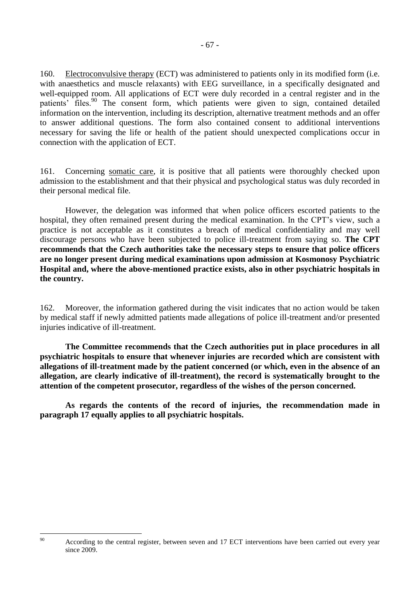160. Electroconvulsive therapy (ECT) was administered to patients only in its modified form (i.e. with anaesthetics and muscle relaxants) with EEG surveillance, in a specifically designated and well-equipped room. All applications of ECT were duly recorded in a central register and in the patients' files.<sup>90</sup> The consent form, which patients were given to sign, contained detailed information on the intervention, including its description, alternative treatment methods and an offer to answer additional questions. The form also contained consent to additional interventions necessary for saving the life or health of the patient should unexpected complications occur in connection with the application of ECT.

161. Concerning somatic care, it is positive that all patients were thoroughly checked upon admission to the establishment and that their physical and psychological status was duly recorded in their personal medical file.

However, the delegation was informed that when police officers escorted patients to the hospital, they often remained present during the medical examination. In the CPT's view, such a practice is not acceptable as it constitutes a breach of medical confidentiality and may well discourage persons who have been subjected to police ill-treatment from saying so. **The CPT recommends that the Czech authorities take the necessary steps to ensure that police officers are no longer present during medical examinations upon admission at Kosmonosy Psychiatric Hospital and, where the above-mentioned practice exists, also in other psychiatric hospitals in the country.**

162. Moreover, the information gathered during the visit indicates that no action would be taken by medical staff if newly admitted patients made allegations of police ill-treatment and/or presented injuries indicative of ill-treatment.

**The Committee recommends that the Czech authorities put in place procedures in all psychiatric hospitals to ensure that whenever injuries are recorded which are consistent with allegations of ill-treatment made by the patient concerned (or which, even in the absence of an allegation, are clearly indicative of ill-treatment), the record is systematically brought to the attention of the competent prosecutor, regardless of the wishes of the person concerned.**

**As regards the contents of the record of injuries, the recommendation made in paragraph 17 equally applies to all psychiatric hospitals.**

 $90$ 

According to the central register, between seven and 17 ECT interventions have been carried out every year since 2009.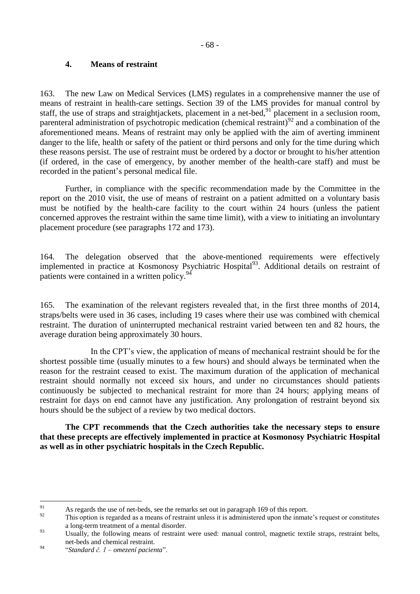## **4. Means of restraint**

163. The new Law on Medical Services (LMS) regulates in a comprehensive manner the use of means of restraint in health-care settings. Section 39 of the LMS provides for manual control by staff, the use of straps and straightjackets, placement in a net-bed, <sup>91</sup> placement in a seclusion room, parenteral administration of psychotropic medication (chemical restraint)<sup>92</sup> and a combination of the aforementioned means. Means of restraint may only be applied with the aim of averting imminent danger to the life, health or safety of the patient or third persons and only for the time during which these reasons persist. The use of restraint must be ordered by a doctor or brought to his/her attention (if ordered, in the case of emergency, by another member of the health-care staff) and must be recorded in the patient's personal medical file.

Further, in compliance with the specific recommendation made by the Committee in the report on the 2010 visit, the use of means of restraint on a patient admitted on a voluntary basis must be notified by the health-care facility to the court within 24 hours (unless the patient concerned approves the restraint within the same time limit), with a view to initiating an involuntary placement procedure (see paragraphs 172 and 173).

164. The delegation observed that the above-mentioned requirements were effectively implemented in practice at Kosmonosy Psychiatric Hospital<sup>93</sup>. Additional details on restraint of patients were contained in a written policy.<sup>94</sup>

165. The examination of the relevant registers revealed that, in the first three months of 2014, straps/belts were used in 36 cases, including 19 cases where their use was combined with chemical restraint. The duration of uninterrupted mechanical restraint varied between ten and 82 hours, the average duration being approximately 30 hours.

In the CPT's view, the application of means of mechanical restraint should be for the shortest possible time (usually minutes to a few hours) and should always be terminated when the reason for the restraint ceased to exist. The maximum duration of the application of mechanical restraint should normally not exceed six hours, and under no circumstances should patients continuously be subjected to mechanical restraint for more than 24 hours; applying means of restraint for days on end cannot have any justification. Any prolongation of restraint beyond six hours should be the subject of a review by two medical doctors.

**The CPT recommends that the Czech authorities take the necessary steps to ensure that these precepts are effectively implemented in practice at Kosmonosy Psychiatric Hospital as well as in other psychiatric hospitals in the Czech Republic.**

 $\overline{91}$ <sup>91</sup> As regards the use of net-beds, see the remarks set out in paragraph 169 of this report.

This option is regarded as a means of restraint unless it is administered upon the inmate's request or constitutes a long-term treatment of a mental disorder.

<sup>&</sup>lt;sup>93</sup> Usually, the following means of restraint were used: manual control, magnetic textile straps, restraint belts, net-beds and chemical restraint.

<sup>94</sup> "*Standard č. 1 – omezení pacienta*".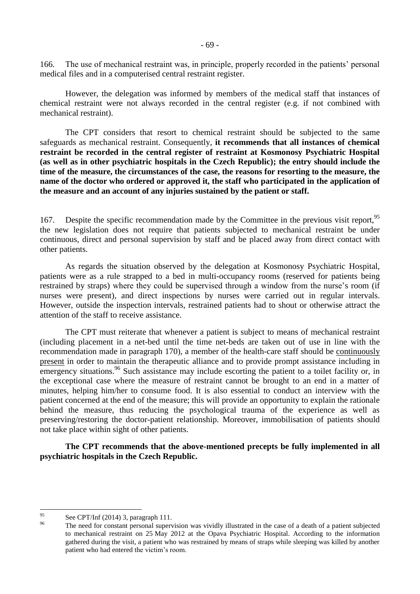166. The use of mechanical restraint was, in principle, properly recorded in the patients' personal medical files and in a computerised central restraint register.

However, the delegation was informed by members of the medical staff that instances of chemical restraint were not always recorded in the central register (e.g. if not combined with mechanical restraint).

The CPT considers that resort to chemical restraint should be subjected to the same safeguards as mechanical restraint. Consequently, **it recommends that all instances of chemical restraint be recorded in the central register of restraint at Kosmonosy Psychiatric Hospital (as well as in other psychiatric hospitals in the Czech Republic); the entry should include the time of the measure, the circumstances of the case, the reasons for resorting to the measure, the name of the doctor who ordered or approved it, the staff who participated in the application of the measure and an account of any injuries sustained by the patient or staff.**

167. Despite the specific recommendation made by the Committee in the previous visit report.<sup>95</sup> the new legislation does not require that patients subjected to mechanical restraint be under continuous, direct and personal supervision by staff and be placed away from direct contact with other patients.

As regards the situation observed by the delegation at Kosmonosy Psychiatric Hospital, patients were as a rule strapped to a bed in multi-occupancy rooms (reserved for patients being restrained by straps) where they could be supervised through a window from the nurse's room (if nurses were present), and direct inspections by nurses were carried out in regular intervals. However, outside the inspection intervals, restrained patients had to shout or otherwise attract the attention of the staff to receive assistance.

The CPT must reiterate that whenever a patient is subject to means of mechanical restraint (including placement in a net-bed until the time net-beds are taken out of use in line with the recommendation made in paragraph 170), a member of the health-care staff should be continuously present in order to maintain the therapeutic alliance and to provide prompt assistance including in emergency situations.<sup>96</sup> Such assistance may include escorting the patient to a toilet facility or, in the exceptional case where the measure of restraint cannot be brought to an end in a matter of minutes, helping him/her to consume food. It is also essential to conduct an interview with the patient concerned at the end of the measure; this will provide an opportunity to explain the rationale behind the measure, thus reducing the psychological trauma of the experience as well as preserving/restoring the doctor-patient relationship. Moreover, immobilisation of patients should not take place within sight of other patients.

**The CPT recommends that the above-mentioned precepts be fully implemented in all psychiatric hospitals in the Czech Republic.**

<sup>95</sup>  $^{95}$  See CPT/Inf (2014) 3, paragraph 111.

The need for constant personal supervision was vividly illustrated in the case of a death of a patient subjected to mechanical restraint on 25 May 2012 at the Opava Psychiatric Hospital. According to the information gathered during the visit, a patient who was restrained by means of straps while sleeping was killed by another patient who had entered the victim's room.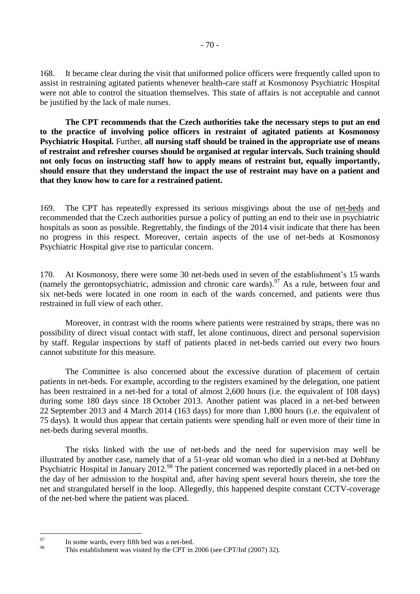168. It became clear during the visit that uniformed police officers were frequently called upon to assist in restraining agitated patients whenever health-care staff at Kosmonosy Psychiatric Hospital were not able to control the situation themselves. This state of affairs is not acceptable and cannot be justified by the lack of male nurses.

**The CPT recommends that the Czech authorities take the necessary steps to put an end to the practice of involving police officers in restraint of agitated patients at Kosmonosy Psychiatric Hospital.** Further, **all nursing staff should be trained in the appropriate use of means of restraint and refresher courses should be organised at regular intervals. Such training should not only focus on instructing staff how to apply means of restraint but, equally importantly, should ensure that they understand the impact the use of restraint may have on a patient and that they know how to care for a restrained patient.**

169. The CPT has repeatedly expressed its serious misgivings about the use of net-beds and recommended that the Czech authorities pursue a policy of putting an end to their use in psychiatric hospitals as soon as possible. Regrettably, the findings of the 2014 visit indicate that there has been no progress in this respect. Moreover, certain aspects of the use of net-beds at Kosmonosy Psychiatric Hospital give rise to particular concern.

170. At Kosmonosy, there were some 30 net-beds used in seven of the establishment's 15 wards (namely the gerontopsychiatric, admission and chronic care wards). <sup>97</sup> As a rule, between four and six net-beds were located in one room in each of the wards concerned, and patients were thus restrained in full view of each other.

Moreover, in contrast with the rooms where patients were restrained by straps, there was no possibility of direct visual contact with staff, let alone continuous, direct and personal supervision by staff. Regular inspections by staff of patients placed in net-beds carried out every two hours cannot substitute for this measure.

The Committee is also concerned about the excessive duration of placement of certain patients in net-beds. For example, according to the registers examined by the delegation, one patient has been restrained in a net-bed for a total of almost 2,600 hours (i.e. the equivalent of 108 days) during some 180 days since 18 October 2013. Another patient was placed in a net-bed between 22 September 2013 and 4 March 2014 (163 days) for more than 1,800 hours (i.e. the equivalent of 75 days). It would thus appear that certain patients were spending half or even more of their time in net-beds during several months.

The risks linked with the use of net-beds and the need for supervision may well be illustrated by another case, namely that of a 51-year old woman who died in a net-bed at Dobřany Psychiatric Hospital in January 2012.<sup>98</sup> The patient concerned was reportedly placed in a net-bed on the day of her admission to the hospital and, after having spent several hours therein, she tore the net and strangulated herself in the loop. Allegedly, this happened despite constant CCTV-coverage of the net-bed where the patient was placed.

<sup>97</sup>  $^{97}$  In some wards, every fifth bed was a net-bed.

This establishment was visited by the CPT in 2006 (see CPT/Inf (2007) 32).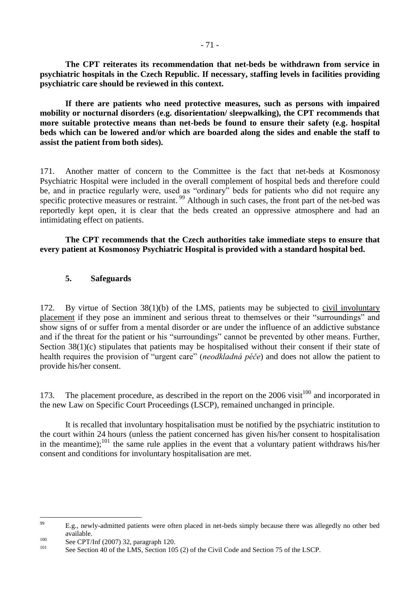**The CPT reiterates its recommendation that net-beds be withdrawn from service in psychiatric hospitals in the Czech Republic. If necessary, staffing levels in facilities providing psychiatric care should be reviewed in this context.**

**If there are patients who need protective measures, such as persons with impaired mobility or nocturnal disorders (e.g. disorientation/ sleepwalking), the CPT recommends that more suitable protective means than net-beds be found to ensure their safety (e.g. hospital beds which can be lowered and/or which are boarded along the sides and enable the staff to assist the patient from both sides).**

171. Another matter of concern to the Committee is the fact that net-beds at Kosmonosy Psychiatric Hospital were included in the overall complement of hospital beds and therefore could be, and in practice regularly were, used as "ordinary" beds for patients who did not require any specific protective measures or restraint.<sup>99</sup> Although in such cases, the front part of the net-bed was reportedly kept open, it is clear that the beds created an oppressive atmosphere and had an intimidating effect on patients.

**The CPT recommends that the Czech authorities take immediate steps to ensure that every patient at Kosmonosy Psychiatric Hospital is provided with a standard hospital bed.**

#### **5. Safeguards**

172. By virtue of Section 38(1)(b) of the LMS, patients may be subjected to civil involuntary placement if they pose an imminent and serious threat to themselves or their "surroundings" and show signs of or suffer from a mental disorder or are under the influence of an addictive substance and if the threat for the patient or his "surroundings" cannot be prevented by other means. Further, Section 38(1)(c) stipulates that patients may be hospitalised without their consent if their state of health requires the provision of "urgent care" (*neodkladná péče*) and does not allow the patient to provide his/her consent.

173. The placement procedure, as described in the report on the  $2006$  visit<sup>100</sup> and incorporated in the new Law on Specific Court Proceedings (LSCP), remained unchanged in principle.

It is recalled that involuntary hospitalisation must be notified by the psychiatric institution to the court within 24 hours (unless the patient concerned has given his/her consent to hospitalisation in the meantime); $^{101}$  the same rule applies in the event that a voluntary patient withdraws his/her consent and conditions for involuntary hospitalisation are met.

<sup>99</sup> <sup>99</sup> E.g., newly-admitted patients were often placed in net-beds simply because there was allegedly no other bed available.

<sup>100</sup> See CPT/Inf (2007) 32, paragraph 120.

See Section 40 of the LMS, Section 105 (2) of the Civil Code and Section 75 of the LSCP.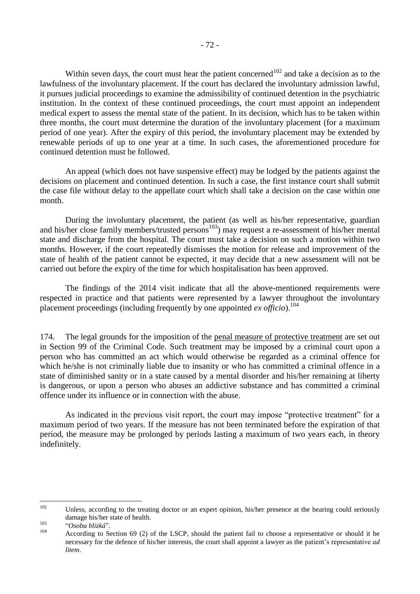Within seven days, the court must hear the patient concerned<sup>102</sup> and take a decision as to the lawfulness of the involuntary placement. If the court has declared the involuntary admission lawful, it pursues judicial proceedings to examine the admissibility of continued detention in the psychiatric institution. In the context of these continued proceedings, the court must appoint an independent medical expert to assess the mental state of the patient. In its decision, which has to be taken within three months, the court must determine the duration of the involuntary placement (for a maximum period of one year). After the expiry of this period, the involuntary placement may be extended by renewable periods of up to one year at a time. In such cases, the aforementioned procedure for continued detention must be followed.

An appeal (which does not have suspensive effect) may be lodged by the patients against the decisions on placement and continued detention. In such a case, the first instance court shall submit the case file without delay to the appellate court which shall take a decision on the case within one month.

During the involuntary placement, the patient (as well as his/her representative, guardian and his/her close family members/trusted persons<sup>103</sup>) may request a re-assessment of his/her mental state and discharge from the hospital. The court must take a decision on such a motion within two months. However, if the court repeatedly dismisses the motion for release and improvement of the state of health of the patient cannot be expected, it may decide that a new assessment will not be carried out before the expiry of the time for which hospitalisation has been approved.

The findings of the 2014 visit indicate that all the above-mentioned requirements were respected in practice and that patients were represented by a lawyer throughout the involuntary placement proceedings (including frequently by one appointed *ex officio*). 104

174. The legal grounds for the imposition of the penal measure of protective treatment are set out in Section 99 of the Criminal Code. Such treatment may be imposed by a criminal court upon a person who has committed an act which would otherwise be regarded as a criminal offence for which he/she is not criminally liable due to insanity or who has committed a criminal offence in a state of diminished sanity or in a state caused by a mental disorder and his/her remaining at liberty is dangerous, or upon a person who abuses an addictive substance and has committed a criminal offence under its influence or in connection with the abuse.

As indicated in the previous visit report, the court may impose "protective treatment" for a maximum period of two years. If the measure has not been terminated before the expiration of that period, the measure may be prolonged by periods lasting a maximum of two years each, in theory indefinitely.

<sup>102</sup> Unless, according to the treating doctor or an expert opinion, his/her presence at the hearing could seriously damage his/her state of health.

<sup>103</sup> "*Osoba blízká*".

According to Section 69 (2) of the LSCP, should the patient fail to choose a representative or should it be necessary for the defence of his/her interests, the court shall appoint a lawyer as the patient's representative *ad litem*.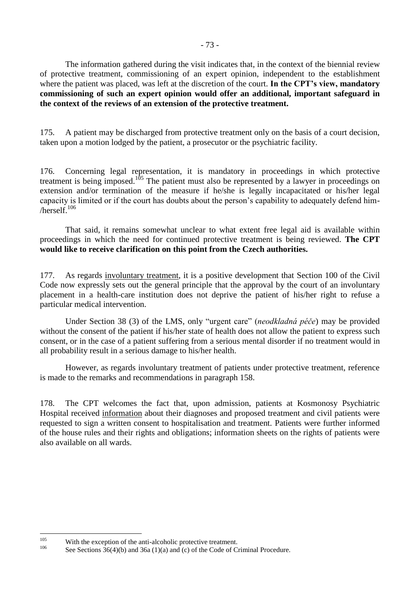The information gathered during the visit indicates that, in the context of the biennial review of protective treatment, commissioning of an expert opinion, independent to the establishment where the patient was placed, was left at the discretion of the court. **In the CPT's view, mandatory commissioning of such an expert opinion would offer an additional, important safeguard in the context of the reviews of an extension of the protective treatment.**

175. A patient may be discharged from protective treatment only on the basis of a court decision, taken upon a motion lodged by the patient, a prosecutor or the psychiatric facility.

176. Concerning legal representation, it is mandatory in proceedings in which protective treatment is being imposed.<sup>105</sup> The patient must also be represented by a lawyer in proceedings on extension and/or termination of the measure if he/she is legally incapacitated or his/her legal capacity is limited or if the court has doubts about the person's capability to adequately defend him  $herself<sup>106</sup>$ 

That said, it remains somewhat unclear to what extent free legal aid is available within proceedings in which the need for continued protective treatment is being reviewed. **The CPT would like to receive clarification on this point from the Czech authorities.**

177. As regards involuntary treatment, it is a positive development that Section 100 of the Civil Code now expressly sets out the general principle that the approval by the court of an involuntary placement in a health-care institution does not deprive the patient of his/her right to refuse a particular medical intervention.

Under Section 38 (3) of the LMS, only "urgent care" (*neodkladná péče*) may be provided without the consent of the patient if his/her state of health does not allow the patient to express such consent, or in the case of a patient suffering from a serious mental disorder if no treatment would in all probability result in a serious damage to his/her health.

However, as regards involuntary treatment of patients under protective treatment, reference is made to the remarks and recommendations in paragraph 158.

178. The CPT welcomes the fact that, upon admission, patients at Kosmonosy Psychiatric Hospital received information about their diagnoses and proposed treatment and civil patients were requested to sign a written consent to hospitalisation and treatment. Patients were further informed of the house rules and their rights and obligations; information sheets on the rights of patients were also available on all wards.

<sup>105</sup> <sup>105</sup> With the exception of the anti-alcoholic protective treatment.

See Sections  $36(4)(b)$  and  $36a(1)(a)$  and (c) of the Code of Criminal Procedure.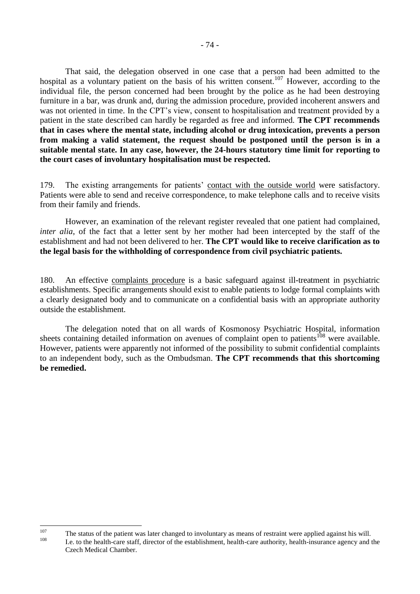That said, the delegation observed in one case that a person had been admitted to the hospital as a voluntary patient on the basis of his written consent.<sup>107</sup> However, according to the individual file, the person concerned had been brought by the police as he had been destroying furniture in a bar, was drunk and, during the admission procedure, provided incoherent answers and was not oriented in time. In the CPT's view, consent to hospitalisation and treatment provided by a patient in the state described can hardly be regarded as free and informed. **The CPT recommends that in cases where the mental state, including alcohol or drug intoxication, prevents a person from making a valid statement, the request should be postponed until the person is in a suitable mental state. In any case, however, the 24-hours statutory time limit for reporting to the court cases of involuntary hospitalisation must be respected.**

179. The existing arrangements for patients' contact with the outside world were satisfactory. Patients were able to send and receive correspondence, to make telephone calls and to receive visits from their family and friends.

However, an examination of the relevant register revealed that one patient had complained, *inter alia*, of the fact that a letter sent by her mother had been intercepted by the staff of the establishment and had not been delivered to her. **The CPT would like to receive clarification as to the legal basis for the withholding of correspondence from civil psychiatric patients.**

180. An effective complaints procedure is a basic safeguard against ill-treatment in psychiatric establishments. Specific arrangements should exist to enable patients to lodge formal complaints with a clearly designated body and to communicate on a confidential basis with an appropriate authority outside the establishment.

The delegation noted that on all wards of Kosmonosy Psychiatric Hospital, information sheets containing detailed information on avenues of complaint open to patients<sup>108</sup> were available. However, patients were apparently not informed of the possibility to submit confidential complaints to an independent body, such as the Ombudsman. **The CPT recommends that this shortcoming be remedied.**

 $107$ <sup>107</sup> The status of the patient was later changed to involuntary as means of restraint were applied against his will. <sup>108</sup> I.e. to the health-care staff, director of the establishment, health-care authority, health-insurance agency and the Czech Medical Chamber.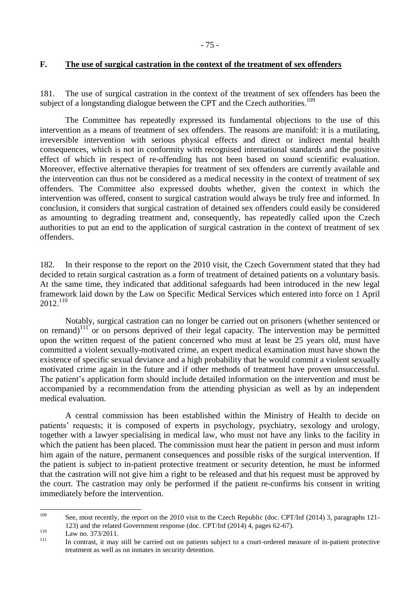### **F. The use of surgical castration in the context of the treatment of sex offenders**

181. The use of surgical castration in the context of the treatment of sex offenders has been the subject of a longstanding dialogue between the CPT and the Czech authorities.<sup>109</sup>

The Committee has repeatedly expressed its fundamental objections to the use of this intervention as a means of treatment of sex offenders. The reasons are manifold: it is a mutilating, irreversible intervention with serious physical effects and direct or indirect mental health consequences, which is not in conformity with recognised international standards and the positive effect of which in respect of re-offending has not been based on sound scientific evaluation. Moreover, effective alternative therapies for treatment of sex offenders are currently available and the intervention can thus not be considered as a medical necessity in the context of treatment of sex offenders. The Committee also expressed doubts whether, given the context in which the intervention was offered, consent to surgical castration would always be truly free and informed. In conclusion, it considers that surgical castration of detained sex offenders could easily be considered as amounting to degrading treatment and, consequently, has repeatedly called upon the Czech authorities to put an end to the application of surgical castration in the context of treatment of sex offenders.

182. In their response to the report on the 2010 visit, the Czech Government stated that they had decided to retain surgical castration as a form of treatment of detained patients on a voluntary basis. At the same time, they indicated that additional safeguards had been introduced in the new legal framework laid down by the Law on Specific Medical Services which entered into force on 1 April 2012. 110

Notably, surgical castration can no longer be carried out on prisoners (whether sentenced or on remand)<sup>111</sup> or on persons deprived of their legal capacity. The intervention may be permitted upon the written request of the patient concerned who must at least be 25 years old, must have committed a violent sexually-motivated crime, an expert medical examination must have shown the existence of specific sexual deviance and a high probability that he would commit a violent sexually motivated crime again in the future and if other methods of treatment have proven unsuccessful. The patient's application form should include detailed information on the intervention and must be accompanied by a recommendation from the attending physician as well as by an independent medical evaluation.

A central commission has been established within the Ministry of Health to decide on patients' requests; it is composed of experts in psychology, psychiatry, sexology and urology, together with a lawyer specialising in medical law, who must not have any links to the facility in which the patient has been placed. The commission must hear the patient in person and must inform him again of the nature, permanent consequences and possible risks of the surgical intervention. If the patient is subject to in-patient protective treatment or security detention, he must be informed that the castration will not give him a right to be released and that his request must be approved by the court. The castration may only be performed if the patient re-confirms his consent in writing immediately before the intervention.

<sup>109</sup> See, most recently, the report on the 2010 visit to the Czech Republic (doc. CPT/Inf (2014) 3, paragraphs 121-123) and the related Government response (doc. CPT/Inf (2014) 4, pages 62-67).

 $110$  Law no. 373/2011.

In contrast, it may still be carried out on patients subject to a court-ordered measure of in-patient protective treatment as well as on inmates in security detention.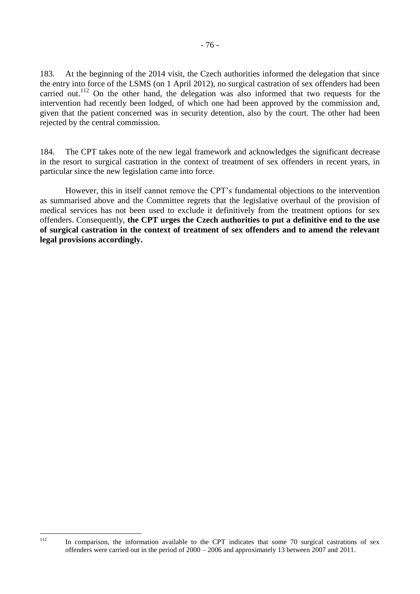183. At the beginning of the 2014 visit, the Czech authorities informed the delegation that since the entry into force of the LSMS (on 1 April 2012), no surgical castration of sex offenders had been carried out.<sup>112</sup> On the other hand, the delegation was also informed that two requests for the intervention had recently been lodged, of which one had been approved by the commission and, given that the patient concerned was in security detention, also by the court. The other had been rejected by the central commission.

184. The CPT takes note of the new legal framework and acknowledges the significant decrease in the resort to surgical castration in the context of treatment of sex offenders in recent years, in particular since the new legislation came into force.

However, this in itself cannot remove the CPT's fundamental objections to the intervention as summarised above and the Committee regrets that the legislative overhaul of the provision of medical services has not been used to exclude it definitively from the treatment options for sex offenders. Consequently, **the CPT urges the Czech authorities to put a definitive end to the use of surgical castration in the context of treatment of sex offenders and to amend the relevant legal provisions accordingly.**

112

In comparison, the information available to the CPT indicates that some 70 surgical castrations of sex offenders were carried out in the period of 2000 – 2006 and approximately 13 between 2007 and 2011.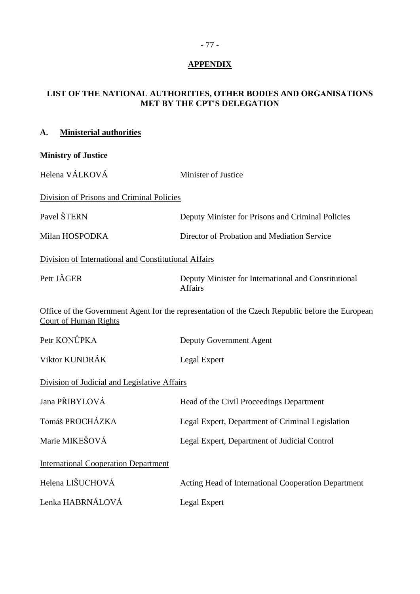# **APPENDIX**

### **LIST OF THE NATIONAL AUTHORITIES, OTHER BODIES AND ORGANISATIONS MET BY THE CPT'S DELEGATION**

| A.                                           | <b>Ministerial authorities</b>                       |                                                                                                 |  |  |
|----------------------------------------------|------------------------------------------------------|-------------------------------------------------------------------------------------------------|--|--|
|                                              | <b>Ministry of Justice</b>                           |                                                                                                 |  |  |
| Helena VÁLKOVÁ                               |                                                      | Minister of Justice                                                                             |  |  |
|                                              | Division of Prisons and Criminal Policies            |                                                                                                 |  |  |
|                                              | Pavel ŠTERN                                          | Deputy Minister for Prisons and Criminal Policies                                               |  |  |
| Milan HOSPODKA                               |                                                      | Director of Probation and Mediation Service                                                     |  |  |
|                                              | Division of International and Constitutional Affairs |                                                                                                 |  |  |
|                                              | Petr JÄGER                                           | Deputy Minister for International and Constitutional<br><b>Affairs</b>                          |  |  |
|                                              | <b>Court of Human Rights</b>                         | Office of the Government Agent for the representation of the Czech Republic before the European |  |  |
|                                              | Petr KONŮPKA                                         | Deputy Government Agent                                                                         |  |  |
| Viktor KUNDRÁK                               |                                                      | Legal Expert                                                                                    |  |  |
| Division of Judicial and Legislative Affairs |                                                      |                                                                                                 |  |  |
|                                              | Jana PŘIBYLOVÁ                                       | Head of the Civil Proceedings Department                                                        |  |  |
|                                              | Tomáš PROCHÁZKA                                      | Legal Expert, Department of Criminal Legislation                                                |  |  |
| Marie MIKEŠOVÁ                               |                                                      | Legal Expert, Department of Judicial Control                                                    |  |  |
|                                              | <b>International Cooperation Department</b>          |                                                                                                 |  |  |
|                                              | Helena LIŠUCHOVÁ                                     | Acting Head of International Cooperation Department                                             |  |  |
|                                              | Lenka HABRNÁLOVÁ                                     | Legal Expert                                                                                    |  |  |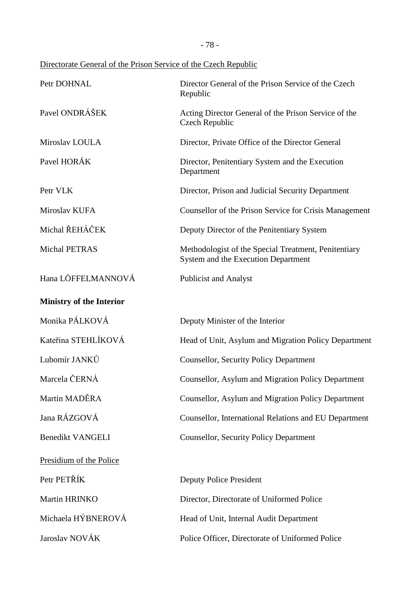- 78 -

Directorate General of the Prison Service of the Czech Republic

| Petr DOHNAL                     | Director General of the Prison Service of the Czech<br>Republic                             |  |  |  |
|---------------------------------|---------------------------------------------------------------------------------------------|--|--|--|
| Pavel ONDRÁŠEK                  | Acting Director General of the Prison Service of the<br>Czech Republic                      |  |  |  |
| Miroslav LOULA                  | Director, Private Office of the Director General                                            |  |  |  |
| Pavel HORÁK                     | Director, Penitentiary System and the Execution<br>Department                               |  |  |  |
| Petr VLK                        | Director, Prison and Judicial Security Department                                           |  |  |  |
| Miroslav KUFA                   | Counsellor of the Prison Service for Crisis Management                                      |  |  |  |
| Michal ŘEHÁČEK                  | Deputy Director of the Penitentiary System                                                  |  |  |  |
| Michal PETRAS                   | Methodologist of the Special Treatment, Penitentiary<br>System and the Execution Department |  |  |  |
| Hana LÖFFELMANNOVÁ              | <b>Publicist and Analyst</b>                                                                |  |  |  |
| <b>Ministry of the Interior</b> |                                                                                             |  |  |  |
| Monika PÁLKOVÁ                  | Deputy Minister of the Interior                                                             |  |  |  |
| Kateřina STEHLÍKOVÁ             | Head of Unit, Asylum and Migration Policy Department                                        |  |  |  |
| Lubomír JANKŮ                   | <b>Counsellor, Security Policy Department</b>                                               |  |  |  |
| Marcela ČERNÁ                   | Counsellor, Asylum and Migration Policy Department                                          |  |  |  |
| Martin MADĚRA                   | Counsellor, Asylum and Migration Policy Department                                          |  |  |  |
| Jana RÁZGOVÁ                    | Counsellor, International Relations and EU Department                                       |  |  |  |
| <b>Benedikt VANGELI</b>         | <b>Counsellor, Security Policy Department</b>                                               |  |  |  |
| Presidium of the Police         |                                                                                             |  |  |  |
| Petr PETŘÍK                     | <b>Deputy Police President</b>                                                              |  |  |  |
| Martin HRINKO                   | Director, Directorate of Uniformed Police                                                   |  |  |  |
| Michaela HÝBNEROVÁ              | Head of Unit, Internal Audit Department                                                     |  |  |  |
| Jaroslav NOVÁK                  | Police Officer, Directorate of Uniformed Police                                             |  |  |  |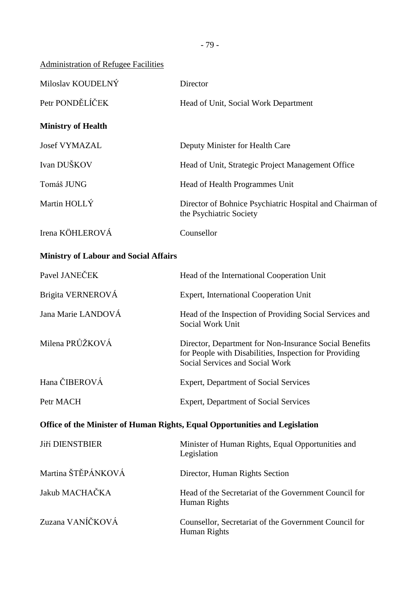### Administration of Refugee Facilities

| Miloslav KOUDELNÝ         | Director                                                                            |
|---------------------------|-------------------------------------------------------------------------------------|
| Petr PONDĚLÍČEK           | Head of Unit, Social Work Department                                                |
| <b>Ministry of Health</b> |                                                                                     |
| <b>Josef VYMAZAL</b>      | Deputy Minister for Health Care                                                     |
| Ivan DUŠKOV               | Head of Unit, Strategic Project Management Office                                   |
| Tomáš JUNG                | Head of Health Programmes Unit                                                      |
| Martin HOLLY              | Director of Bohnice Psychiatric Hospital and Chairman of<br>the Psychiatric Society |
| Irena KÖHLEROVÁ           | Counsellor                                                                          |

## **Ministry of Labour and Social Affairs**

| Pavel JANEČEK                                                               | Head of the International Cooperation Unit                                                                                                          |  |  |  |
|-----------------------------------------------------------------------------|-----------------------------------------------------------------------------------------------------------------------------------------------------|--|--|--|
| Brigita VERNEROVÁ                                                           | Expert, International Cooperation Unit                                                                                                              |  |  |  |
| Jana Marie LANDOVÁ                                                          | Head of the Inspection of Providing Social Services and<br>Social Work Unit                                                                         |  |  |  |
| Milena PRŮŽKOVÁ                                                             | Director, Department for Non-Insurance Social Benefits<br>for People with Disabilities, Inspection for Providing<br>Social Services and Social Work |  |  |  |
| Hana ČIBEROVÁ                                                               | <b>Expert, Department of Social Services</b>                                                                                                        |  |  |  |
| Petr MACH                                                                   | <b>Expert, Department of Social Services</b>                                                                                                        |  |  |  |
| Office of the Minister of Human Rights, Equal Opportunities and Legislation |                                                                                                                                                     |  |  |  |
| <b>Jiří DIENSTBIER</b>                                                      | Minister of Human Rights, Equal Opportunities and<br>Legislation                                                                                    |  |  |  |
| Martina ŠTĚPÁNKOVÁ                                                          | Director, Human Rights Section                                                                                                                      |  |  |  |
| Jakub MACHAČKA                                                              | Head of the Secretariat of the Government Council for<br>Human Rights                                                                               |  |  |  |
| Zuzana VANÍČKOVÁ                                                            | Counsellor, Secretariat of the Government Council for<br>Human Rights                                                                               |  |  |  |